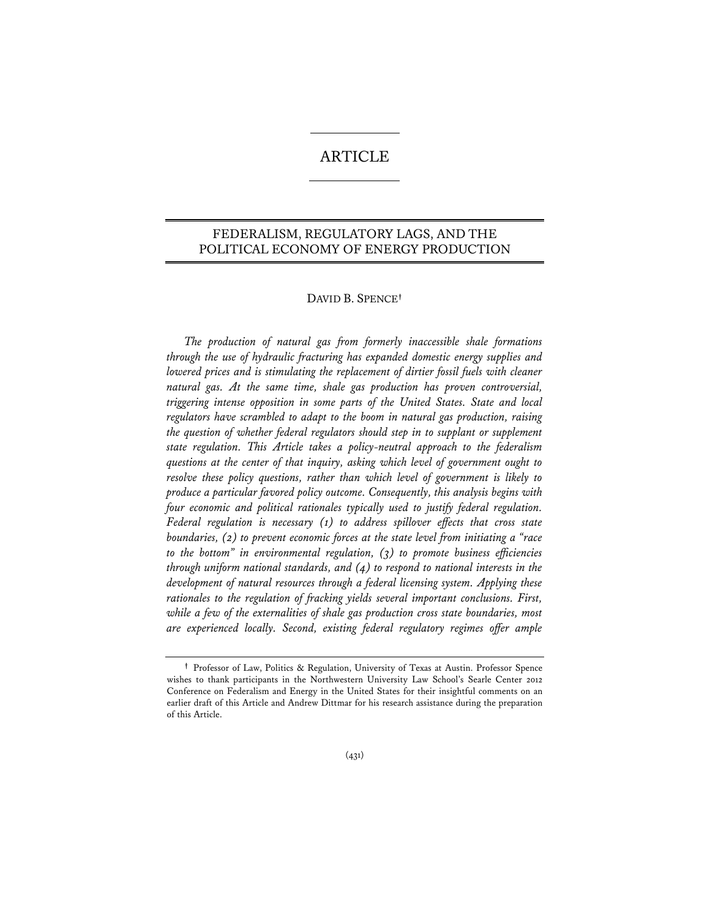# **ARTICLE**

# FEDERALISM, REGULATORY LAGS, AND THE POLITICAL ECONOMY OF ENERGY PRODUCTION

## DAVID B. SPENCE**†**

*The production of natural gas from formerly inaccessible shale formations through the use of hydraulic fracturing has expanded domestic energy supplies and*  lowered prices and is stimulating the replacement of dirtier fossil fuels with cleaner *natural gas. At the same time, shale gas production has proven controversial, triggering intense opposition in some parts of the United States. State and local regulators have scrambled to adapt to the boom in natural gas production, raising the question of whether federal regulators should step in to supplant or supplement state regulation. This Article takes a policy-neutral approach to the federalism questions at the center of that inquiry, asking which level of government ought to resolve these policy questions, rather than which level of government is likely to produce a particular favored policy outcome. Consequently, this analysis begins with four economic and political rationales typically used to justify federal regulation. Federal regulation is necessary (1) to address spillover effects that cross state boundaries, (2) to prevent economic forces at the state level from initiating a "race to the bottom" in environmental regulation, (3) to promote business efficiencies through uniform national standards, and (4) to respond to national interests in the development of natural resources through a federal licensing system. Applying these rationales to the regulation of fracking yields several important conclusions. First, while a few of the externalities of shale gas production cross state boundaries, most are experienced locally. Second, existing federal regulatory regimes offer ample* 

**<sup>†</sup>** Professor of Law, Politics & Regulation, University of Texas at Austin. Professor Spence wishes to thank participants in the Northwestern University Law School's Searle Center 2012 Conference on Federalism and Energy in the United States for their insightful comments on an earlier draft of this Article and Andrew Dittmar for his research assistance during the preparation of this Article.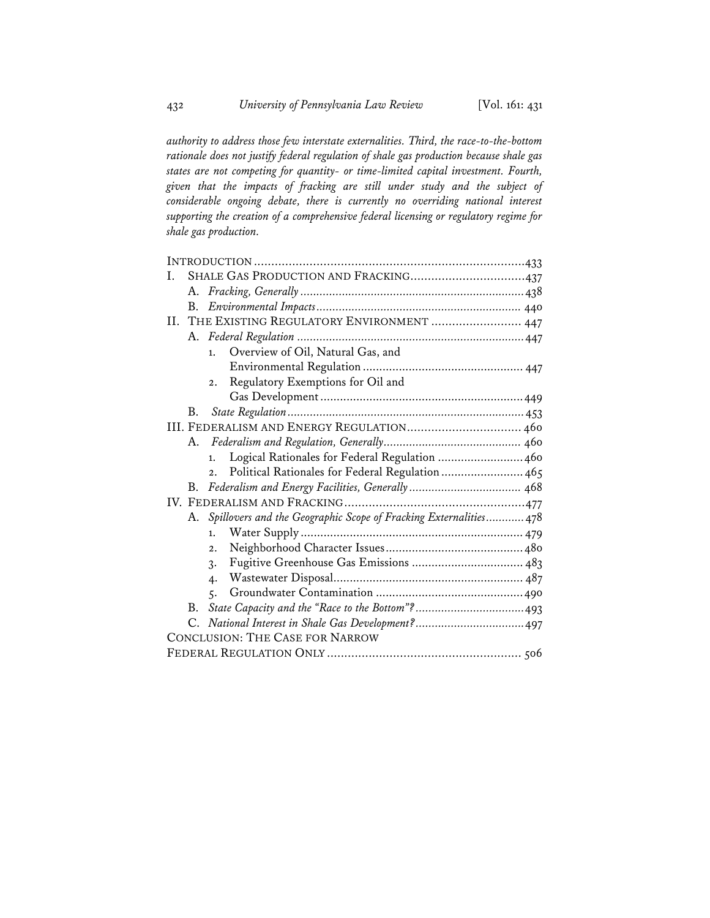*authority to address those few interstate externalities. Third, the race-to-the-bottom rationale does not justify federal regulation of shale gas production because shale gas states are not competing for quantity- or time-limited capital investment. Fourth, given that the impacts of fracking are still under study and the subject of considerable ongoing debate, there is currently no overriding national interest supporting the creation of a comprehensive federal licensing or regulatory regime for shale gas production.* 

| L  |                                          | SHALE GAS PRODUCTION AND FRACKING437                                 |  |
|----|------------------------------------------|----------------------------------------------------------------------|--|
|    |                                          |                                                                      |  |
|    | B.                                       |                                                                      |  |
| H. | THE EXISTING REGULATORY ENVIRONMENT  447 |                                                                      |  |
|    |                                          |                                                                      |  |
|    |                                          | Overview of Oil, Natural Gas, and<br>1.                              |  |
|    |                                          |                                                                      |  |
|    |                                          | Regulatory Exemptions for Oil and<br>$\overline{2}$ .                |  |
|    |                                          |                                                                      |  |
|    | B.                                       |                                                                      |  |
|    |                                          | III. FEDERALISM AND ENERGY REGULATION 460                            |  |
|    | А.                                       |                                                                      |  |
|    |                                          | Logical Rationales for Federal Regulation  460<br>1.                 |  |
|    |                                          | Political Rationales for Federal Regulation  465<br>$\overline{2}$ . |  |
|    | B.                                       |                                                                      |  |
|    |                                          |                                                                      |  |
|    |                                          | A. Spillovers and the Geographic Scope of Fracking Externalities 478 |  |
|    |                                          | 1.                                                                   |  |
|    |                                          | $\overline{2}$ .                                                     |  |
|    |                                          | 3.                                                                   |  |
|    |                                          | 4.                                                                   |  |
|    |                                          | 5.                                                                   |  |
|    | B.                                       |                                                                      |  |
|    |                                          |                                                                      |  |
|    |                                          | <b>CONCLUSION: THE CASE FOR NARROW</b>                               |  |
|    |                                          |                                                                      |  |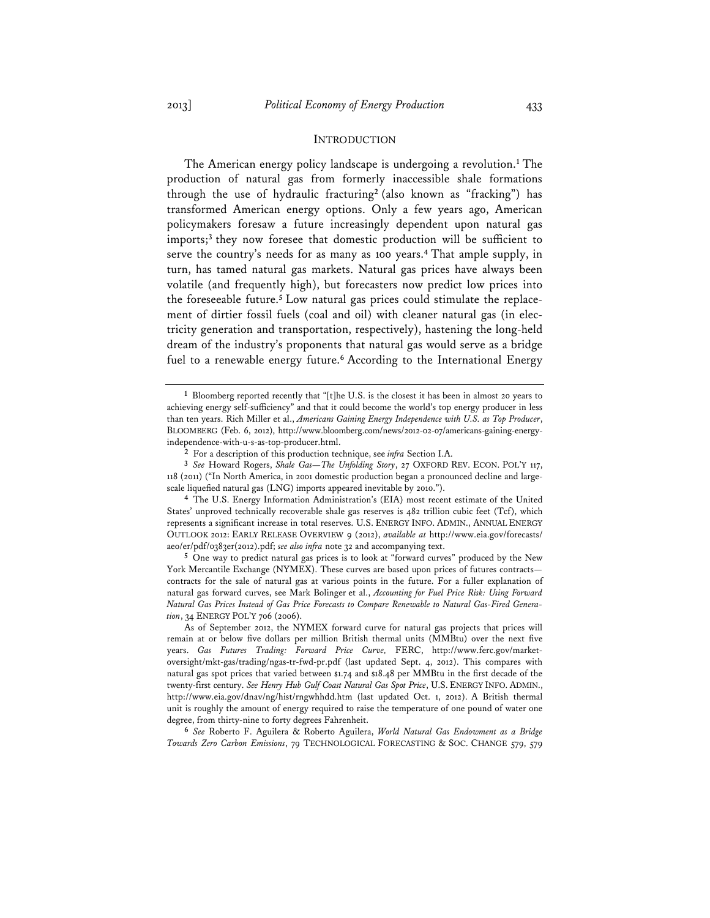#### INTRODUCTION

The American energy policy landscape is undergoing a revolution.**<sup>1</sup>** The production of natural gas from formerly inaccessible shale formations through the use of hydraulic fracturing**<sup>2</sup>** (also known as "fracking") has transformed American energy options. Only a few years ago, American policymakers foresaw a future increasingly dependent upon natural gas imports;**<sup>3</sup>** they now foresee that domestic production will be sufficient to serve the country's needs for as many as 100 years.**<sup>4</sup>** That ample supply, in turn, has tamed natural gas markets. Natural gas prices have always been volatile (and frequently high), but forecasters now predict low prices into the foreseeable future.**<sup>5</sup>** Low natural gas prices could stimulate the replacement of dirtier fossil fuels (coal and oil) with cleaner natural gas (in electricity generation and transportation, respectively), hastening the long-held dream of the industry's proponents that natural gas would serve as a bridge fuel to a renewable energy future.**<sup>6</sup>** According to the International Energy

**5** One way to predict natural gas prices is to look at "forward curves" produced by the New York Mercantile Exchange (NYMEX). These curves are based upon prices of futures contracts contracts for the sale of natural gas at various points in the future. For a fuller explanation of natural gas forward curves, see Mark Bolinger et al., *Accounting for Fuel Price Risk: Using Forward Natural Gas Prices Instead of Gas Price Forecasts to Compare Renewable to Natural Gas-Fired Generation*, 34 ENERGY POL'Y 706 (2006).

As of September 2012, the NYMEX forward curve for natural gas projects that prices will remain at or below five dollars per million British thermal units (MMBtu) over the next five years. *Gas Futures Trading: Forward Price Curve,* FERC, http://www.ferc.gov/marketoversight/mkt-gas/trading/ngas-tr-fwd-pr.pdf (last updated Sept. 4, 2012). This compares with natural gas spot prices that varied between \$1.74 and \$18.48 per MMBtu in the first decade of the twenty-first century. *See Henry Hub Gulf Coast Natural Gas Spot Price*, U.S. ENERGY INFO. ADMIN., http://www.eia.gov/dnav/ng/hist/rngwhhdd.htm (last updated Oct. 1, 2012). A British thermal unit is roughly the amount of energy required to raise the temperature of one pound of water one degree, from thirty-nine to forty degrees Fahrenheit.

**6** *See* Roberto F. Aguilera & Roberto Aguilera, *World Natural Gas Endowment as a Bridge Towards Zero Carbon Emissions*, 79 TECHNOLOGICAL FORECASTING & SOC. CHANGE 579, 579

**<sup>1</sup>** Bloomberg reported recently that "[t]he U.S. is the closest it has been in almost 20 years to achieving energy self-sufficiency" and that it could become the world's top energy producer in less than ten years. Rich Miller et al., *Americans Gaining Energy Independence with U.S. as Top Producer*, BLOOMBERG (Feb. 6, 2012), http://www.bloomberg.com/news/2012-02-07/americans-gaining-energyindependence-with-u-s-as-top-producer.html.

**<sup>2</sup>** For a description of this production technique, see *infra* Section I.A.

**<sup>3</sup>** *See* Howard Rogers, *Shale Gas—The Unfolding Story*, 27 OXFORD REV. ECON. POL'Y 117, 118 (2011) ("In North America, in 2001 domestic production began a pronounced decline and largescale liquefied natural gas (LNG) imports appeared inevitable by 2010.").

**<sup>4</sup>** The U.S. Energy Information Administration's (EIA) most recent estimate of the United States' unproved technically recoverable shale gas reserves is 482 trillion cubic feet (Tcf), which represents a significant increase in total reserves. U.S. ENERGY INFO. ADMIN., ANNUAL ENERGY OUTLOOK 2012: EARLY RELEASE OVERVIEW 9 (2012), *available at* http://www.eia.gov/forecasts/ aeo/er/pdf/0383er(2012).pdf; *see also infra* note 32 and accompanying text.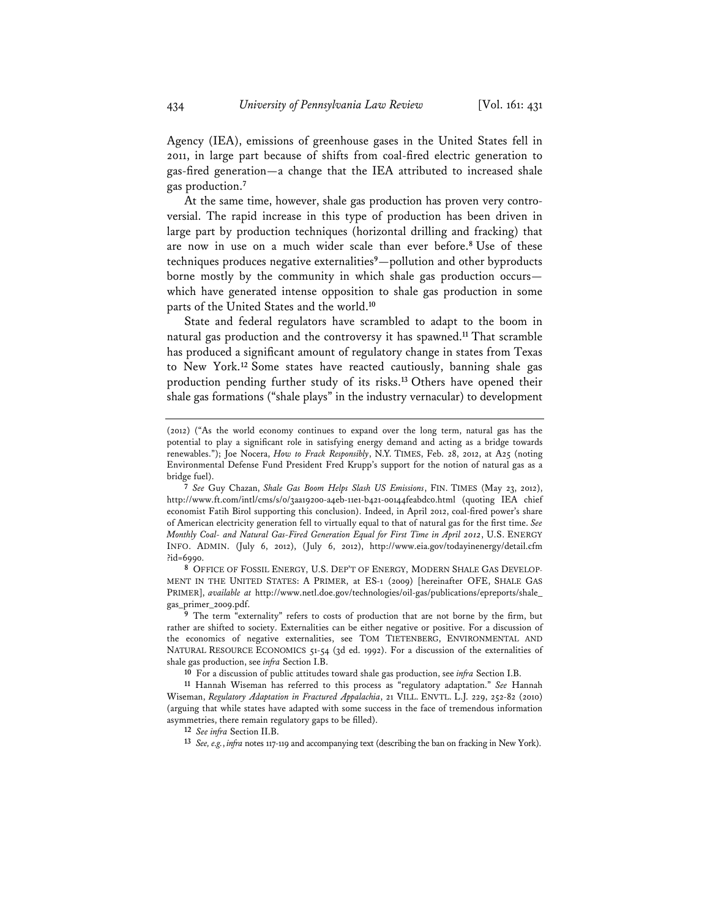Agency (IEA), emissions of greenhouse gases in the United States fell in 2011, in large part because of shifts from coal-fired electric generation to gas-fired generation—a change that the IEA attributed to increased shale gas production.**<sup>7</sup>**

At the same time, however, shale gas production has proven very controversial. The rapid increase in this type of production has been driven in large part by production techniques (horizontal drilling and fracking) that are now in use on a much wider scale than ever before.**<sup>8</sup>** Use of these techniques produces negative externalities**<sup>9</sup>**—pollution and other byproducts borne mostly by the community in which shale gas production occurs which have generated intense opposition to shale gas production in some parts of the United States and the world.**<sup>10</sup>**

State and federal regulators have scrambled to adapt to the boom in natural gas production and the controversy it has spawned.**<sup>11</sup>** That scramble has produced a significant amount of regulatory change in states from Texas to New York.**<sup>12</sup>** Some states have reacted cautiously, banning shale gas production pending further study of its risks.**<sup>13</sup>** Others have opened their shale gas formations ("shale plays" in the industry vernacular) to development

**7** *See* Guy Chazan, *Shale Gas Boom Helps Slash US Emissions*, FIN. TIMES (May 23, 2012), http://www.ft.com/intl/cms/s/0/3aa19200-a4eb-11e1-b421-00144feabdc0.html (quoting IEA chief economist Fatih Birol supporting this conclusion). Indeed, in April 2012, coal-fired power's share of American electricity generation fell to virtually equal to that of natural gas for the first time. *See Monthly Coal- and Natural Gas-Fired Generation Equal for First Time in April 2012*, U.S. ENERGY INFO. ADMIN. (July 6, 2012), (July 6, 2012), http://www.eia.gov/todayinenergy/detail.cfm ?id=6990.

**8** OFFICE OF FOSSIL ENERGY, U.S. DEP'T OF ENERGY, MODERN SHALE GAS DEVELOP-MENT IN THE UNITED STATES: A PRIMER, at ES-1 (2009) [hereinafter OFE, SHALE GAS PRIMER], *available at* http://www.netl.doe.gov/technologies/oil-gas/publications/epreports/shale\_ gas\_primer\_2009.pdf.

**9** The term "externality" refers to costs of production that are not borne by the firm, but rather are shifted to society. Externalities can be either negative or positive. For a discussion of the economics of negative externalities, see TOM TIETENBERG, ENVIRONMENTAL AND NATURAL RESOURCE ECONOMICS 51-54 (3d ed. 1992). For a discussion of the externalities of shale gas production, see *infra* Section I.B.

**10** For a discussion of public attitudes toward shale gas production, see *infra* Section I.B.

**11** Hannah Wiseman has referred to this process as "regulatory adaptation." *See* Hannah Wiseman, *Regulatory Adaptation in Fractured Appalachia*, 21 VILL. ENVTL. L.J. 229, 252-82 (2010) (arguing that while states have adapted with some success in the face of tremendous information asymmetries, there remain regulatory gaps to be filled).

**12** *See infra* Section II.B.

**13** *See, e.g.*, *infra* notes 117-119 and accompanying text (describing the ban on fracking in New York).

<sup>(2012) (&</sup>quot;As the world economy continues to expand over the long term, natural gas has the potential to play a significant role in satisfying energy demand and acting as a bridge towards renewables."); Joe Nocera, *How to Frack Responsibly*, N.Y. TIMES, Feb. 28, 2012, at A25 (noting Environmental Defense Fund President Fred Krupp's support for the notion of natural gas as a bridge fuel).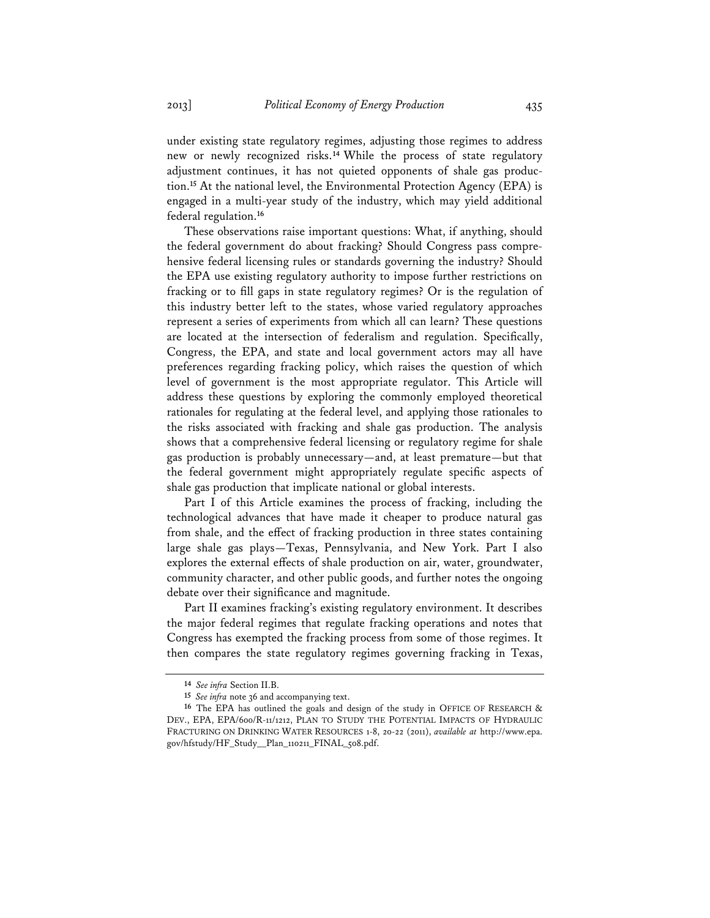under existing state regulatory regimes, adjusting those regimes to address new or newly recognized risks.**<sup>14</sup>** While the process of state regulatory adjustment continues, it has not quieted opponents of shale gas production.**<sup>15</sup>** At the national level, the Environmental Protection Agency (EPA) is engaged in a multi-year study of the industry, which may yield additional federal regulation.**<sup>16</sup>**

These observations raise important questions: What, if anything, should the federal government do about fracking? Should Congress pass comprehensive federal licensing rules or standards governing the industry? Should the EPA use existing regulatory authority to impose further restrictions on fracking or to fill gaps in state regulatory regimes? Or is the regulation of this industry better left to the states, whose varied regulatory approaches represent a series of experiments from which all can learn? These questions are located at the intersection of federalism and regulation. Specifically, Congress, the EPA, and state and local government actors may all have preferences regarding fracking policy, which raises the question of which level of government is the most appropriate regulator. This Article will address these questions by exploring the commonly employed theoretical rationales for regulating at the federal level, and applying those rationales to the risks associated with fracking and shale gas production. The analysis shows that a comprehensive federal licensing or regulatory regime for shale gas production is probably unnecessary—and, at least premature—but that the federal government might appropriately regulate specific aspects of shale gas production that implicate national or global interests.

Part I of this Article examines the process of fracking, including the technological advances that have made it cheaper to produce natural gas from shale, and the effect of fracking production in three states containing large shale gas plays—Texas, Pennsylvania, and New York. Part I also explores the external effects of shale production on air, water, groundwater, community character, and other public goods, and further notes the ongoing debate over their significance and magnitude.

Part II examines fracking's existing regulatory environment. It describes the major federal regimes that regulate fracking operations and notes that Congress has exempted the fracking process from some of those regimes. It then compares the state regulatory regimes governing fracking in Texas,

**<sup>14</sup>** *See infra* Section II.B.

**<sup>15</sup>** *See infra* note 36 and accompanying text.

**<sup>16</sup>** The EPA has outlined the goals and design of the study in OFFICE OF RESEARCH & DEV., EPA, EPA/600/R-11/1212, PLAN TO STUDY THE POTENTIAL IMPACTS OF HYDRAULIC FRACTURING ON DRINKING WATER RESOURCES 1-8, 20-22 (2011), *available at* http://www.epa. gov/hfstudy/HF\_Study\_\_Plan\_110211\_FINAL\_508.pdf.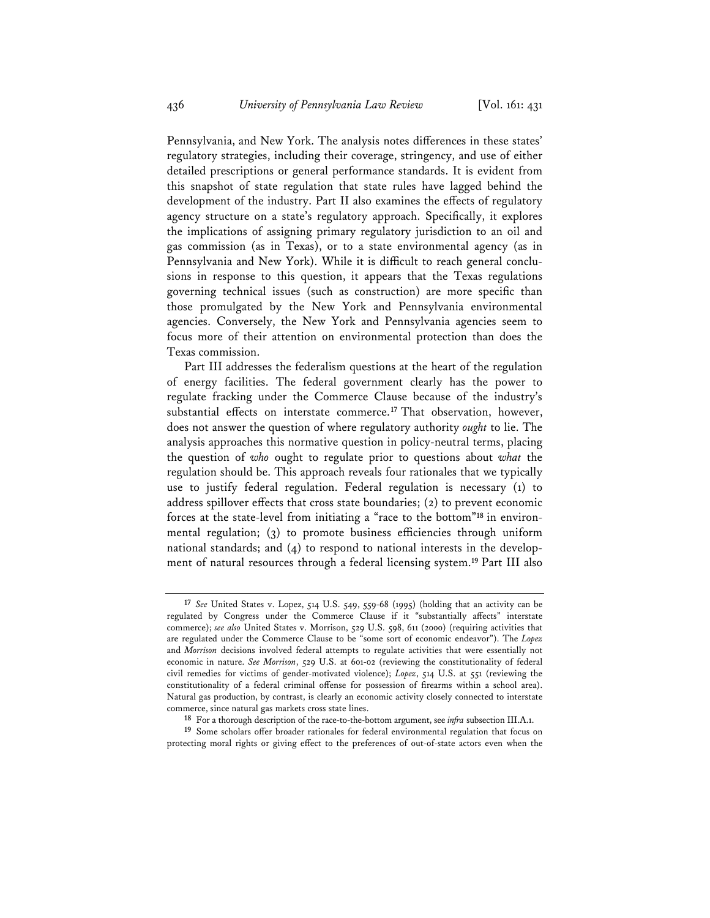Pennsylvania, and New York. The analysis notes differences in these states' regulatory strategies, including their coverage, stringency, and use of either detailed prescriptions or general performance standards. It is evident from this snapshot of state regulation that state rules have lagged behind the development of the industry. Part II also examines the effects of regulatory agency structure on a state's regulatory approach. Specifically, it explores the implications of assigning primary regulatory jurisdiction to an oil and gas commission (as in Texas), or to a state environmental agency (as in Pennsylvania and New York). While it is difficult to reach general conclusions in response to this question, it appears that the Texas regulations governing technical issues (such as construction) are more specific than those promulgated by the New York and Pennsylvania environmental agencies. Conversely, the New York and Pennsylvania agencies seem to focus more of their attention on environmental protection than does the Texas commission.

Part III addresses the federalism questions at the heart of the regulation of energy facilities. The federal government clearly has the power to regulate fracking under the Commerce Clause because of the industry's substantial effects on interstate commerce.**<sup>17</sup>** That observation, however, does not answer the question of where regulatory authority *ought* to lie. The analysis approaches this normative question in policy-neutral terms, placing the question of *who* ought to regulate prior to questions about *what* the regulation should be. This approach reveals four rationales that we typically use to justify federal regulation. Federal regulation is necessary (1) to address spillover effects that cross state boundaries; (2) to prevent economic forces at the state-level from initiating a "race to the bottom"**18** in environmental regulation; (3) to promote business efficiencies through uniform national standards; and (4) to respond to national interests in the development of natural resources through a federal licensing system.**<sup>19</sup>** Part III also

**<sup>17</sup>** *See* United States v. Lopez, 514 U.S. 549, 559-68 (1995) (holding that an activity can be regulated by Congress under the Commerce Clause if it "substantially affects" interstate commerce); *see also* United States v. Morrison, 529 U.S. 598, 611 (2000) (requiring activities that are regulated under the Commerce Clause to be "some sort of economic endeavor"). The *Lopez* and *Morrison* decisions involved federal attempts to regulate activities that were essentially not economic in nature. *See Morrison*, 529 U.S. at 601-02 (reviewing the constitutionality of federal civil remedies for victims of gender-motivated violence); *Lopez*, 514 U.S. at 551 (reviewing the constitutionality of a federal criminal offense for possession of firearms within a school area). Natural gas production, by contrast, is clearly an economic activity closely connected to interstate commerce, since natural gas markets cross state lines.

**<sup>18</sup>** For a thorough description of the race-to-the-bottom argument, see *infra* subsection III.A.1.

**<sup>19</sup>** Some scholars offer broader rationales for federal environmental regulation that focus on protecting moral rights or giving effect to the preferences of out-of-state actors even when the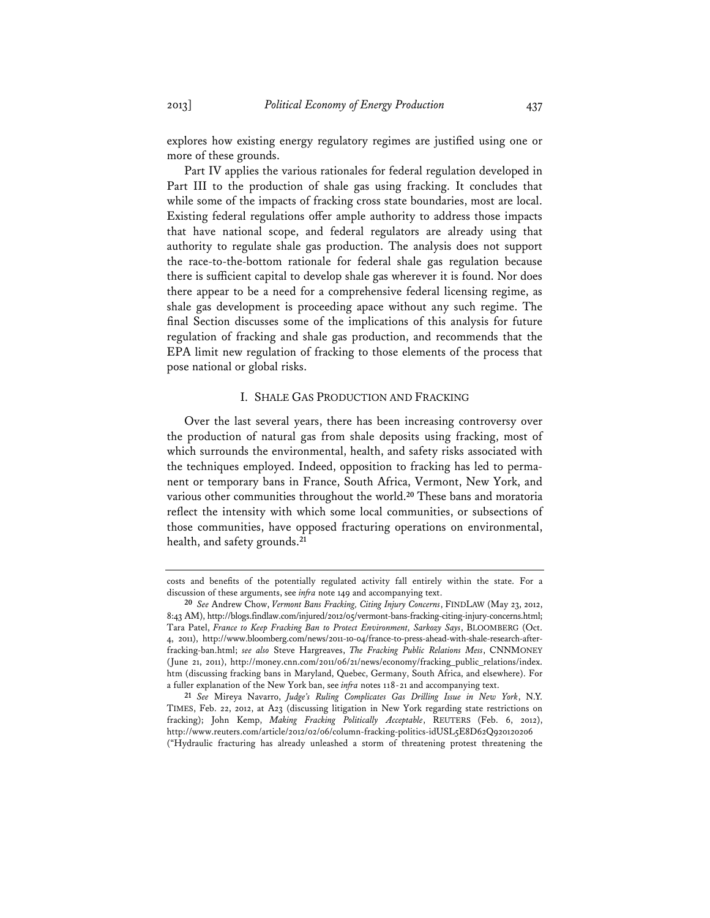explores how existing energy regulatory regimes are justified using one or more of these grounds.

Part IV applies the various rationales for federal regulation developed in Part III to the production of shale gas using fracking. It concludes that while some of the impacts of fracking cross state boundaries, most are local. Existing federal regulations offer ample authority to address those impacts that have national scope, and federal regulators are already using that authority to regulate shale gas production. The analysis does not support the race-to-the-bottom rationale for federal shale gas regulation because there is sufficient capital to develop shale gas wherever it is found. Nor does there appear to be a need for a comprehensive federal licensing regime, as shale gas development is proceeding apace without any such regime. The final Section discusses some of the implications of this analysis for future regulation of fracking and shale gas production, and recommends that the EPA limit new regulation of fracking to those elements of the process that pose national or global risks.

# I. SHALE GAS PRODUCTION AND FRACKING

Over the last several years, there has been increasing controversy over the production of natural gas from shale deposits using fracking, most of which surrounds the environmental, health, and safety risks associated with the techniques employed. Indeed, opposition to fracking has led to permanent or temporary bans in France, South Africa, Vermont, New York, and various other communities throughout the world.**<sup>20</sup>** These bans and moratoria reflect the intensity with which some local communities, or subsections of those communities, have opposed fracturing operations on environmental, health, and safety grounds.**<sup>21</sup>**

costs and benefits of the potentially regulated activity fall entirely within the state. For a discussion of these arguments, see *infra* note 149 and accompanying text.

**<sup>20</sup>** *See* Andrew Chow, *Vermont Bans Fracking, Citing Injury Concerns*, FINDLAW (May 23, 2012, 8:43 AM), http://blogs.findlaw.com/injured/2012/05/vermont-bans-fracking-citing-injury-concerns.html; Tara Patel, *France to Keep Fracking Ban to Protect Environment, Sarkozy Says*, BLOOMBERG (Oct. 4, 2011), http://www.bloomberg.com/news/2011-10-04/france-to-press-ahead-with-shale-research-afterfracking-ban.html; *see also* Steve Hargreaves, *The Fracking Public Relations Mess*, CNNMONEY (June 21, 2011), http://money.cnn.com/2011/06/21/news/economy/fracking\_public\_relations/index. htm (discussing fracking bans in Maryland, Quebec, Germany, South Africa, and elsewhere). For a fuller explanation of the New York ban, see *infra* notes 118-21 and accompanying text.

**<sup>21</sup>** *See* Mireya Navarro, *Judge's Ruling Complicates Gas Drilling Issue in New York*, N.Y. TIMES, Feb. 22, 2012, at A23 (discussing litigation in New York regarding state restrictions on fracking); John Kemp, *Making Fracking Politically Acceptable*, REUTERS (Feb. 6, 2012), http://www.reuters.com/article/2012/02/06/column-fracking-politics-idUSL5E8D62Q920120206 ("Hydraulic fracturing has already unleashed a storm of threatening protest threatening the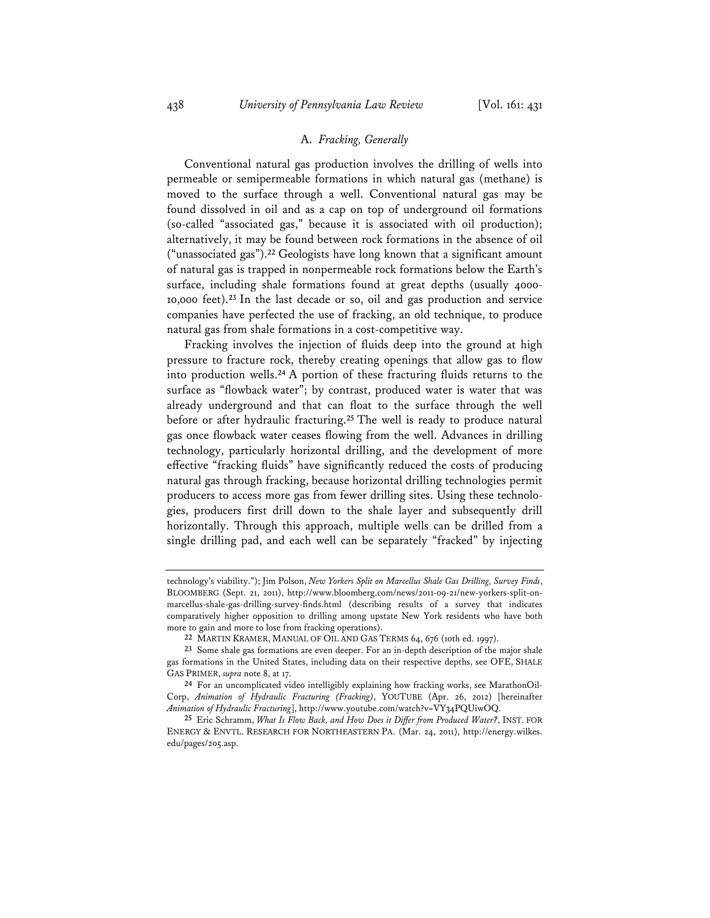## A. *Fracking, Generally*

Conventional natural gas production involves the drilling of wells into permeable or semipermeable formations in which natural gas (methane) is moved to the surface through a well. Conventional natural gas may be found dissolved in oil and as a cap on top of underground oil formations (so-called "associated gas," because it is associated with oil production); alternatively, it may be found between rock formations in the absence of oil ("unassociated gas").**<sup>22</sup>** Geologists have long known that a significant amount of natural gas is trapped in nonpermeable rock formations below the Earth's surface, including shale formations found at great depths (usually 4000- 10,000 feet).**<sup>23</sup>** In the last decade or so, oil and gas production and service companies have perfected the use of fracking, an old technique, to produce natural gas from shale formations in a cost-competitive way.

Fracking involves the injection of fluids deep into the ground at high pressure to fracture rock, thereby creating openings that allow gas to flow into production wells.**<sup>24</sup>** A portion of these fracturing fluids returns to the surface as "flowback water"; by contrast, produced water is water that was already underground and that can float to the surface through the well before or after hydraulic fracturing.**<sup>25</sup>** The well is ready to produce natural gas once flowback water ceases flowing from the well. Advances in drilling technology, particularly horizontal drilling, and the development of more effective "fracking fluids" have significantly reduced the costs of producing natural gas through fracking, because horizontal drilling technologies permit producers to access more gas from fewer drilling sites. Using these technologies, producers first drill down to the shale layer and subsequently drill horizontally. Through this approach, multiple wells can be drilled from a single drilling pad, and each well can be separately "fracked" by injecting

technology's viability."); Jim Polson, *New Yorkers Split on Marcellus Shale Gas Drilling, Survey Finds*, BLOOMBERG (Sept. 21, 2011), http://www.bloomberg.com/news/2011-09-21/new-yorkers-split-onmarcellus-shale-gas-drilling-survey-finds.html (describing results of a survey that indicates comparatively higher opposition to drilling among upstate New York residents who have both more to gain and more to lose from fracking operations).

**<sup>22</sup>** MARTIN KRAMER, MANUAL OF OIL AND GAS TERMS 64, 676 (10th ed. 1997).

**<sup>23</sup>** Some shale gas formations are even deeper. For an in-depth description of the major shale gas formations in the United States, including data on their respective depths, see OFE, SHALE GAS PRIMER, *supra* note 8, at 17.

**<sup>24</sup>** For an uncomplicated video intelligibly explaining how fracking works, see MarathonOil-Corp, *Animation of Hydraulic Fracturing (Fracking)*, YOUTUBE (Apr. 26, 2012) [hereinafter *Animation of Hydraulic Fracturing*], http://www.youtube.com/watch?v=VY34PQUiwOQ.

**<sup>25</sup>** Eric Schramm, *What Is Flow Back, and How Does it Differ from Produced Water?*, INST. FOR ENERGY & ENVTL. RESEARCH FOR NORTHEASTERN PA. (Mar. 24, 2011), http://energy.wilkes. edu/pages/205.asp.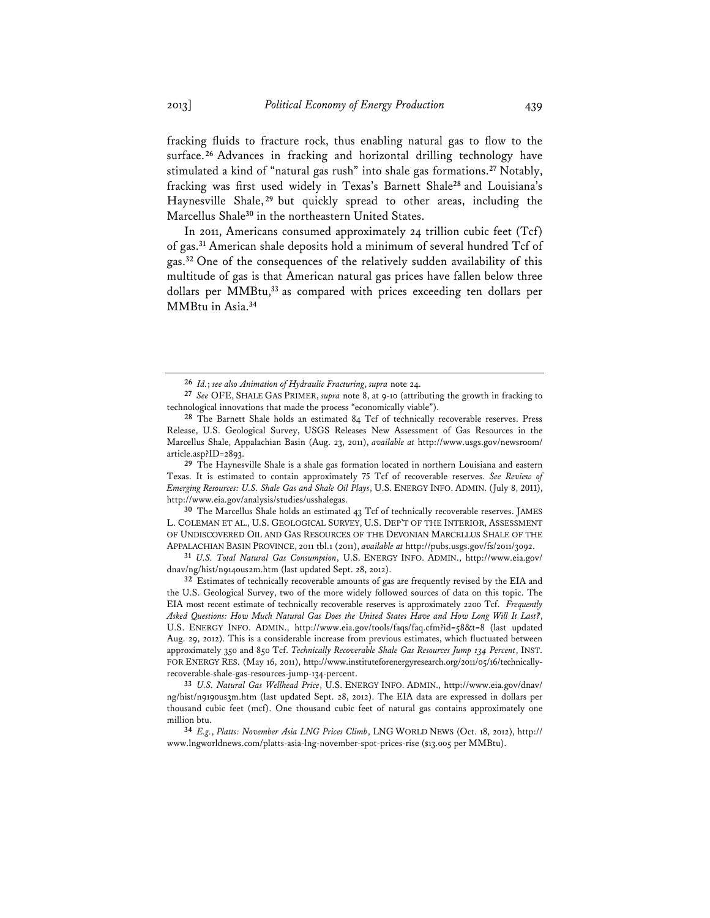fracking fluids to fracture rock, thus enabling natural gas to flow to the surface.**<sup>26</sup>** Advances in fracking and horizontal drilling technology have stimulated a kind of "natural gas rush" into shale gas formations.**<sup>27</sup>** Notably, fracking was first used widely in Texas's Barnett Shale**<sup>28</sup>** and Louisiana's Haynesville Shale, **<sup>29</sup>** but quickly spread to other areas, including the Marcellus Shale**<sup>30</sup>** in the northeastern United States.

In 2011, Americans consumed approximately 24 trillion cubic feet (Tcf) of gas.**<sup>31</sup>** American shale deposits hold a minimum of several hundred Tcf of gas.**<sup>32</sup>** One of the consequences of the relatively sudden availability of this multitude of gas is that American natural gas prices have fallen below three dollars per MMBtu,**<sup>33</sup>** as compared with prices exceeding ten dollars per MMBtu in Asia.**<sup>34</sup>**

**29** The Haynesville Shale is a shale gas formation located in northern Louisiana and eastern Texas. It is estimated to contain approximately 75 Tcf of recoverable reserves. *See Review of Emerging Resources: U.S. Shale Gas and Shale Oil Plays*, U.S. ENERGY INFO. ADMIN. (July 8, 2011), http://www.eia.gov/analysis/studies/usshalegas.

**30** The Marcellus Shale holds an estimated 43 Tcf of technically recoverable reserves. JAMES L. COLEMAN ET AL., U.S. GEOLOGICAL SURVEY, U.S. DEP'T OF THE INTERIOR, ASSESSMENT OF UNDISCOVERED OIL AND GAS RESOURCES OF THE DEVONIAN MARCELLUS SHALE OF THE APPALACHIAN BASIN PROVINCE, 2011 tbl.1 (2011), *available at* http://pubs.usgs.gov/fs/2011/3092.

**31** *U.S. Total Natural Gas Consumption*, U.S. ENERGY INFO. ADMIN., http://www.eia.gov/ dnav/ng/hist/n9140us2m.htm (last updated Sept. 28, 2012).

**32** Estimates of technically recoverable amounts of gas are frequently revised by the EIA and the U.S. Geological Survey, two of the more widely followed sources of data on this topic. The EIA most recent estimate of technically recoverable reserves is approximately 2200 Tcf. *Frequently Asked Questions: How Much Natural Gas Does the United States Have and How Long Will It Last?*, U.S. ENERGY INFO. ADMIN., http://www.eia.gov/tools/faqs/faq.cfm?id=58&t=8 (last updated Aug. 29, 2012). This is a considerable increase from previous estimates, which fluctuated between approximately 350 and 850 Tcf. *Technically Recoverable Shale Gas Resources Jump 134 Percent*, INST. FOR ENERGY RES. (May 16, 2011), http://www.instituteforenergyresearch.org/2011/05/16/technicallyrecoverable-shale-gas-resources-jump-134-percent.

**33** *U.S. Natural Gas Wellhead Price*, U.S. ENERGY INFO. ADMIN., http://www.eia.gov/dnav/ ng/hist/n9190us3m.htm (last updated Sept. 28, 2012). The EIA data are expressed in dollars per thousand cubic feet (mcf). One thousand cubic feet of natural gas contains approximately one million btu.

**34** *E.g.*, *Platts: November Asia LNG Prices Climb*, LNG WORLD NEWS (Oct. 18, 2012), http:// www.lngworldnews.com/platts-asia-lng-november-spot-prices-rise (\$13.005 per MMBtu).

**<sup>26</sup>** *Id.*; *see also Animation of Hydraulic Fracturing*, *supra* note 24.

**<sup>27</sup>** *See* OFE, SHALE GAS PRIMER, *supra* note 8, at 9-10 (attributing the growth in fracking to technological innovations that made the process "economically viable").

**<sup>28</sup>** The Barnett Shale holds an estimated 84 Tcf of technically recoverable reserves. Press Release, U.S. Geological Survey, USGS Releases New Assessment of Gas Resources in the Marcellus Shale, Appalachian Basin (Aug. 23, 2011), *available at* http://www.usgs.gov/newsroom/ article.asp?ID=2893.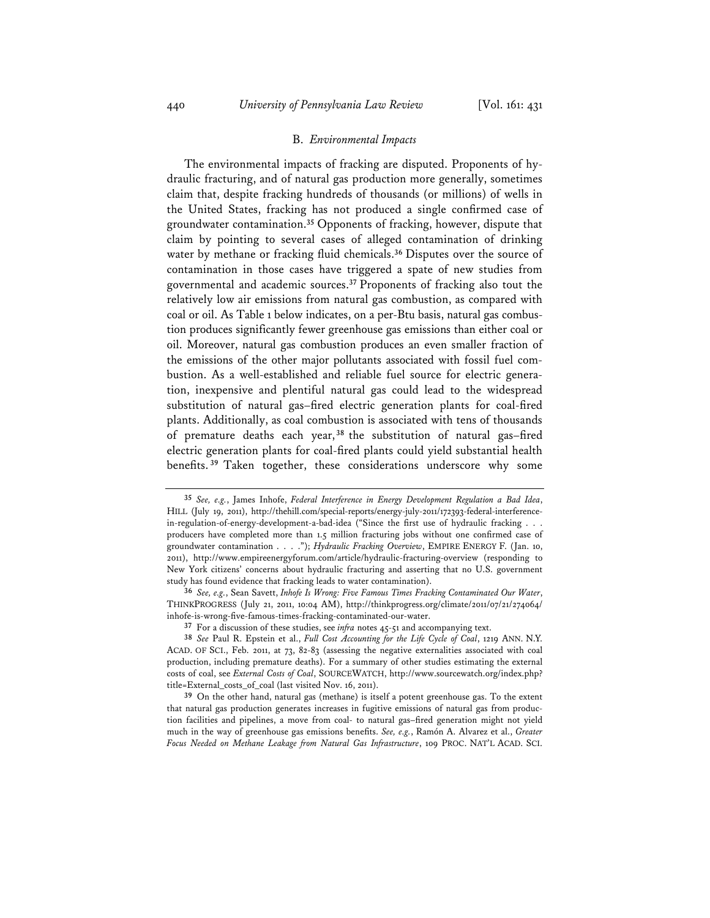### B. *Environmental Impacts*

The environmental impacts of fracking are disputed. Proponents of hydraulic fracturing, and of natural gas production more generally, sometimes claim that, despite fracking hundreds of thousands (or millions) of wells in the United States, fracking has not produced a single confirmed case of groundwater contamination.**<sup>35</sup>** Opponents of fracking, however, dispute that claim by pointing to several cases of alleged contamination of drinking water by methane or fracking fluid chemicals.**<sup>36</sup>** Disputes over the source of contamination in those cases have triggered a spate of new studies from governmental and academic sources.**<sup>37</sup>** Proponents of fracking also tout the relatively low air emissions from natural gas combustion, as compared with coal or oil. As Table 1 below indicates, on a per-Btu basis, natural gas combustion produces significantly fewer greenhouse gas emissions than either coal or oil. Moreover, natural gas combustion produces an even smaller fraction of the emissions of the other major pollutants associated with fossil fuel combustion. As a well-established and reliable fuel source for electric generation, inexpensive and plentiful natural gas could lead to the widespread substitution of natural gas–fired electric generation plants for coal-fired plants. Additionally, as coal combustion is associated with tens of thousands of premature deaths each year, **<sup>38</sup>** the substitution of natural gas–fired electric generation plants for coal-fired plants could yield substantial health benefits. **<sup>39</sup>** Taken together, these considerations underscore why some

**<sup>35</sup>** *See, e.g.*, James Inhofe, *Federal Interference in Energy Development Regulation a Bad Idea*, HILL (July 19, 2011), http://thehill.com/special-reports/energy-july-2011/172393-federal-interferencein-regulation-of-energy-development-a-bad-idea ("Since the first use of hydraulic fracking . . . producers have completed more than 1.5 million fracturing jobs without one confirmed case of groundwater contamination . . . ."); *Hydraulic Fracking Overview*, EMPIRE ENERGY F. (Jan. 10, 2011), http://www.empireenergyforum.com/article/hydraulic-fracturing-overview (responding to New York citizens' concerns about hydraulic fracturing and asserting that no U.S. government study has found evidence that fracking leads to water contamination).

**<sup>36</sup>** *See, e.g.*, Sean Savett, *Inhofe Is Wrong: Five Famous Times Fracking Contaminated Our Water*, THINKPROGRESS (July 21, 2011, 10:04 AM), http://thinkprogress.org/climate/2011/07/21/274064/ inhofe-is-wrong-five-famous-times-fracking-contaminated-our-water.

**<sup>37</sup>** For a discussion of these studies, see *infra* notes 45-51 and accompanying text.

**<sup>38</sup>** *See* Paul R. Epstein et al., *Full Cost Accounting for the Life Cycle of Coal*, 1219 ANN. N.Y. ACAD. OF SCI., Feb. 2011, at 73, 82-83 (assessing the negative externalities associated with coal production, including premature deaths). For a summary of other studies estimating the external costs of coal, see *External Costs of Coal*, SOURCEWATCH, http://www.sourcewatch.org/index.php? title=External\_costs\_of\_coal (last visited Nov. 16, 2011).

**<sup>39</sup>** On the other hand, natural gas (methane) is itself a potent greenhouse gas. To the extent that natural gas production generates increases in fugitive emissions of natural gas from production facilities and pipelines, a move from coal- to natural gas–fired generation might not yield much in the way of greenhouse gas emissions benefits. *See, e.g.*, Ramón A. Alvarez et al., *Greater Focus Needed on Methane Leakage from Natural Gas Infrastructure*, 109 PROC. NAT'L ACAD. SCI.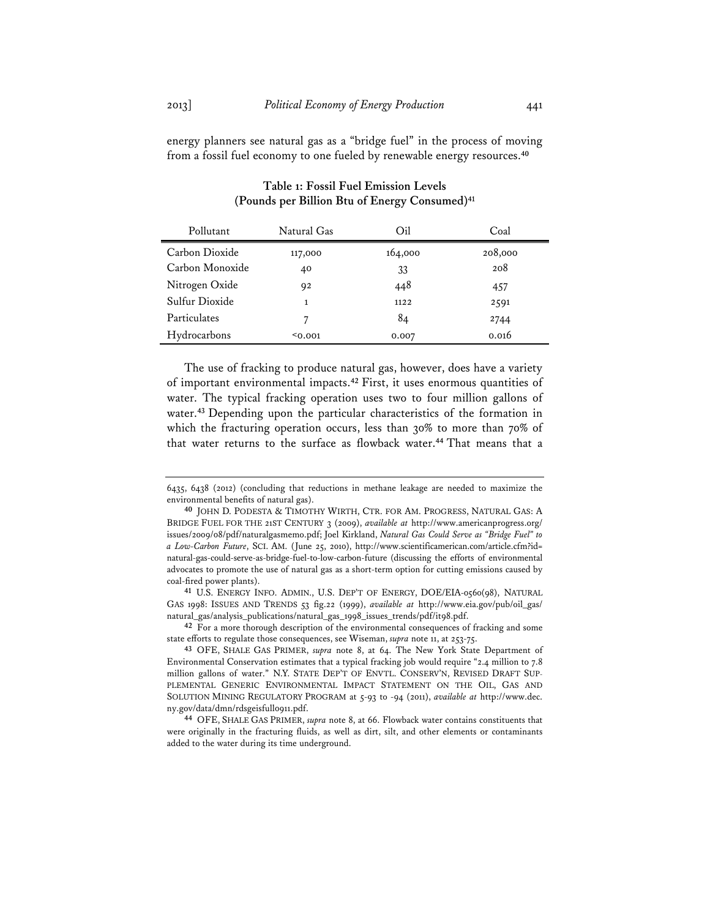energy planners see natural gas as a "bridge fuel" in the process of moving from a fossil fuel economy to one fueled by renewable energy resources.**<sup>40</sup>**

| Pollutant       | Natural Gas | Oil     | Coal    |
|-----------------|-------------|---------|---------|
| Carbon Dioxide  | 117,000     | 164,000 | 208,000 |
| Carbon Monoxide | 40          | 33      | 208     |
| Nitrogen Oxide  | 92          | 448     | 457     |
| Sulfur Dioxide  | 1           | 1122    | 2591    |
| Particulates    | 7           | 84      | 2744    |
| Hydrocarbons    | $0.001$     | 0.007   | 0.016   |

# **Table 1: Fossil Fuel Emission Levels (Pounds per Billion Btu of Energy Consumed)41**

The use of fracking to produce natural gas, however, does have a variety of important environmental impacts.**<sup>42</sup>** First, it uses enormous quantities of water. The typical fracking operation uses two to four million gallons of water.**<sup>43</sup>** Depending upon the particular characteristics of the formation in which the fracturing operation occurs, less than 30% to more than 70% of that water returns to the surface as flowback water.**<sup>44</sup>** That means that a

<sup>6435, 6438 (2012) (</sup>concluding that reductions in methane leakage are needed to maximize the environmental benefits of natural gas).

**<sup>40</sup>** JOHN D. PODESTA & TIMOTHY WIRTH, CTR. FOR AM. PROGRESS, NATURAL GAS: A BRIDGE FUEL FOR THE 21ST CENTURY 3 (2009), *available at* http://www.americanprogress.org/ issues/2009/08/pdf/naturalgasmemo.pdf; Joel Kirkland, *Natural Gas Could Serve as "Bridge Fuel" to a Low-Carbon Future*, SCI. AM. (June 25, 2010), http://www.scientificamerican.com/article.cfm?id= natural-gas-could-serve-as-bridge-fuel-to-low-carbon-future (discussing the efforts of environmental advocates to promote the use of natural gas as a short-term option for cutting emissions caused by coal-fired power plants).

**<sup>41</sup>** U.S. ENERGY INFO. ADMIN., U.S. DEP'T OF ENERGY, DOE/EIA-0560(98), NATURAL GAS 1998: ISSUES AND TRENDS 53 fig.22 (1999), *available at* http://www.eia.gov/pub/oil\_gas/ natural\_gas/analysis\_publications/natural\_gas\_1998\_issues\_trends/pdf/it98.pdf.

**<sup>42</sup>** For a more thorough description of the environmental consequences of fracking and some state efforts to regulate those consequences, see Wiseman, *supra* note 11, at 253-75.

**<sup>43</sup>** OFE, SHALE GAS PRIMER, *supra* note 8, at 64. The New York State Department of Environmental Conservation estimates that a typical fracking job would require "2.4 million to 7.8 million gallons of water." N.Y. STATE DEP'T OF ENVTL. CONSERV'N, REVISED DRAFT SUP-PLEMENTAL GENERIC ENVIRONMENTAL IMPACT STATEMENT ON THE OIL, GAS AND SOLUTION MINING REGULATORY PROGRAM at 5-93 to -94 (2011), *available at* http://www.dec. ny.gov/data/dmn/rdsgeisfull0911.pdf.

**<sup>44</sup>** OFE, SHALE GAS PRIMER, *supra* note 8, at 66. Flowback water contains constituents that were originally in the fracturing fluids, as well as dirt, silt, and other elements or contaminants added to the water during its time underground.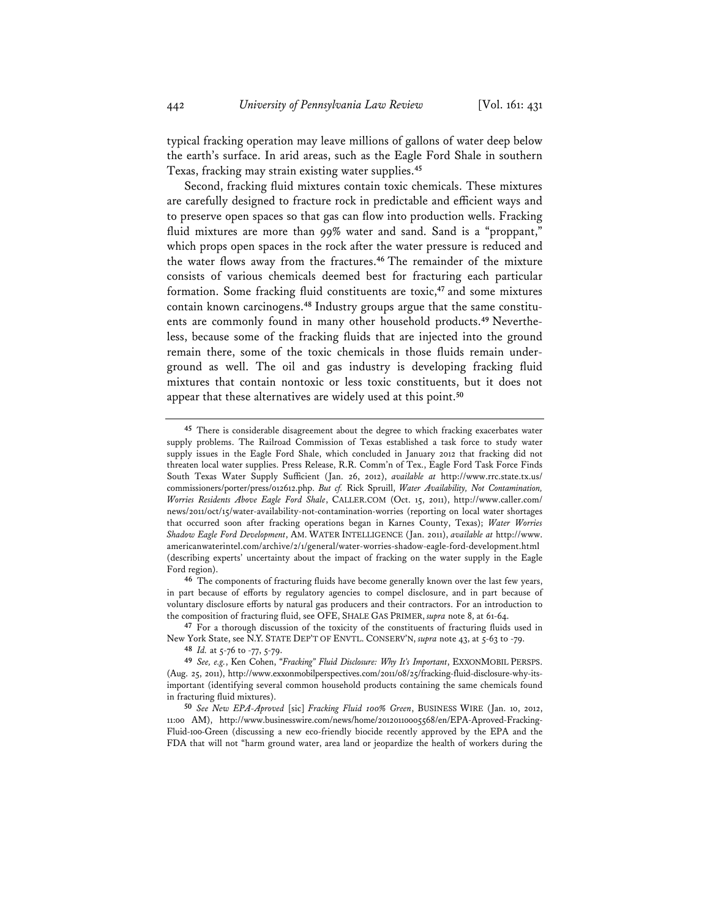typical fracking operation may leave millions of gallons of water deep below the earth's surface. In arid areas, such as the Eagle Ford Shale in southern Texas, fracking may strain existing water supplies.**<sup>45</sup>**

Second, fracking fluid mixtures contain toxic chemicals. These mixtures are carefully designed to fracture rock in predictable and efficient ways and to preserve open spaces so that gas can flow into production wells. Fracking fluid mixtures are more than 99% water and sand. Sand is a "proppant," which props open spaces in the rock after the water pressure is reduced and the water flows away from the fractures.**<sup>46</sup>** The remainder of the mixture consists of various chemicals deemed best for fracturing each particular formation. Some fracking fluid constituents are toxic,**<sup>47</sup>** and some mixtures contain known carcinogens.**48** Industry groups argue that the same constituents are commonly found in many other household products.**49** Nevertheless, because some of the fracking fluids that are injected into the ground remain there, some of the toxic chemicals in those fluids remain underground as well. The oil and gas industry is developing fracking fluid mixtures that contain nontoxic or less toxic constituents, but it does not appear that these alternatives are widely used at this point.**<sup>50</sup>**

**47** For a thorough discussion of the toxicity of the constituents of fracturing fluids used in New York State, see N.Y. STATE DEP'T OF ENVTL. CONSERV'N, *supra* note 43, at 5-63 to -79.

**48** *Id.* at 5-76 to -77, 5-79.

**49** *See, e.g.*, Ken Cohen, "*Fracking" Fluid Disclosure: Why It's Important*, EXXONMOBIL PERSPS. (Aug. 25, 2011), http://www.exxonmobilperspectives.com/2011/08/25/fracking-fluid-disclosure-why-itsimportant (identifying several common household products containing the same chemicals found in fracturing fluid mixtures).

**<sup>45</sup>** There is considerable disagreement about the degree to which fracking exacerbates water supply problems. The Railroad Commission of Texas established a task force to study water supply issues in the Eagle Ford Shale, which concluded in January 2012 that fracking did not threaten local water supplies. Press Release, R.R. Comm'n of Tex., Eagle Ford Task Force Finds South Texas Water Supply Sufficient (Jan. 26, 2012), *available at* http://www.rrc.state.tx.us/ commissioners/porter/press/012612.php. *But cf.* Rick Spruill, *Water Availability, Not Contamination, Worries Residents Above Eagle Ford Shale*, CALLER.COM (Oct. 15, 2011), http://www.caller.com/ news/2011/oct/15/water-availability-not-contamination-worries (reporting on local water shortages that occurred soon after fracking operations began in Karnes County, Texas); *Water Worries Shadow Eagle Ford Development*, AM. WATER INTELLIGENCE (Jan. 2011), *available at* http://www. americanwaterintel.com/archive/2/1/general/water-worries-shadow-eagle-ford-development.html (describing experts' uncertainty about the impact of fracking on the water supply in the Eagle Ford region).

**<sup>46</sup>** The components of fracturing fluids have become generally known over the last few years, in part because of efforts by regulatory agencies to compel disclosure, and in part because of voluntary disclosure efforts by natural gas producers and their contractors. For an introduction to the composition of fracturing fluid, see OFE, SHALE GAS PRIMER, *supra* note 8, at 61-64.

**<sup>50</sup>** *See New EPA-Aproved* [sic] *Fracking Fluid 100% Green*, BUSINESS WIRE (Jan. 10, 2012, 11:00 AM), http://www.businesswire.com/news/home/20120110005568/en/EPA-Aproved-Fracking-Fluid-100-Green (discussing a new eco-friendly biocide recently approved by the EPA and the FDA that will not "harm ground water, area land or jeopardize the health of workers during the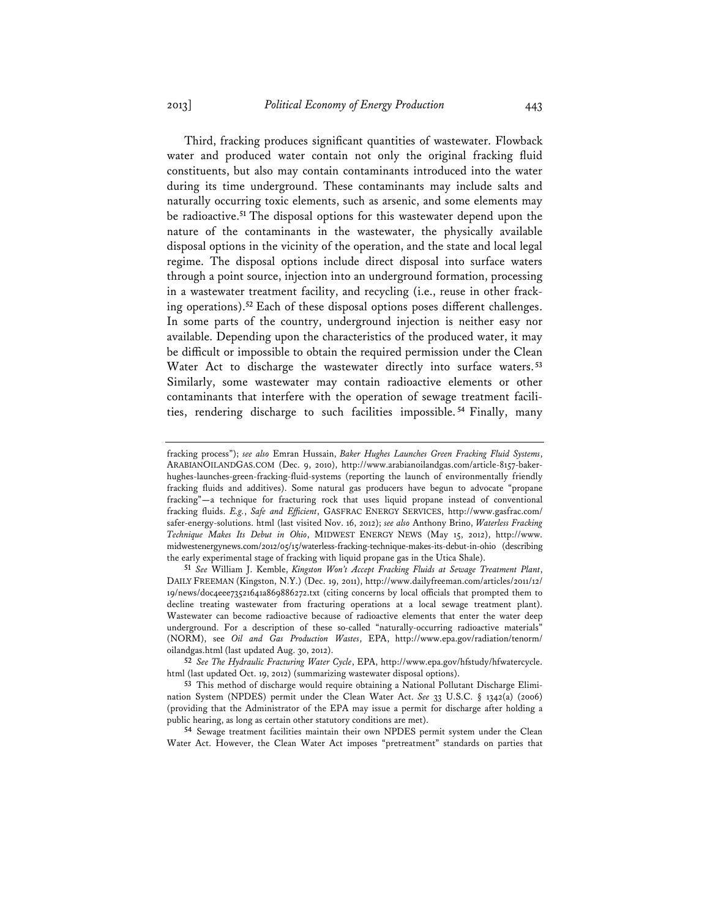Third, fracking produces significant quantities of wastewater. Flowback water and produced water contain not only the original fracking fluid constituents, but also may contain contaminants introduced into the water during its time underground. These contaminants may include salts and naturally occurring toxic elements, such as arsenic, and some elements may be radioactive.**<sup>51</sup>** The disposal options for this wastewater depend upon the nature of the contaminants in the wastewater, the physically available disposal options in the vicinity of the operation, and the state and local legal regime. The disposal options include direct disposal into surface waters through a point source, injection into an underground formation, processing in a wastewater treatment facility, and recycling (i.e., reuse in other fracking operations).**<sup>52</sup>** Each of these disposal options poses different challenges. In some parts of the country, underground injection is neither easy nor available. Depending upon the characteristics of the produced water, it may be difficult or impossible to obtain the required permission under the Clean Water Act to discharge the wastewater directly into surface waters. **<sup>53</sup>** Similarly, some wastewater may contain radioactive elements or other contaminants that interfere with the operation of sewage treatment facilities, rendering discharge to such facilities impossible. **<sup>54</sup>** Finally, many

fracking process"); *see also* Emran Hussain, *Baker Hughes Launches Green Fracking Fluid Systems*, ARABIANOILANDGAS.COM (Dec. 9, 2010), http://www.arabianoilandgas.com/article-8157-bakerhughes-launches-green-fracking-fluid-systems (reporting the launch of environmentally friendly fracking fluids and additives). Some natural gas producers have begun to advocate "propane fracking"**—**a technique for fracturing rock that uses liquid propane instead of conventional fracking fluids. *E.g.*, *Safe and Efficient*, GASFRAC ENERGY SERVICES, http://www.gasfrac.com/ safer-energy-solutions. html (last visited Nov. 16, 2012); *see also* Anthony Brino, *Waterless Fracking Technique Makes Its Debut in Ohio*, MIDWEST ENERGY NEWS (May 15, 2012), http://www. midwestenergynews.com/2012/05/15/waterless-fracking-technique-makes-its-debut-in-ohio (describing the early experimental stage of fracking with liquid propane gas in the Utica Shale).

**<sup>51</sup>** *See* William J. Kemble, *Kingston Won't Accept Fracking Fluids at Sewage Treatment Plant*, DAILY FREEMAN (Kingston, N.Y.) (Dec. 19, 2011), http://www.dailyfreeman.com/articles/2011/12/ 19/news/doc4eee73521641a869886272.txt (citing concerns by local officials that prompted them to decline treating wastewater from fracturing operations at a local sewage treatment plant). Wastewater can become radioactive because of radioactive elements that enter the water deep underground. For a description of these so-called "naturally-occurring radioactive materials" (NORM), see *Oil and Gas Production Wastes*, EPA, http://www.epa.gov/radiation/tenorm/ oilandgas.html (last updated Aug. 30, 2012).

**<sup>52</sup>** *See The Hydraulic Fracturing Water Cycle*, EPA, http://www.epa.gov/hfstudy/hfwatercycle. html (last updated Oct. 19, 2012) (summarizing wastewater disposal options).

**<sup>53</sup>** This method of discharge would require obtaining a National Pollutant Discharge Elimination System (NPDES) permit under the Clean Water Act. *See* 33 U.S.C. § 1342(a) (2006) (providing that the Administrator of the EPA may issue a permit for discharge after holding a public hearing, as long as certain other statutory conditions are met).

**<sup>54</sup>** Sewage treatment facilities maintain their own NPDES permit system under the Clean Water Act. However, the Clean Water Act imposes "pretreatment" standards on parties that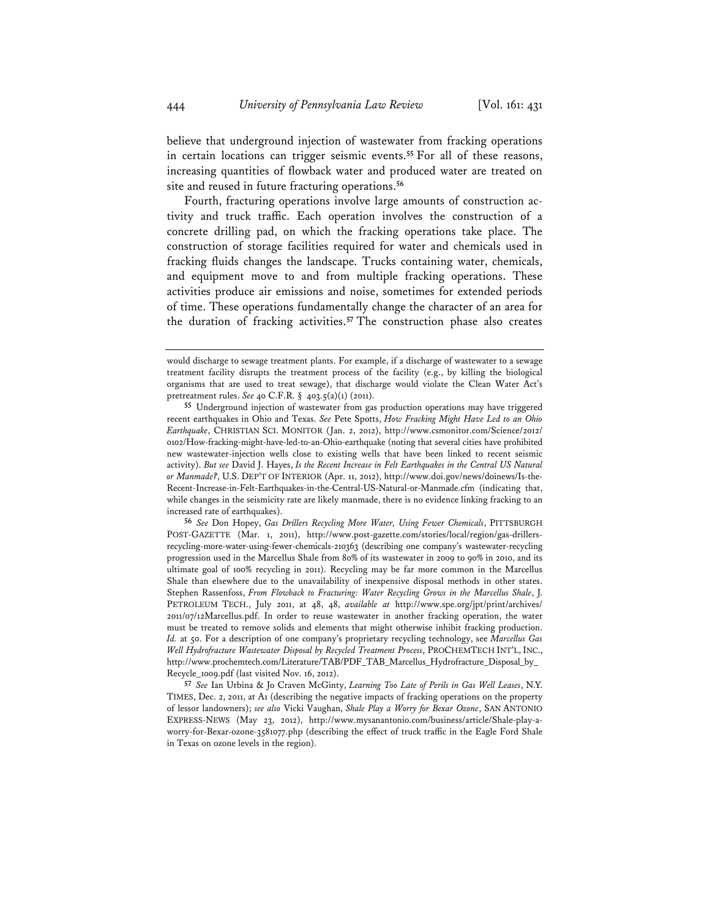believe that underground injection of wastewater from fracking operations in certain locations can trigger seismic events.**<sup>55</sup>** For all of these reasons, increasing quantities of flowback water and produced water are treated on site and reused in future fracturing operations.**<sup>56</sup>**

Fourth, fracturing operations involve large amounts of construction activity and truck traffic. Each operation involves the construction of a concrete drilling pad, on which the fracking operations take place. The construction of storage facilities required for water and chemicals used in fracking fluids changes the landscape. Trucks containing water, chemicals, and equipment move to and from multiple fracking operations. These activities produce air emissions and noise, sometimes for extended periods of time. These operations fundamentally change the character of an area for the duration of fracking activities.**<sup>57</sup>** The construction phase also creates

**56** *See* Don Hopey, *Gas Drillers Recycling More Water, Using Fewer Chemicals*, PITTSBURGH POST-GAZETTE (Mar. 1, 2011), http://www.post-gazette.com/stories/local/region/gas-drillersrecycling-more-water-using-fewer-chemicals-210363 (describing one company's wastewater-recycling progression used in the Marcellus Shale from 80% of its wastewater in 2009 to 90% in 2010, and its ultimate goal of 100% recycling in 2011). Recycling may be far more common in the Marcellus Shale than elsewhere due to the unavailability of inexpensive disposal methods in other states. Stephen Rassenfoss, *From Flowback to Fracturing: Water Recycling Grows in the Marcellus Shale*, J. PETROLEUM TECH., July 2011, at 48, 48, *available at* http://www.spe.org/jpt/print/archives/ 2011/07/12Marcellus.pdf. In order to reuse wastewater in another fracking operation, the water must be treated to remove solids and elements that might otherwise inhibit fracking production. *Id.* at 50. For a description of one company's proprietary recycling technology, see *Marcellus Gas Well Hydrofracture Wastewater Disposal by Recycled Treatment Process*, PROCHEMTECH INT'L, INC., http://www.prochemtech.com/Literature/TAB/PDF\_TAB\_Marcellus\_Hydrofracture\_Disposal\_by\_ Recycle\_1009.pdf (last visited Nov. 16, 2012).

**57** *See* Ian Urbina & Jo Craven McGinty, *Learning Too Late of Perils in Gas Well Leases*, N.Y. TIMES, Dec. 2, 2011, at A1 (describing the negative impacts of fracking operations on the property of lessor landowners); *see also* Vicki Vaughan, *Shale Play a Worry for Bexar Ozone*, SAN ANTONIO EXPRESS-NEWS (May 23, 2012), http://www.mysanantonio.com/business/article/Shale-play-aworry-for-Bexar-ozone-3581077.php (describing the effect of truck traffic in the Eagle Ford Shale in Texas on ozone levels in the region).

would discharge to sewage treatment plants. For example, if a discharge of wastewater to a sewage treatment facility disrupts the treatment process of the facility (e.g., by killing the biological organisms that are used to treat sewage), that discharge would violate the Clean Water Act's pretreatment rules. *See* 40 C.F.R. § 403.5(a)(1) (2011).

**<sup>55</sup>** Underground injection of wastewater from gas production operations may have triggered recent earthquakes in Ohio and Texas. *See* Pete Spotts, *How Fracking Might Have Led to an Ohio Earthquake*, CHRISTIAN SCI. MONITOR (Jan. 2, 2012), http://www.csmonitor.com/Science/2012/ 0102/How-fracking-might-have-led-to-an-Ohio-earthquake (noting that several cities have prohibited new wastewater-injection wells close to existing wells that have been linked to recent seismic activity). *But see* David J. Hayes, *Is the Recent Increase in Felt Earthquakes in the Central US Natural or Manmade?*, U.S. DEP'T OF INTERIOR (Apr. 11, 2012), http://www.doi.gov/news/doinews/Is-the-Recent-Increase-in-Felt-Earthquakes-in-the-Central-US-Natural-or-Manmade.cfm (indicating that, while changes in the seismicity rate are likely manmade, there is no evidence linking fracking to an increased rate of earthquakes).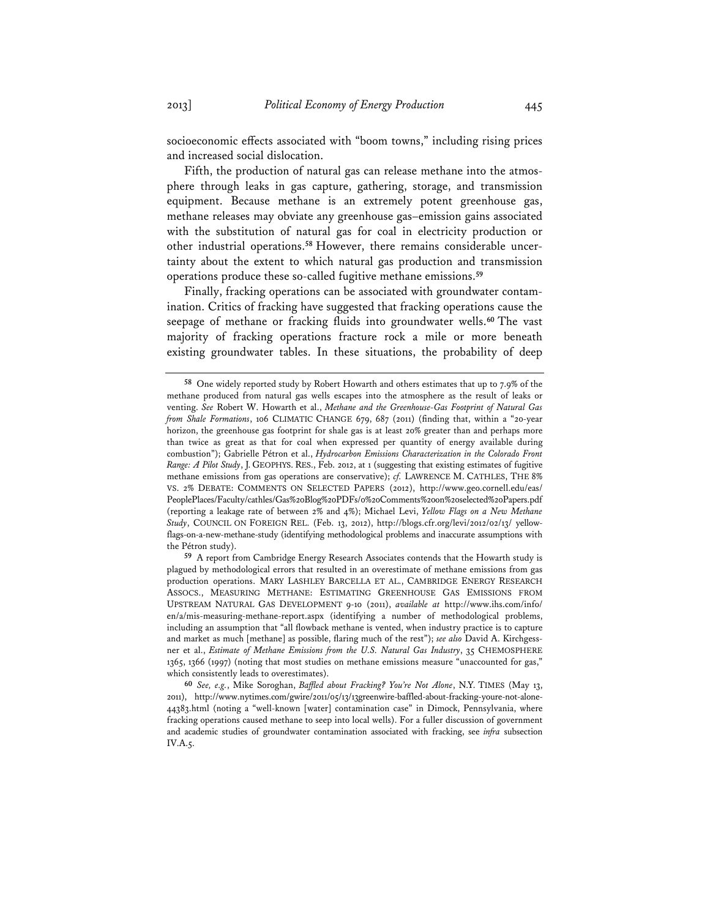socioeconomic effects associated with "boom towns," including rising prices and increased social dislocation.

Fifth, the production of natural gas can release methane into the atmosphere through leaks in gas capture, gathering, storage, and transmission equipment. Because methane is an extremely potent greenhouse gas, methane releases may obviate any greenhouse gas–emission gains associated with the substitution of natural gas for coal in electricity production or other industrial operations.**58** However, there remains considerable uncertainty about the extent to which natural gas production and transmission operations produce these so-called fugitive methane emissions.**<sup>59</sup>**

Finally, fracking operations can be associated with groundwater contamination. Critics of fracking have suggested that fracking operations cause the seepage of methane or fracking fluids into groundwater wells.**<sup>60</sup>** The vast majority of fracking operations fracture rock a mile or more beneath existing groundwater tables. In these situations, the probability of deep

**<sup>58</sup>** One widely reported study by Robert Howarth and others estimates that up to 7.9% of the methane produced from natural gas wells escapes into the atmosphere as the result of leaks or venting. *See* Robert W. Howarth et al., *Methane and the Greenhouse-Gas Footprint of Natural Gas from Shale Formations*, 106 CLIMATIC CHANGE 679, 687 (2011) (finding that, within a "20-year horizon, the greenhouse gas footprint for shale gas is at least 20% greater than and perhaps more than twice as great as that for coal when expressed per quantity of energy available during combustion"); Gabrielle Pétron et al., *Hydrocarbon Emissions Characterization in the Colorado Front Range: A Pilot Study*, J. GEOPHYS. RES., Feb. 2012, at 1 (suggesting that existing estimates of fugitive methane emissions from gas operations are conservative); *cf.* LAWRENCE M. CATHLES, THE 8% VS. 2% DEBATE: COMMENTS ON SELECTED PAPERS (2012), http://www.geo.cornell.edu/eas/ PeoplePlaces/Faculty/cathles/Gas%20Blog%20PDFs/0%20Comments%20on%20selected%20Papers.pdf (reporting a leakage rate of between 2% and 4%); Michael Levi, *Yellow Flags on a New Methane Study*, COUNCIL ON FOREIGN REL. (Feb. 13, 2012), http://blogs.cfr.org/levi/2012/02/13/ yellowflags-on-a-new-methane-study (identifying methodological problems and inaccurate assumptions with the Pétron study).

**<sup>59</sup>** A report from Cambridge Energy Research Associates contends that the Howarth study is plagued by methodological errors that resulted in an overestimate of methane emissions from gas production operations. MARY LASHLEY BARCELLA ET AL., CAMBRIDGE ENERGY RESEARCH ASSOCS., MEASURING METHANE: ESTIMATING GREENHOUSE GAS EMISSIONS FROM UPSTREAM NATURAL GAS DEVELOPMENT 9-10 (2011), *available at* http://www.ihs.com/info/ en/a/mis-measuring-methane-report.aspx (identifying a number of methodological problems, including an assumption that "all flowback methane is vented, when industry practice is to capture and market as much [methane] as possible, flaring much of the rest"); *see also* David A. Kirchgessner et al., *Estimate of Methane Emissions from the U.S. Natural Gas Industry*, 35 CHEMOSPHERE 1365, 1366 (1997) (noting that most studies on methane emissions measure "unaccounted for gas," which consistently leads to overestimates).

**<sup>60</sup>** *See, e.g.*, Mike Soroghan, *Baffled about Fracking? You're Not Alone*, N.Y. TIMES (May 13, 2011), http://www.nytimes.com/gwire/2011/05/13/13greenwire-baffled-about-fracking-youre-not-alone-44383.html (noting a "well-known [water] contamination case" in Dimock, Pennsylvania, where fracking operations caused methane to seep into local wells). For a fuller discussion of government and academic studies of groundwater contamination associated with fracking, see *infra* subsection IV.A.5.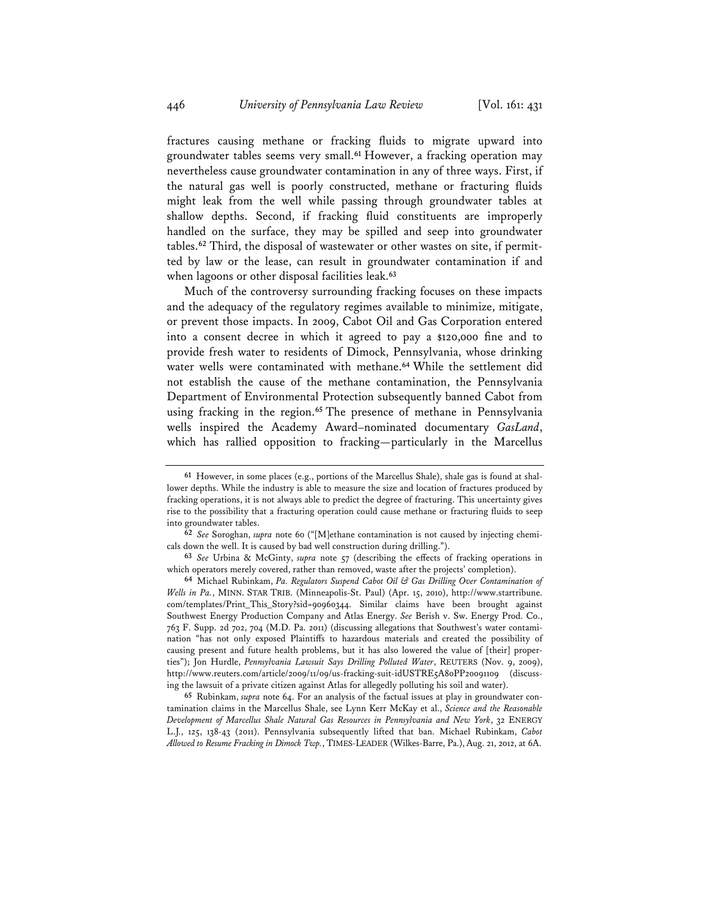fractures causing methane or fracking fluids to migrate upward into groundwater tables seems very small.**<sup>61</sup>** However, a fracking operation may nevertheless cause groundwater contamination in any of three ways. First, if the natural gas well is poorly constructed, methane or fracturing fluids might leak from the well while passing through groundwater tables at shallow depths. Second, if fracking fluid constituents are improperly handled on the surface, they may be spilled and seep into groundwater tables.**62** Third, the disposal of wastewater or other wastes on site, if permitted by law or the lease, can result in groundwater contamination if and when lagoons or other disposal facilities leak.**<sup>63</sup>**

Much of the controversy surrounding fracking focuses on these impacts and the adequacy of the regulatory regimes available to minimize, mitigate, or prevent those impacts. In 2009, Cabot Oil and Gas Corporation entered into a consent decree in which it agreed to pay a \$120,000 fine and to provide fresh water to residents of Dimock, Pennsylvania, whose drinking water wells were contaminated with methane.**<sup>64</sup>** While the settlement did not establish the cause of the methane contamination, the Pennsylvania Department of Environmental Protection subsequently banned Cabot from using fracking in the region.**<sup>65</sup>** The presence of methane in Pennsylvania wells inspired the Academy Award–nominated documentary *GasLand*, which has rallied opposition to fracking—particularly in the Marcellus

**<sup>61</sup>** However, in some places (e.g., portions of the Marcellus Shale), shale gas is found at shallower depths. While the industry is able to measure the size and location of fractures produced by fracking operations, it is not always able to predict the degree of fracturing. This uncertainty gives rise to the possibility that a fracturing operation could cause methane or fracturing fluids to seep into groundwater tables.

**<sup>62</sup>** *See* Soroghan, *supra* note 60 ("[M]ethane contamination is not caused by injecting chemicals down the well. It is caused by bad well construction during drilling.").

**<sup>63</sup>** *See* Urbina & McGinty, *supra* note 57 (describing the effects of fracking operations in which operators merely covered, rather than removed, waste after the projects' completion).

**<sup>64</sup>** Michael Rubinkam, *Pa. Regulators Suspend Cabot Oil & Gas Drilling Over Contamination of Wells in Pa.*, MINN. STAR TRIB. (Minneapolis-St. Paul) (Apr. 15, 2010), http://www.startribune. com/templates/Print\_This\_Story?sid=90960344. Similar claims have been brought against Southwest Energy Production Company and Atlas Energy. *See* Berish v. Sw. Energy Prod. Co., 763 F. Supp. 2d 702, 704 (M.D. Pa. 2011) (discussing allegations that Southwest's water contamination "has not only exposed Plaintiffs to hazardous materials and created the possibility of causing present and future health problems, but it has also lowered the value of [their] properties"); Jon Hurdle, *Pennsylvania Lawsuit Says Drilling Polluted Water*, REUTERS (Nov. 9, 2009), http://www.reuters.com/article/2009/11/09/us-fracking-suit-idUSTRE5A80PP20091109 (discussing the lawsuit of a private citizen against Atlas for allegedly polluting his soil and water).

**<sup>65</sup>** Rubinkam, *supra* note 64. For an analysis of the factual issues at play in groundwater contamination claims in the Marcellus Shale, see Lynn Kerr McKay et al., *Science and the Reasonable Development of Marcellus Shale Natural Gas Resources in Pennsylvania and New York*, 32 ENERGY L.J., 125, 138-43 (2011). Pennsylvania subsequently lifted that ban. Michael Rubinkam, *Cabot Allowed to Resume Fracking in Dimock Twp.*, TIMES-LEADER (Wilkes-Barre, Pa.), Aug. 21, 2012, at 6A.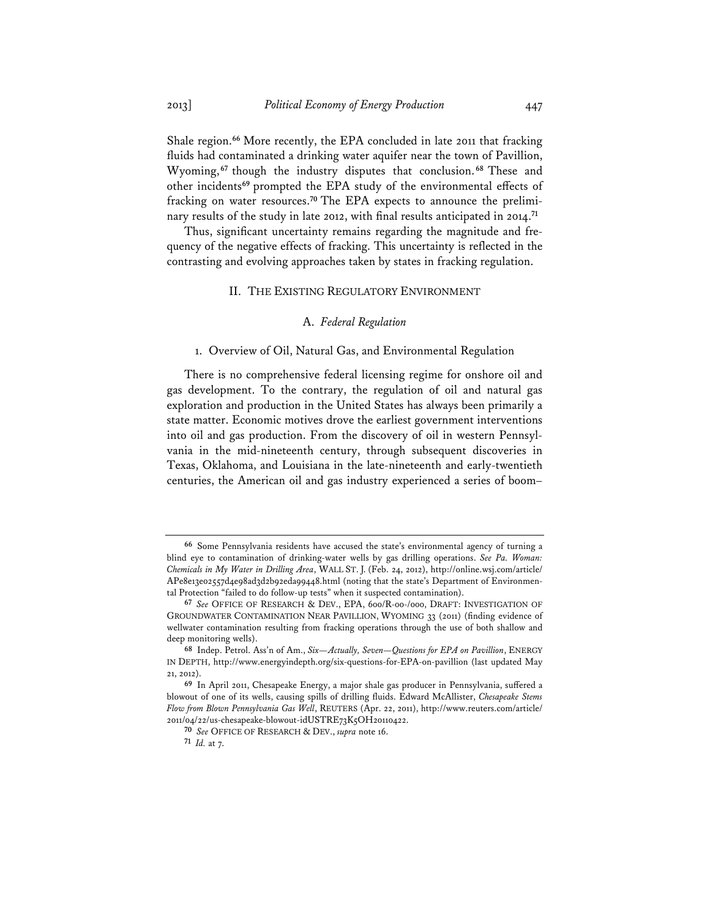Shale region.**<sup>66</sup>** More recently, the EPA concluded in late 2011 that fracking fluids had contaminated a drinking water aquifer near the town of Pavillion, Wyoming,**<sup>67</sup>** though the industry disputes that conclusion. **<sup>68</sup>** These and other incidents**<sup>69</sup>** prompted the EPA study of the environmental effects of fracking on water resources.**70** The EPA expects to announce the preliminary results of the study in late 2012, with final results anticipated in 2014.**<sup>71</sup>**

Thus, significant uncertainty remains regarding the magnitude and frequency of the negative effects of fracking. This uncertainty is reflected in the contrasting and evolving approaches taken by states in fracking regulation.

## II. THE EXISTING REGULATORY ENVIRONMENT

### A. *Federal Regulation*

#### 1. Overview of Oil, Natural Gas, and Environmental Regulation

There is no comprehensive federal licensing regime for onshore oil and gas development. To the contrary, the regulation of oil and natural gas exploration and production in the United States has always been primarily a state matter. Economic motives drove the earliest government interventions into oil and gas production. From the discovery of oil in western Pennsylvania in the mid-nineteenth century, through subsequent discoveries in Texas, Oklahoma, and Louisiana in the late-nineteenth and early-twentieth centuries, the American oil and gas industry experienced a series of boom–

**<sup>66</sup>** Some Pennsylvania residents have accused the state's environmental agency of turning a blind eye to contamination of drinking-water wells by gas drilling operations. *See Pa. Woman: Chemicals in My Water in Drilling Area*, WALL ST. J. (Feb. 24, 2012), http://online.wsj.com/article/ APe8e13e02557d4e98ad3d2b92eda99448.html (noting that the state's Department of Environmental Protection "failed to do follow-up tests" when it suspected contamination).

**<sup>67</sup>** *See* OFFICE OF RESEARCH & DEV., EPA, 600/R-00-/000, DRAFT: INVESTIGATION OF GROUNDWATER CONTAMINATION NEAR PAVILLION, WYOMING 33 (2011) (finding evidence of wellwater contamination resulting from fracking operations through the use of both shallow and deep monitoring wells).

**<sup>68</sup>** Indep. Petrol. Ass'n of Am., *Six—Actually, Seven—Questions for EPA on Pavillion*, ENERGY IN DEPTH, http://www.energyindepth.org/six-questions-for-EPA-on-pavillion (last updated May 21, 2012).

**<sup>69</sup>** In April 2011, Chesapeake Energy, a major shale gas producer in Pennsylvania, suffered a blowout of one of its wells, causing spills of drilling fluids. Edward McAllister, *Chesapeake Stems Flow from Blown Pennsylvania Gas Well*, REUTERS (Apr. 22, 2011), http://www.reuters.com/article/ 2011/04/22/us-chesapeake-blowout-idUSTRE73K5OH20110422.

**<sup>70</sup>** *See* OFFICE OF RESEARCH & DEV., *supra* note 16.

**<sup>71</sup>** *Id.* at 7.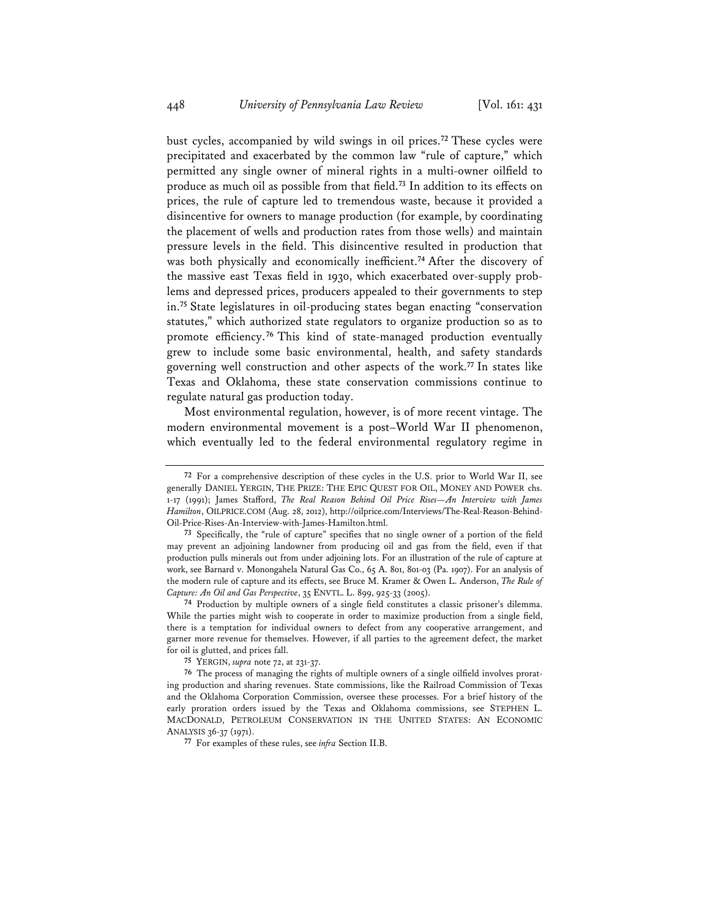bust cycles, accompanied by wild swings in oil prices.**<sup>72</sup>** These cycles were precipitated and exacerbated by the common law "rule of capture," which permitted any single owner of mineral rights in a multi-owner oilfield to produce as much oil as possible from that field.**<sup>73</sup>** In addition to its effects on prices, the rule of capture led to tremendous waste, because it provided a disincentive for owners to manage production (for example, by coordinating the placement of wells and production rates from those wells) and maintain pressure levels in the field. This disincentive resulted in production that was both physically and economically inefficient.**<sup>74</sup>** After the discovery of the massive east Texas field in 1930, which exacerbated over-supply problems and depressed prices, producers appealed to their governments to step in.**<sup>75</sup>** State legislatures in oil-producing states began enacting "conservation statutes," which authorized state regulators to organize production so as to promote efficiency.**<sup>76</sup>** This kind of state-managed production eventually grew to include some basic environmental, health, and safety standards governing well construction and other aspects of the work.**<sup>77</sup>** In states like Texas and Oklahoma, these state conservation commissions continue to regulate natural gas production today.

Most environmental regulation, however, is of more recent vintage. The modern environmental movement is a post–World War II phenomenon, which eventually led to the federal environmental regulatory regime in

**74** Production by multiple owners of a single field constitutes a classic prisoner's dilemma. While the parties might wish to cooperate in order to maximize production from a single field, there is a temptation for individual owners to defect from any cooperative arrangement, and garner more revenue for themselves. However, if all parties to the agreement defect, the market for oil is glutted, and prices fall.

**<sup>72</sup>** For a comprehensive description of these cycles in the U.S. prior to World War II, see generally DANIEL YERGIN, THE PRIZE: THE EPIC QUEST FOR OIL, MONEY AND POWER chs. 1-17 (1991); James Stafford, *The Real Reason Behind Oil Price Rises—An Interview with James Hamilton*, OILPRICE.COM (Aug. 28, 2012), http://oilprice.com/Interviews/The-Real-Reason-Behind-Oil-Price-Rises-An-Interview-with-James-Hamilton.html.

**<sup>73</sup>** Specifically, the "rule of capture" specifies that no single owner of a portion of the field may prevent an adjoining landowner from producing oil and gas from the field, even if that production pulls minerals out from under adjoining lots. For an illustration of the rule of capture at work, see Barnard v. Monongahela Natural Gas Co., 65 A. 801, 801-03 (Pa. 1907). For an analysis of the modern rule of capture and its effects, see Bruce M. Kramer & Owen L. Anderson, *The Rule of Capture: An Oil and Gas Perspective*, 35 ENVTL. L. 899, 925-33 (2005).

**<sup>75</sup>** YERGIN, *supra* note 72, at 231-37.

**<sup>76</sup>** The process of managing the rights of multiple owners of a single oilfield involves prorating production and sharing revenues. State commissions, like the Railroad Commission of Texas and the Oklahoma Corporation Commission, oversee these processes. For a brief history of the early proration orders issued by the Texas and Oklahoma commissions, see STEPHEN L. MACDONALD, PETROLEUM CONSERVATION IN THE UNITED STATES: AN ECONOMIC ANALYSIS 36-37 (1971).

**<sup>77</sup>** For examples of these rules, see *infra* Section II.B.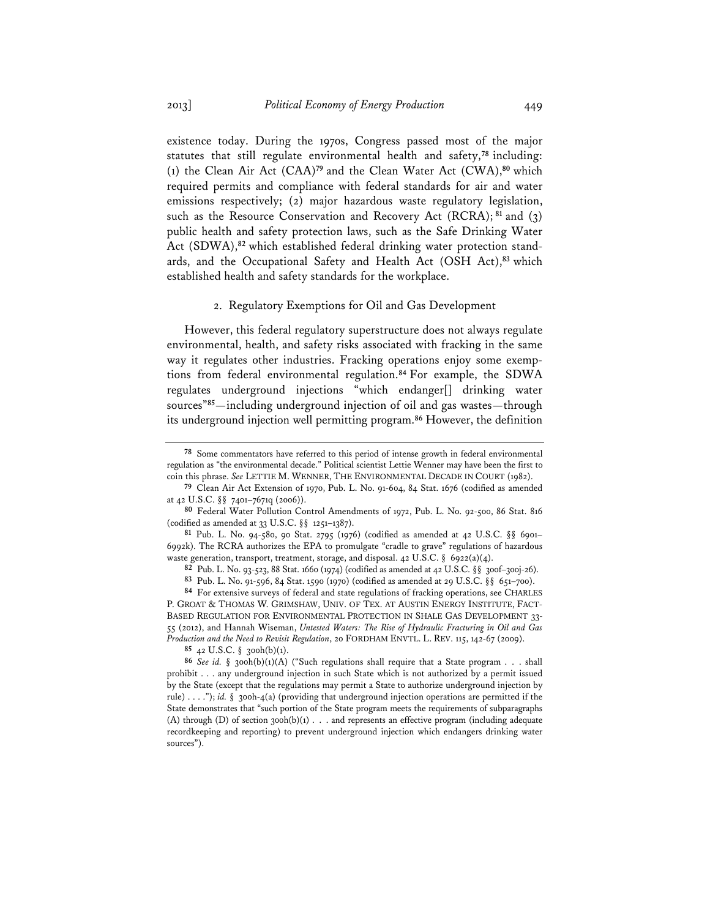existence today. During the 1970s, Congress passed most of the major statutes that still regulate environmental health and safety,**<sup>78</sup>** including: (1) the Clean Air Act (CAA)**<sup>79</sup>** and the Clean Water Act (CWA),**<sup>80</sup>** which required permits and compliance with federal standards for air and water emissions respectively; (2) major hazardous waste regulatory legislation, such as the Resource Conservation and Recovery Act (RCRA);**<sup>81</sup>** and (3) public health and safety protection laws, such as the Safe Drinking Water Act (SDWA),**82** which established federal drinking water protection standards, and the Occupational Safety and Health Act (OSH Act),**<sup>83</sup>** which established health and safety standards for the workplace.

### 2. Regulatory Exemptions for Oil and Gas Development

However, this federal regulatory superstructure does not always regulate environmental, health, and safety risks associated with fracking in the same way it regulates other industries. Fracking operations enjoy some exemptions from federal environmental regulation.**<sup>84</sup>** For example, the SDWA regulates underground injections "which endanger[] drinking water sources"**<sup>85</sup>**—including underground injection of oil and gas wastes—through its underground injection well permitting program.**<sup>86</sup>** However, the definition

**85** 42 U.S.C. § 300h(b)(1).

**<sup>78</sup>** Some commentators have referred to this period of intense growth in federal environmental regulation as "the environmental decade." Political scientist Lettie Wenner may have been the first to coin this phrase. *See* LETTIE M. WENNER, THE ENVIRONMENTAL DECADE IN COURT (1982).

**<sup>79</sup>** Clean Air Act Extension of 1970, Pub. L. No. 91-604, 84 Stat. 1676 (codified as amended at 42 U.S.C. §§ 7401–7671q (2006)).

**<sup>80</sup>** Federal Water Pollution Control Amendments of 1972, Pub. L. No. 92-500, 86 Stat. 816 (codified as amended at 33 U.S.C. §§ 1251–1387).

**<sup>81</sup>** Pub. L. No. 94-580, 90 Stat. 2795 (1976) (codified as amended at 42 U.S.C. §§ 6901– 6992k). The RCRA authorizes the EPA to promulgate "cradle to grave" regulations of hazardous waste generation, transport, treatment, storage, and disposal. 42 U.S.C. § 6922(a)(4).

**<sup>82</sup>** Pub. L. No. 93-523, 88 Stat. 1660 (1974) (codified as amended at 42 U.S.C. §§ 300f–300j-26).

**<sup>83</sup>** Pub. L. No. 91-596, 84 Stat. 1590 (1970) (codified as amended at 29 U.S.C. §§ 651–700).

**<sup>84</sup>** For extensive surveys of federal and state regulations of fracking operations, see CHARLES P. GROAT & THOMAS W. GRIMSHAW, UNIV. OF TEX. AT AUSTIN ENERGY INSTITUTE, FACT-BASED REGULATION FOR ENVIRONMENTAL PROTECTION IN SHALE GAS DEVELOPMENT 33- 55 (2012), and Hannah Wiseman, *Untested Waters: The Rise of Hydraulic Fracturing in Oil and Gas Production and the Need to Revisit Regulation*, 20 FORDHAM ENVTL. L. REV. 115, 142-67 (2009).

**<sup>86</sup>** *See id.* § 300h(b)(1)(A) ("Such regulations shall require that a State program . . . shall prohibit . . . any underground injection in such State which is not authorized by a permit issued by the State (except that the regulations may permit a State to authorize underground injection by rule) . . . ."); *id.* § 300h-4(a) (providing that underground injection operations are permitted if the State demonstrates that "such portion of the State program meets the requirements of subparagraphs (A) through (D) of section 300h(b)(1)  $\ldots$  and represents an effective program (including adequate recordkeeping and reporting) to prevent underground injection which endangers drinking water sources").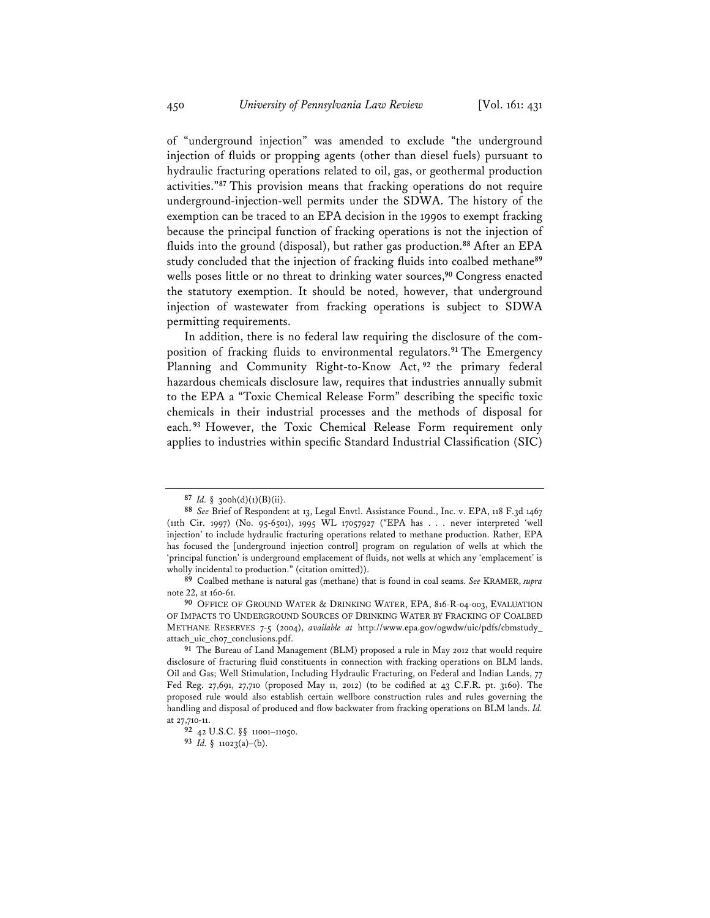of "underground injection" was amended to exclude "the underground injection of fluids or propping agents (other than diesel fuels) pursuant to hydraulic fracturing operations related to oil, gas, or geothermal production activities."**<sup>87</sup>** This provision means that fracking operations do not require underground-injection-well permits under the SDWA. The history of the exemption can be traced to an EPA decision in the 1990s to exempt fracking because the principal function of fracking operations is not the injection of fluids into the ground (disposal), but rather gas production.**<sup>88</sup>** After an EPA study concluded that the injection of fracking fluids into coalbed methane**<sup>89</sup>** wells poses little or no threat to drinking water sources,**<sup>90</sup>** Congress enacted the statutory exemption. It should be noted, however, that underground injection of wastewater from fracking operations is subject to SDWA permitting requirements.

In addition, there is no federal law requiring the disclosure of the composition of fracking fluids to environmental regulators.**<sup>91</sup>** The Emergency Planning and Community Right-to-Know Act, **<sup>92</sup>** the primary federal hazardous chemicals disclosure law, requires that industries annually submit to the EPA a "Toxic Chemical Release Form" describing the specific toxic chemicals in their industrial processes and the methods of disposal for each. **<sup>93</sup>** However, the Toxic Chemical Release Form requirement only applies to industries within specific Standard Industrial Classification (SIC)

**<sup>87</sup>** *Id.* § 300h(d)(1)(B)(ii).

**<sup>88</sup>** *See* Brief of Respondent at 13, Legal Envtl. Assistance Found., Inc. v. EPA, 118 F.3d 1467 (11th Cir. 1997) (No. 95-6501), 1995 WL 17057927 ("EPA has . . . never interpreted 'well injection' to include hydraulic fracturing operations related to methane production. Rather, EPA has focused the [underground injection control] program on regulation of wells at which the 'principal function' is underground emplacement of fluids, not wells at which any 'emplacement' is wholly incidental to production." (citation omitted)).

**<sup>89</sup>** Coalbed methane is natural gas (methane) that is found in coal seams. *See* KRAMER, *supra* note 22, at 160-61.

**<sup>90</sup>** OFFICE OF GROUND WATER & DRINKING WATER, EPA, 816-R-04-003, EVALUATION OF IMPACTS TO UNDERGROUND SOURCES OF DRINKING WATER BY FRACKING OF COALBED METHANE RESERVES 7-5 (2004), *available at* http://www.epa.gov/ogwdw/uic/pdfs/cbmstudy\_ attach\_uic\_ch07\_conclusions.pdf.

**<sup>91</sup>** The Bureau of Land Management (BLM) proposed a rule in May 2012 that would require disclosure of fracturing fluid constituents in connection with fracking operations on BLM lands. Oil and Gas; Well Stimulation, Including Hydraulic Fracturing, on Federal and Indian Lands, 77 Fed Reg. 27,691, 27,710 (proposed May 11, 2012) (to be codified at 43 C.F.R. pt. 3160). The proposed rule would also establish certain wellbore construction rules and rules governing the handling and disposal of produced and flow backwater from fracking operations on BLM lands. *Id.* at 27,710-11.

**<sup>92</sup>** 42 U.S.C. §§ 11001–11050. **93** *Id.* § 11023(a)–(b).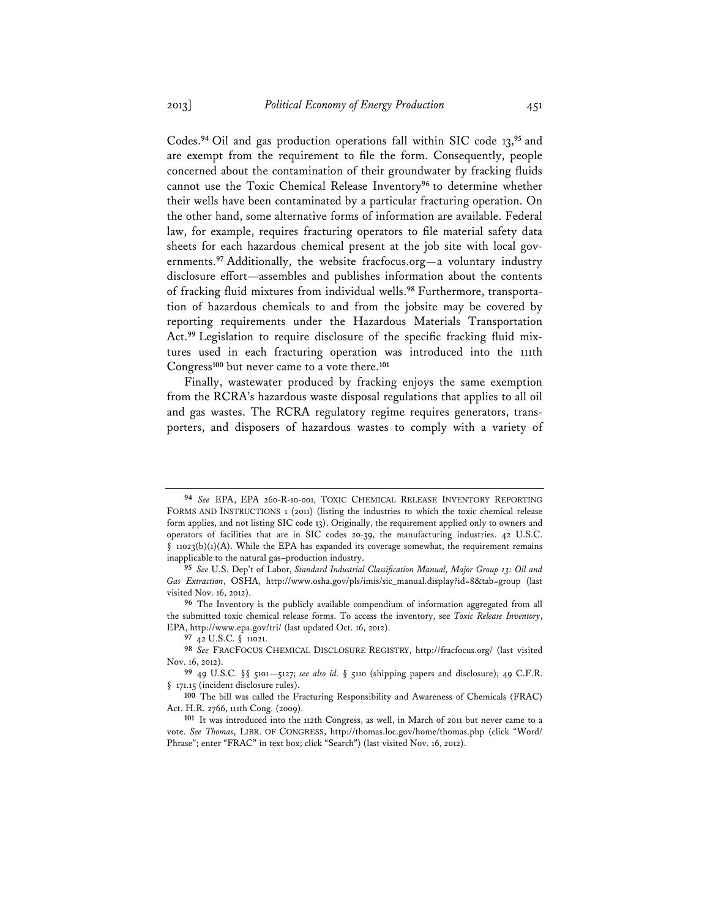Codes.**<sup>94</sup>** Oil and gas production operations fall within SIC code 13,**<sup>95</sup>** and are exempt from the requirement to file the form. Consequently, people concerned about the contamination of their groundwater by fracking fluids cannot use the Toxic Chemical Release Inventory**<sup>96</sup>** to determine whether their wells have been contaminated by a particular fracturing operation. On the other hand, some alternative forms of information are available. Federal law, for example, requires fracturing operators to file material safety data sheets for each hazardous chemical present at the job site with local governments.**<sup>97</sup>** Additionally, the website fracfocus.org—a voluntary industry disclosure effort—assembles and publishes information about the contents of fracking fluid mixtures from individual wells.**98** Furthermore, transportation of hazardous chemicals to and from the jobsite may be covered by reporting requirements under the Hazardous Materials Transportation Act.**99** Legislation to require disclosure of the specific fracking fluid mixtures used in each fracturing operation was introduced into the 111th Congress**<sup>100</sup>** but never came to a vote there.**<sup>101</sup>**

Finally, wastewater produced by fracking enjoys the same exemption from the RCRA's hazardous waste disposal regulations that applies to all oil and gas wastes. The RCRA regulatory regime requires generators, transporters, and disposers of hazardous wastes to comply with a variety of

**<sup>94</sup>** *See* EPA, EPA 260-R-10-001, TOXIC CHEMICAL RELEASE INVENTORY REPORTING FORMS AND INSTRUCTIONS 1 (2011) (listing the industries to which the toxic chemical release form applies, and not listing SIC code 13). Originally, the requirement applied only to owners and operators of facilities that are in SIC codes 20-39, the manufacturing industries. 42 U.S.C.  $\S$  11023(b)(1)(A). While the EPA has expanded its coverage somewhat, the requirement remains inapplicable to the natural gas–production industry.

**<sup>95</sup>** *See* U.S. Dep't of Labor, *Standard Industrial Classification Manual, Major Group 13: Oil and Gas Extraction*, OSHA, http://www.osha.gov/pls/imis/sic\_manual.display?id=8&tab=group (last visited Nov. 16, 2012).

**<sup>96</sup>** The Inventory is the publicly available compendium of information aggregated from all the submitted toxic chemical release forms. To access the inventory, see *Toxic Release Inventory*, EPA, http://www.epa.gov/tri/ (last updated Oct. 16, 2012).

**<sup>97</sup>** 42 U.S.C. § 11021.

**<sup>98</sup>** *See* FRACFOCUS CHEMICAL DISCLOSURE REGISTRY, http://fracfocus.org/ (last visited Nov. 16, 2012).

**<sup>99</sup>** 49 U.S.C. §§ 5101—5127; *see also id.* § 5110 (shipping papers and disclosure); 49 C.F.R. § 171.15 (incident disclosure rules).

**<sup>100</sup>** The bill was called the Fracturing Responsibility and Awareness of Chemicals (FRAC) Act. H.R. 2766, 111th Cong. (2009).

**<sup>101</sup>** It was introduced into the 112th Congress, as well, in March of 2011 but never came to a vote. *See Thomas*, LIBR. OF CONGRESS, http://thomas.loc.gov/home/thomas.php (click "Word/ Phrase"; enter "FRAC" in text box; click "Search") (last visited Nov. 16, 2012).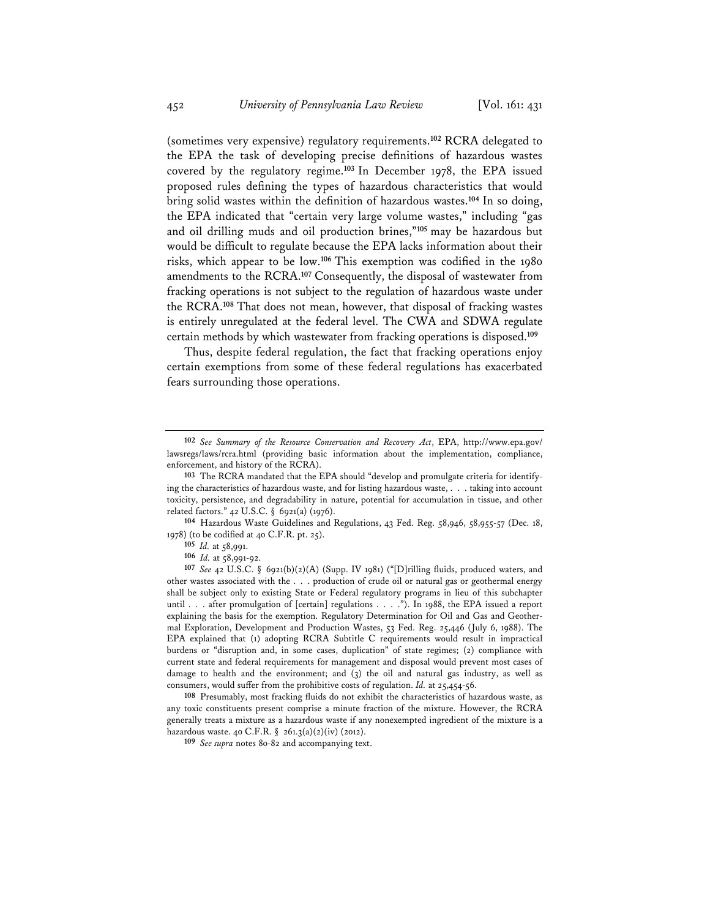(sometimes very expensive) regulatory requirements.**<sup>102</sup>** RCRA delegated to the EPA the task of developing precise definitions of hazardous wastes covered by the regulatory regime.**<sup>103</sup>** In December 1978, the EPA issued proposed rules defining the types of hazardous characteristics that would bring solid wastes within the definition of hazardous wastes.**<sup>104</sup>** In so doing, the EPA indicated that "certain very large volume wastes," including "gas and oil drilling muds and oil production brines,"**<sup>105</sup>** may be hazardous but would be difficult to regulate because the EPA lacks information about their risks, which appear to be low.**<sup>106</sup>** This exemption was codified in the 1980 amendments to the RCRA.**<sup>107</sup>** Consequently, the disposal of wastewater from fracking operations is not subject to the regulation of hazardous waste under the RCRA.**<sup>108</sup>** That does not mean, however, that disposal of fracking wastes is entirely unregulated at the federal level. The CWA and SDWA regulate certain methods by which wastewater from fracking operations is disposed.**<sup>109</sup>**

Thus, despite federal regulation, the fact that fracking operations enjoy certain exemptions from some of these federal regulations has exacerbated fears surrounding those operations.

**104** Hazardous Waste Guidelines and Regulations, 43 Fed. Reg. 58,946, 58,955-57 (Dec. 18, 1978) (to be codified at 40 C.F.R. pt. 25).

**106** *Id.* at 58,991-92.

**108** Presumably, most fracking fluids do not exhibit the characteristics of hazardous waste, as any toxic constituents present comprise a minute fraction of the mixture. However, the RCRA generally treats a mixture as a hazardous waste if any nonexempted ingredient of the mixture is a hazardous waste. 40 C.F.R. § 261.3(a)(2)(iv) (2012).

**109** *See supra* notes 80-82 and accompanying text.

**<sup>102</sup>** *See Summary of the Resource Conservation and Recovery Act*, EPA, http://www.epa.gov/ lawsregs/laws/rcra.html (providing basic information about the implementation, compliance, enforcement, and history of the RCRA).

**<sup>103</sup>** The RCRA mandated that the EPA should "develop and promulgate criteria for identifying the characteristics of hazardous waste, and for listing hazardous waste, . . . taking into account toxicity, persistence, and degradability in nature, potential for accumulation in tissue, and other related factors." 42 U.S.C. § 6921(a) (1976).

**<sup>105</sup>** *Id.* at 58,991.

**<sup>107</sup>** *See* 42 U.S.C. § 6921(b)(2)(A) (Supp. IV 1981) ("[D]rilling fluids, produced waters, and other wastes associated with the . . . production of crude oil or natural gas or geothermal energy shall be subject only to existing State or Federal regulatory programs in lieu of this subchapter until . . . after promulgation of [certain] regulations . . . ."). In 1988, the EPA issued a report explaining the basis for the exemption. Regulatory Determination for Oil and Gas and Geothermal Exploration, Development and Production Wastes, 53 Fed. Reg. 25,446 (July 6, 1988). The EPA explained that (1) adopting RCRA Subtitle C requirements would result in impractical burdens or "disruption and, in some cases, duplication" of state regimes; (2) compliance with current state and federal requirements for management and disposal would prevent most cases of damage to health and the environment; and (3) the oil and natural gas industry, as well as consumers, would suffer from the prohibitive costs of regulation. *Id.* at 25,454-56.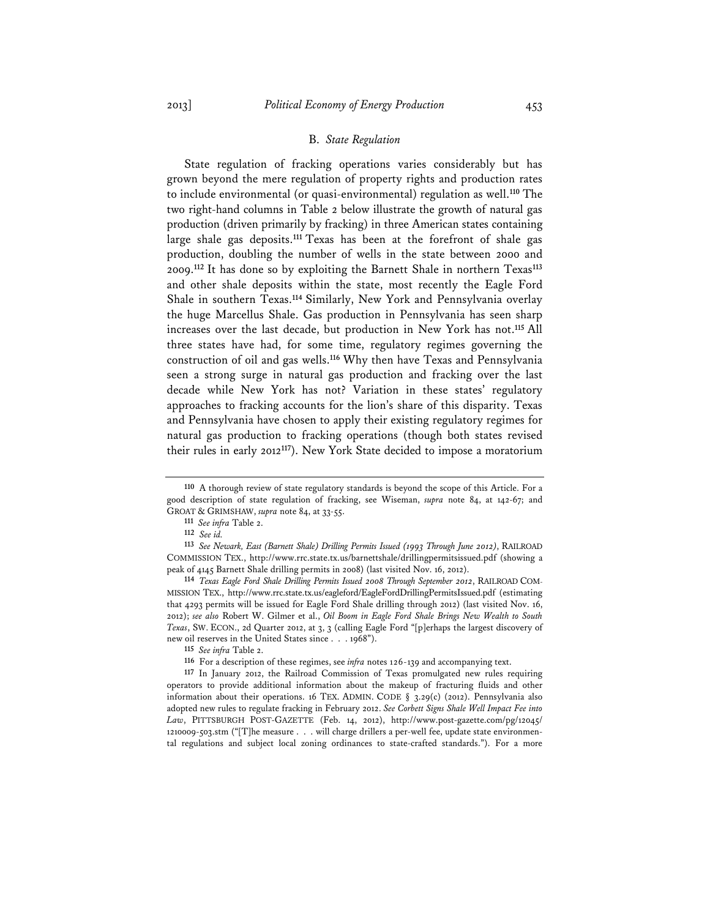### B. *State Regulation*

State regulation of fracking operations varies considerably but has grown beyond the mere regulation of property rights and production rates to include environmental (or quasi-environmental) regulation as well.**<sup>110</sup>** The two right-hand columns in Table 2 below illustrate the growth of natural gas production (driven primarily by fracking) in three American states containing large shale gas deposits.**<sup>111</sup>** Texas has been at the forefront of shale gas production, doubling the number of wells in the state between 2000 and 2009.**<sup>112</sup>** It has done so by exploiting the Barnett Shale in northern Texas**<sup>113</sup>** and other shale deposits within the state, most recently the Eagle Ford Shale in southern Texas.**<sup>114</sup>** Similarly, New York and Pennsylvania overlay the huge Marcellus Shale. Gas production in Pennsylvania has seen sharp increases over the last decade, but production in New York has not.**<sup>115</sup>** All three states have had, for some time, regulatory regimes governing the construction of oil and gas wells.**<sup>116</sup>** Why then have Texas and Pennsylvania seen a strong surge in natural gas production and fracking over the last decade while New York has not? Variation in these states' regulatory approaches to fracking accounts for the lion's share of this disparity. Texas and Pennsylvania have chosen to apply their existing regulatory regimes for natural gas production to fracking operations (though both states revised their rules in early 2012**<sup>117</sup>**). New York State decided to impose a moratorium

**<sup>110</sup>** A thorough review of state regulatory standards is beyond the scope of this Article. For a good description of state regulation of fracking, see Wiseman, *supra* note 84, at 142-67; and GROAT & GRIMSHAW, *supra* note 84, at 33-55.

**<sup>111</sup>** *See infra* Table 2.

**<sup>112</sup>** *See id.*

**<sup>113</sup>** *See Newark, East (Barnett Shale) Drilling Permits Issued (1993 Through June 2012)*, RAILROAD COMMISSION TEX., http://www.rrc.state.tx.us/barnettshale/drillingpermitsissued.pdf (showing a peak of 4145 Barnett Shale drilling permits in 2008) (last visited Nov. 16, 2012).

**<sup>114</sup>** *Texas Eagle Ford Shale Drilling Permits Issued 2008 Through September 2012*, RAILROAD COM-MISSION TEX., http://www.rrc.state.tx.us/eagleford/EagleFordDrillingPermitsIssued.pdf (estimating that 4293 permits will be issued for Eagle Ford Shale drilling through 2012) (last visited Nov. 16, 2012); *see also* Robert W. Gilmer et al., *Oil Boom in Eagle Ford Shale Brings New Wealth to South Texas*, SW. ECON., 2d Quarter 2012, at 3, 3 (calling Eagle Ford "[p]erhaps the largest discovery of new oil reserves in the United States since . . . 1968").

**<sup>115</sup>** *See infra* Table 2.

**<sup>116</sup>** For a description of these regimes, see *infra* notes 126-139 and accompanying text.

**<sup>117</sup>** In January 2012, the Railroad Commission of Texas promulgated new rules requiring operators to provide additional information about the makeup of fracturing fluids and other information about their operations. 16 TEX. ADMIN. CODE  $\S$  3.29(c) (2012). Pennsylvania also adopted new rules to regulate fracking in February 2012. *See Corbett Signs Shale Well Impact Fee into Law*, PITTSBURGH POST-GAZETTE (Feb. 14, 2012), http://www.post-gazette.com/pg/12045/ 1210009-503.stm ("[T]he measure . . . will charge drillers a per-well fee, update state environmental regulations and subject local zoning ordinances to state-crafted standards."). For a more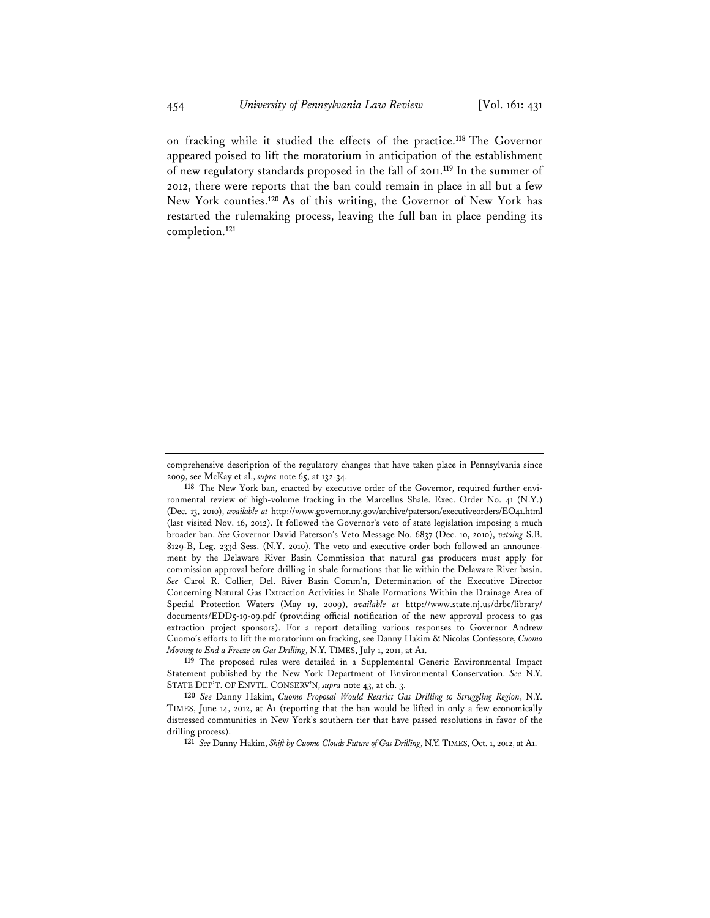on fracking while it studied the effects of the practice.**<sup>118</sup>** The Governor appeared poised to lift the moratorium in anticipation of the establishment of new regulatory standards proposed in the fall of 2011.**<sup>119</sup>** In the summer of 2012, there were reports that the ban could remain in place in all but a few New York counties.**<sup>120</sup>** As of this writing, the Governor of New York has restarted the rulemaking process, leaving the full ban in place pending its completion.**<sup>121</sup>**

**119** The proposed rules were detailed in a Supplemental Generic Environmental Impact Statement published by the New York Department of Environmental Conservation. *See* N.Y. STATE DEP'T. OF ENVTL. CONSERV'N, *supra* note 43, at ch. 3.

**120** *See* Danny Hakim, *Cuomo Proposal Would Restrict Gas Drilling to Struggling Region*, N.Y. TIMES, June 14, 2012, at A1 (reporting that the ban would be lifted in only a few economically distressed communities in New York's southern tier that have passed resolutions in favor of the drilling process).

**121** *See* Danny Hakim, *Shift by Cuomo Clouds Future of Gas Drilling*, N.Y.TIMES, Oct. 1, 2012, at A1.

comprehensive description of the regulatory changes that have taken place in Pennsylvania since 2009, see McKay et al., *supra* note 65, at 132-34.

**<sup>118</sup>** The New York ban, enacted by executive order of the Governor, required further environmental review of high-volume fracking in the Marcellus Shale. Exec. Order No. 41 (N.Y.) (Dec. 13, 2010), *available at* http://www.governor.ny.gov/archive/paterson/executiveorders/EO41.html (last visited Nov. 16, 2012). It followed the Governor's veto of state legislation imposing a much broader ban. *See* Governor David Paterson's Veto Message No. 6837 (Dec. 10, 2010), *vetoing* S.B. 8129-B, Leg. 233d Sess. (N.Y. 2010). The veto and executive order both followed an announcement by the Delaware River Basin Commission that natural gas producers must apply for commission approval before drilling in shale formations that lie within the Delaware River basin. *See* Carol R. Collier, Del. River Basin Comm'n, Determination of the Executive Director Concerning Natural Gas Extraction Activities in Shale Formations Within the Drainage Area of Special Protection Waters (May 19, 2009), *available at* http://www.state.nj.us/drbc/library/ documents/EDD5-19-09.pdf (providing official notification of the new approval process to gas extraction project sponsors). For a report detailing various responses to Governor Andrew Cuomo's efforts to lift the moratorium on fracking, see Danny Hakim & Nicolas Confessore, *Cuomo Moving to End a Freeze on Gas Drilling*, N.Y. TIMES, July 1, 2011, at A1.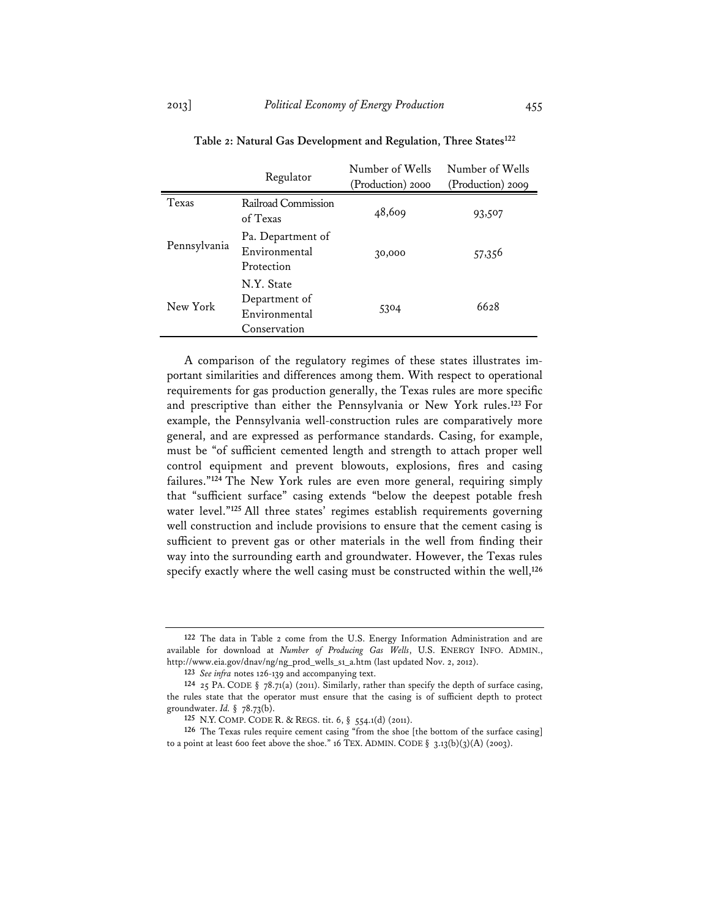|              | Regulator                                                    | Number of Wells<br>(Production) 2000 | Number of Wells<br>(Production) 2009 |
|--------------|--------------------------------------------------------------|--------------------------------------|--------------------------------------|
| Texas        | Railroad Commission<br>of Texas                              | 48,609                               | 93,507                               |
| Pennsylvania | Pa. Department of<br>Environmental<br>Protection             | 30,000                               | 57,356                               |
| New York     | N.Y. State<br>Department of<br>Environmental<br>Conservation | 5304                                 | 6628                                 |

# **Table 2: Natural Gas Development and Regulation, Three States122**

A comparison of the regulatory regimes of these states illustrates important similarities and differences among them. With respect to operational requirements for gas production generally, the Texas rules are more specific and prescriptive than either the Pennsylvania or New York rules.**<sup>123</sup>** For example, the Pennsylvania well-construction rules are comparatively more general, and are expressed as performance standards. Casing, for example, must be "of sufficient cemented length and strength to attach proper well control equipment and prevent blowouts, explosions, fires and casing failures."**<sup>124</sup>** The New York rules are even more general, requiring simply that "sufficient surface" casing extends "below the deepest potable fresh water level."**<sup>125</sup>** All three states' regimes establish requirements governing well construction and include provisions to ensure that the cement casing is sufficient to prevent gas or other materials in the well from finding their way into the surrounding earth and groundwater. However, the Texas rules specify exactly where the well casing must be constructed within the well,**<sup>126</sup>**

**<sup>122</sup>** The data in Table 2 come from the U.S. Energy Information Administration and are available for download at *Number of Producing Gas Wells*, U.S. ENERGY INFO. ADMIN., http://www.eia.gov/dnav/ng/ng\_prod\_wells\_s1\_a.htm (last updated Nov. 2, 2012).

**<sup>123</sup>** *See infra* notes 126-139 and accompanying text.

**<sup>124</sup>** 25 PA. CODE § 78.71(a) (2011). Similarly, rather than specify the depth of surface casing, the rules state that the operator must ensure that the casing is of sufficient depth to protect groundwater. *Id.* § 78.73(b).

**<sup>125</sup>** N.Y. COMP. CODE R. & REGS. tit. 6, § 554.1(d) (2011).

**<sup>126</sup>** The Texas rules require cement casing "from the shoe [the bottom of the surface casing] to a point at least 600 feet above the shoe." 16 TEX. ADMIN. CODE  $\S$  3.13(b)(3)(A) (2003).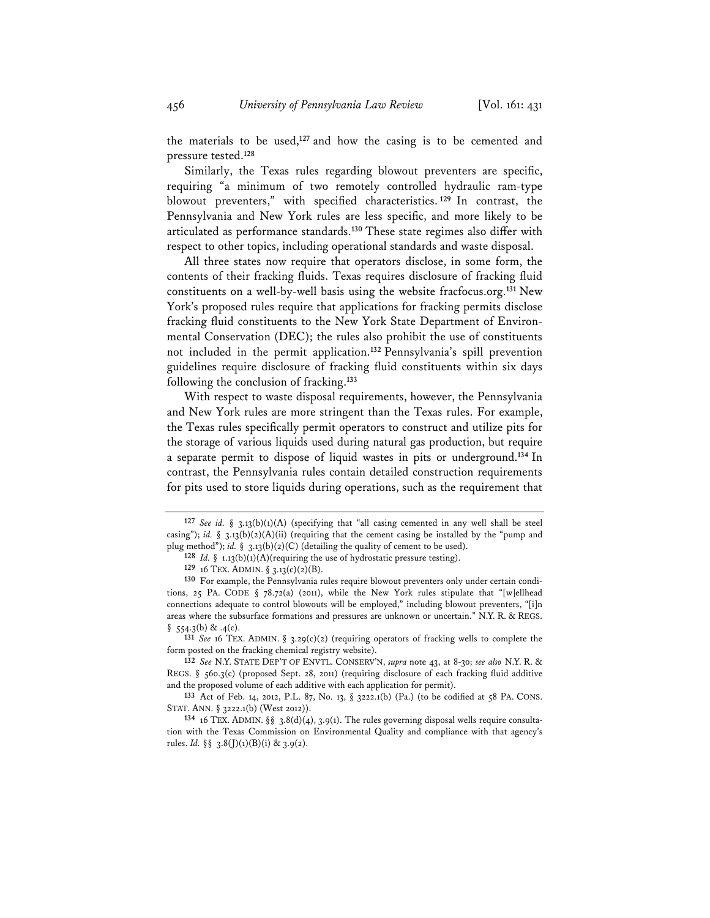the materials to be used,**<sup>127</sup>** and how the casing is to be cemented and pressure tested.**<sup>128</sup>**

Similarly, the Texas rules regarding blowout preventers are specific, requiring "a minimum of two remotely controlled hydraulic ram-type blowout preventers," with specified characteristics. **<sup>129</sup>** In contrast, the Pennsylvania and New York rules are less specific, and more likely to be articulated as performance standards.**<sup>130</sup>** These state regimes also differ with respect to other topics, including operational standards and waste disposal.

All three states now require that operators disclose, in some form, the contents of their fracking fluids. Texas requires disclosure of fracking fluid constituents on a well-by-well basis using the website fracfocus.org.**<sup>131</sup>** New York's proposed rules require that applications for fracking permits disclose fracking fluid constituents to the New York State Department of Environmental Conservation (DEC); the rules also prohibit the use of constituents not included in the permit application.**<sup>132</sup>** Pennsylvania's spill prevention guidelines require disclosure of fracking fluid constituents within six days following the conclusion of fracking.**<sup>133</sup>**

With respect to waste disposal requirements, however, the Pennsylvania and New York rules are more stringent than the Texas rules. For example, the Texas rules specifically permit operators to construct and utilize pits for the storage of various liquids used during natural gas production, but require a separate permit to dispose of liquid wastes in pits or underground.**<sup>134</sup>** In contrast, the Pennsylvania rules contain detailed construction requirements for pits used to store liquids during operations, such as the requirement that

**<sup>127</sup>** *See id.* § 3.13(b)(1)(A) (specifying that "all casing cemented in any well shall be steel casing"); *id.* § 3.13(b)(2)(A)(ii) (requiring that the cement casing be installed by the "pump and plug method"); *id.*  $\S$  3.13(b)(2)(C) (detailing the quality of cement to be used).

**<sup>128</sup>** *Id.* § 1.13(b)(1)(A)(requiring the use of hydrostatic pressure testing).

**<sup>129</sup>** 16 TEX. ADMIN. § 3.13(c)(2)(B).

**<sup>130</sup>** For example, the Pennsylvania rules require blowout preventers only under certain conditions, 25 PA. CODE § 78.72(a) (2011), while the New York rules stipulate that "[w]ellhead connections adequate to control blowouts will be employed," including blowout preventers, "[i]n areas where the subsurface formations and pressures are unknown or uncertain." N.Y. R. & REGS.  $§$  554.3(b) & .4(c).

**<sup>131</sup>** *See* 16 TEX. ADMIN. § 3.29(c)(2) (requiring operators of fracking wells to complete the form posted on the fracking chemical registry website).

**<sup>132</sup>** *See* N.Y. STATE DEP'T OF ENVTL. CONSERV'N, *supra* note 43, at 8-30; *see also* N.Y. R. & REGS. §  $560.3(c)$  (proposed Sept. 28, 2011) (requiring disclosure of each fracking fluid additive and the proposed volume of each additive with each application for permit).

**<sup>133</sup>** Act of Feb. 14, 2012, P.L. 87, No. 13, § 3222.1(b) (Pa.) (to be codified at 58 PA. CONS. STAT. ANN. § 3222.1(b) (West 2012)).

<sup>&</sup>lt;sup>134</sup> 16 TEX. ADMIN. §§ 3.8(d)(4), 3.9(1). The rules governing disposal wells require consultation with the Texas Commission on Environmental Quality and compliance with that agency's rules. *Id.*  $\S\S$  3.8(J)(1)(B)(i) & 3.9(2).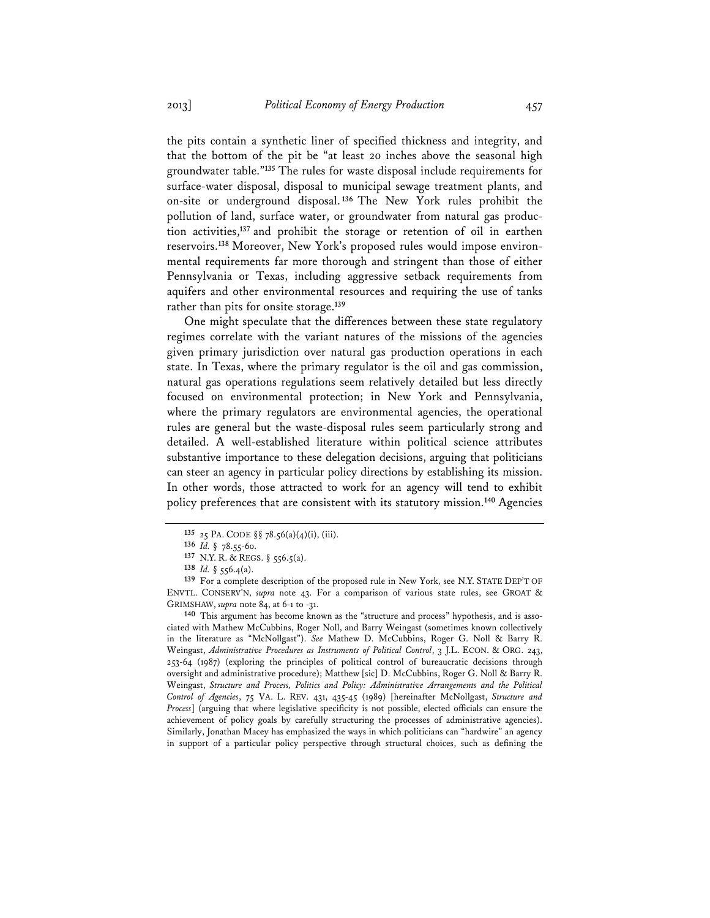the pits contain a synthetic liner of specified thickness and integrity, and that the bottom of the pit be "at least 20 inches above the seasonal high groundwater table."**<sup>135</sup>** The rules for waste disposal include requirements for surface-water disposal, disposal to municipal sewage treatment plants, and on-site or underground disposal. **<sup>136</sup>** The New York rules prohibit the pollution of land, surface water, or groundwater from natural gas production activities,**<sup>137</sup>** and prohibit the storage or retention of oil in earthen reservoirs.**138** Moreover, New York's proposed rules would impose environmental requirements far more thorough and stringent than those of either Pennsylvania or Texas, including aggressive setback requirements from aquifers and other environmental resources and requiring the use of tanks rather than pits for onsite storage.**<sup>139</sup>**

One might speculate that the differences between these state regulatory regimes correlate with the variant natures of the missions of the agencies given primary jurisdiction over natural gas production operations in each state. In Texas, where the primary regulator is the oil and gas commission, natural gas operations regulations seem relatively detailed but less directly focused on environmental protection; in New York and Pennsylvania, where the primary regulators are environmental agencies, the operational rules are general but the waste-disposal rules seem particularly strong and detailed. A well-established literature within political science attributes substantive importance to these delegation decisions, arguing that politicians can steer an agency in particular policy directions by establishing its mission. In other words, those attracted to work for an agency will tend to exhibit policy preferences that are consistent with its statutory mission.**<sup>140</sup>** Agencies

**140** This argument has become known as the "structure and process" hypothesis, and is associated with Mathew McCubbins, Roger Noll, and Barry Weingast (sometimes known collectively in the literature as "McNollgast"). *See* Mathew D. McCubbins, Roger G. Noll & Barry R. Weingast, *Administrative Procedures as Instruments of Political Control*, 3 J.L. ECON. & ORG. 243, 253-64 (1987) (exploring the principles of political control of bureaucratic decisions through oversight and administrative procedure); Matthew [sic] D. McCubbins, Roger G. Noll & Barry R. Weingast, *Structure and Process, Politics and Policy: Administrative Arrangements and the Political Control of Agencies*, 75 VA. L. REV. 431, 435-45 (1989) [hereinafter McNollgast, *Structure and Process*] (arguing that where legislative specificity is not possible, elected officials can ensure the achievement of policy goals by carefully structuring the processes of administrative agencies). Similarly, Jonathan Macey has emphasized the ways in which politicians can "hardwire" an agency in support of a particular policy perspective through structural choices, such as defining the

**<sup>135</sup>** 25 PA. CODE §§ 78.56(a)(4)(i), (iii).

**<sup>136</sup>** *Id.* § 78.55-60.

**<sup>137</sup>** N.Y. R. & REGS. § 556.5(a).

**<sup>138</sup>** *Id.* § 556.4(a).

**<sup>139</sup>** For a complete description of the proposed rule in New York, see N.Y. STATE DEP'T OF ENVTL. CONSERV'N, *supra* note 43. For a comparison of various state rules, see GROAT & GRIMSHAW, *supra* note 84, at 6-1 to -31.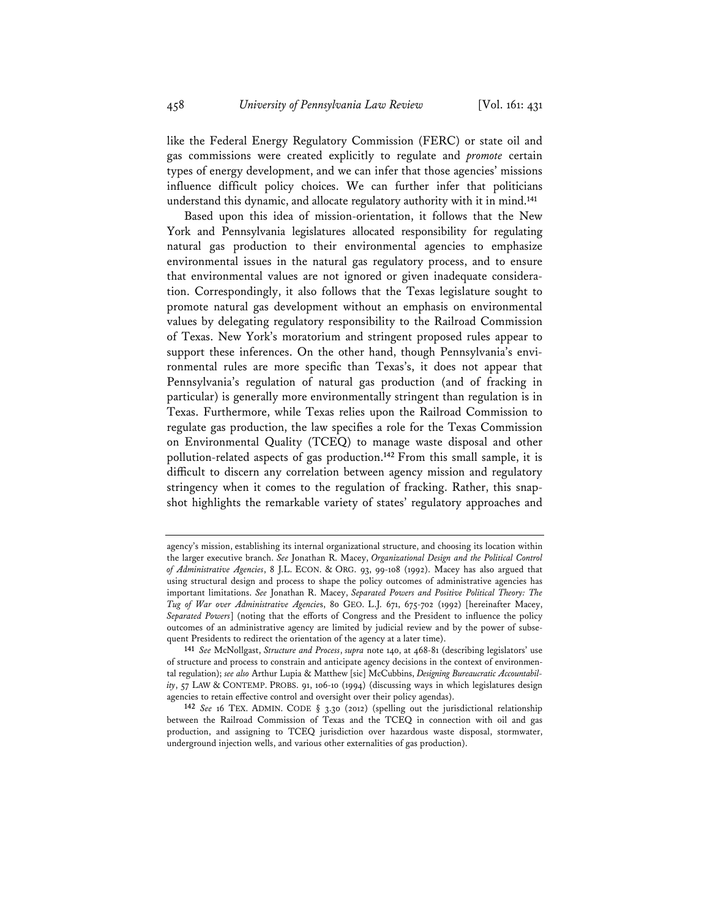like the Federal Energy Regulatory Commission (FERC) or state oil and gas commissions were created explicitly to regulate and *promote* certain types of energy development, and we can infer that those agencies' missions influence difficult policy choices. We can further infer that politicians understand this dynamic, and allocate regulatory authority with it in mind.**<sup>141</sup>**

Based upon this idea of mission-orientation, it follows that the New York and Pennsylvania legislatures allocated responsibility for regulating natural gas production to their environmental agencies to emphasize environmental issues in the natural gas regulatory process, and to ensure that environmental values are not ignored or given inadequate consideration. Correspondingly, it also follows that the Texas legislature sought to promote natural gas development without an emphasis on environmental values by delegating regulatory responsibility to the Railroad Commission of Texas. New York's moratorium and stringent proposed rules appear to support these inferences. On the other hand, though Pennsylvania's environmental rules are more specific than Texas's, it does not appear that Pennsylvania's regulation of natural gas production (and of fracking in particular) is generally more environmentally stringent than regulation is in Texas. Furthermore, while Texas relies upon the Railroad Commission to regulate gas production, the law specifies a role for the Texas Commission on Environmental Quality (TCEQ) to manage waste disposal and other pollution-related aspects of gas production.**<sup>142</sup>** From this small sample, it is difficult to discern any correlation between agency mission and regulatory stringency when it comes to the regulation of fracking. Rather, this snapshot highlights the remarkable variety of states' regulatory approaches and

agency's mission, establishing its internal organizational structure, and choosing its location within the larger executive branch. *See* Jonathan R. Macey, *Organizational Design and the Political Control of Administrative Agencies*, 8 J.L. ECON. & ORG. 93, 99-108 (1992). Macey has also argued that using structural design and process to shape the policy outcomes of administrative agencies has important limitations. *See* Jonathan R. Macey, *Separated Powers and Positive Political Theory: The Tug of War over Administrative Agencie*s, 80 GEO. L.J. 671, 675-702 (1992) [hereinafter Macey, *Separated Powers*] (noting that the efforts of Congress and the President to influence the policy outcomes of an administrative agency are limited by judicial review and by the power of subsequent Presidents to redirect the orientation of the agency at a later time).

**<sup>141</sup>** *See* McNollgast, *Structure and Process*, *supra* note 140, at 468-81 (describing legislators' use of structure and process to constrain and anticipate agency decisions in the context of environmental regulation); *see also* Arthur Lupia & Matthew [sic] McCubbins, *Designing Bureaucratic Accountability*, 57 LAW & CONTEMP. PROBS. 91, 106-10 (1994) (discussing ways in which legislatures design agencies to retain effective control and oversight over their policy agendas).

**<sup>142</sup>** *See* 16 TEX. ADMIN. CODE § 3.30 (2012) (spelling out the jurisdictional relationship between the Railroad Commission of Texas and the TCEQ in connection with oil and gas production, and assigning to TCEQ jurisdiction over hazardous waste disposal, stormwater, underground injection wells, and various other externalities of gas production).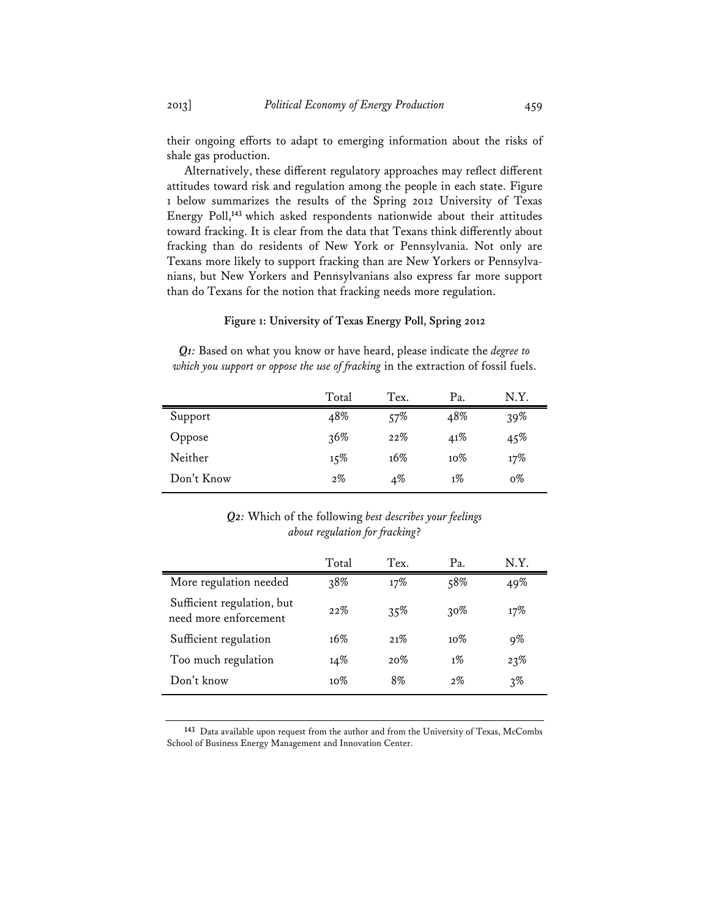their ongoing efforts to adapt to emerging information about the risks of shale gas production.

Alternatively, these different regulatory approaches may reflect different attitudes toward risk and regulation among the people in each state. Figure 1 below summarizes the results of the Spring 2012 University of Texas Energy Poll,**<sup>143</sup>** which asked respondents nationwide about their attitudes toward fracking. It is clear from the data that Texans think differently about fracking than do residents of New York or Pennsylvania. Not only are Texans more likely to support fracking than are New Yorkers or Pennsylvanians, but New Yorkers and Pennsylvanians also express far more support than do Texans for the notion that fracking needs more regulation.

## **Figure 1: University of Texas Energy Poll, Spring 2012**

*Q1:* Based on what you know or have heard, please indicate the *degree to which you support or oppose the use of fracking* in the extraction of fossil fuels.

|            | Total | Tex.  | Pa.    | N.Y.       |
|------------|-------|-------|--------|------------|
| Support    | 48%   | 57%   | 48%    | 39%        |
| Oppose     | 36%   | 22%   | 41%    | $4.5\%$    |
| Neither    | 15%   | 16%   | $10\%$ | 17%        |
| Don't Know | $2\%$ | $4\%$ | $1\%$  | $\sigma\%$ |

# *Q2:* Which of the following *best describes your feelings about regulation for fracking*?

|                                                     | Total  | Tex. | Pa.    | N.Y.  |
|-----------------------------------------------------|--------|------|--------|-------|
| More regulation needed                              | 38%    | 17%  | 58%    | 49%   |
| Sufficient regulation, but<br>need more enforcement | 22%    | 35%  | $30\%$ | 17%   |
| Sufficient regulation                               | 16%    | 21%  | $10\%$ | 9%    |
| Too much regulation                                 | 14%    | 20%  | $1\%$  | 23%   |
| Don't know                                          | $10\%$ | 8%   | $2\%$  | $3\%$ |

**<sup>143</sup>** Data available upon request from the author and from the University of Texas, McCombs School of Business Energy Management and Innovation Center.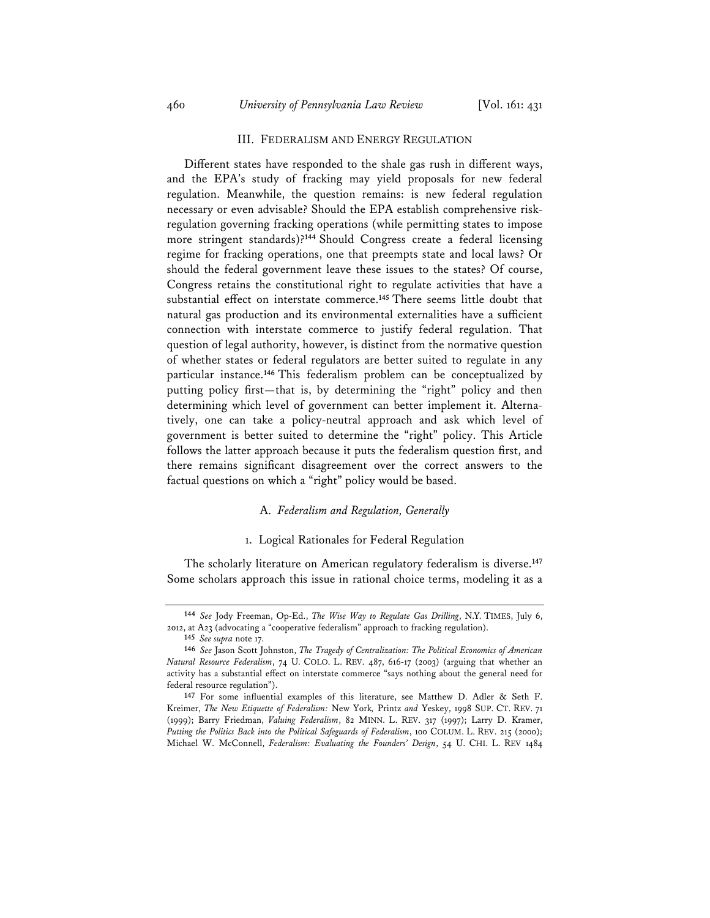### III. FEDERALISM AND ENERGY REGULATION

Different states have responded to the shale gas rush in different ways, and the EPA's study of fracking may yield proposals for new federal regulation. Meanwhile, the question remains: is new federal regulation necessary or even advisable? Should the EPA establish comprehensive riskregulation governing fracking operations (while permitting states to impose more stringent standards)?**<sup>144</sup>** Should Congress create a federal licensing regime for fracking operations, one that preempts state and local laws? Or should the federal government leave these issues to the states? Of course, Congress retains the constitutional right to regulate activities that have a substantial effect on interstate commerce.**<sup>145</sup>** There seems little doubt that natural gas production and its environmental externalities have a sufficient connection with interstate commerce to justify federal regulation. That question of legal authority, however, is distinct from the normative question of whether states or federal regulators are better suited to regulate in any particular instance.**<sup>146</sup>** This federalism problem can be conceptualized by putting policy first—that is, by determining the "right" policy and then determining which level of government can better implement it. Alternatively, one can take a policy-neutral approach and ask which level of government is better suited to determine the "right" policy. This Article follows the latter approach because it puts the federalism question first, and there remains significant disagreement over the correct answers to the factual questions on which a "right" policy would be based.

## A. *Federalism and Regulation, Generally*

# 1. Logical Rationales for Federal Regulation

The scholarly literature on American regulatory federalism is diverse.**<sup>147</sup>** Some scholars approach this issue in rational choice terms, modeling it as a

**<sup>144</sup>** *See* Jody Freeman, Op-Ed., *The Wise Way to Regulate Gas Drilling*, N.Y. TIMES, July 6, 2012, at A23 (advocating a "cooperative federalism" approach to fracking regulation).

**<sup>145</sup>** *See supra* note 17.

**<sup>146</sup>** *See* Jason Scott Johnston, *The Tragedy of Centralization: The Political Economics of American Natural Resource Federalism*, 74 U. COLO. L. REV. 487, 616-17 (2003) (arguing that whether an activity has a substantial effect on interstate commerce "says nothing about the general need for federal resource regulation").

**<sup>147</sup>** For some influential examples of this literature, see Matthew D. Adler & Seth F. Kreimer, *The New Etiquette of Federalism:* New York*,* Printz *and* Yeskey, 1998 SUP. CT. REV. 71 (1999); Barry Friedman, *Valuing Federalism*, 82 MINN. L. REV. 317 (1997); Larry D. Kramer, *Putting the Politics Back into the Political Safeguards of Federalism*, 100 COLUM. L. REV. 215 (2000); Michael W. McConnell, *Federalism: Evaluating the Founders' Design*, 54 U. CHI. L. REV 1484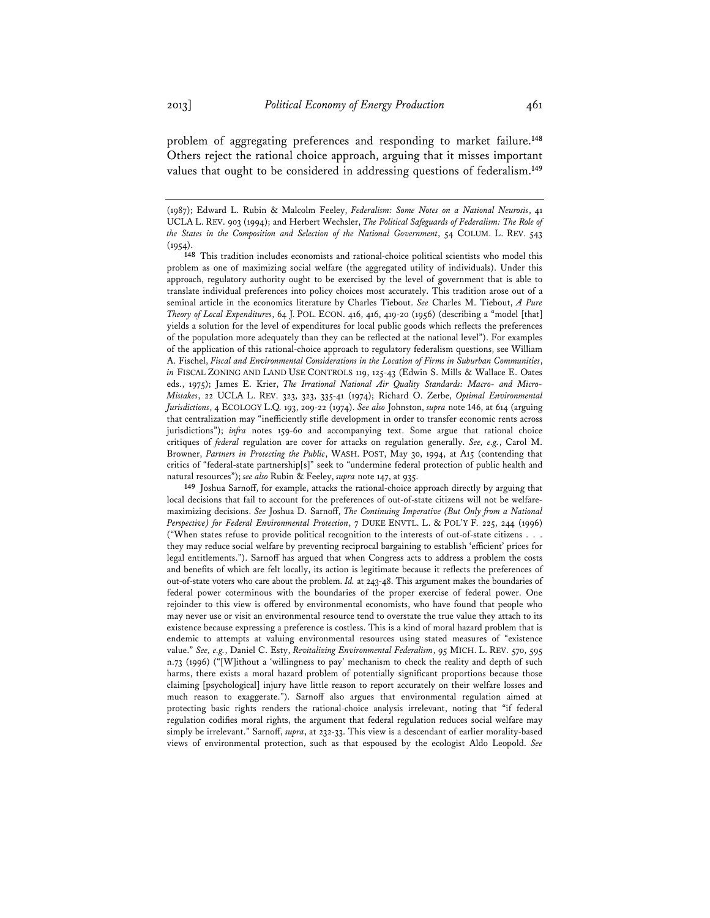problem of aggregating preferences and responding to market failure.**<sup>148</sup>** Others reject the rational choice approach, arguing that it misses important values that ought to be considered in addressing questions of federalism.**<sup>149</sup>**

**149** Joshua Sarnoff, for example, attacks the rational-choice approach directly by arguing that local decisions that fail to account for the preferences of out-of-state citizens will not be welfaremaximizing decisions. *See* Joshua D. Sarnoff, *The Continuing Imperative (But Only from a National Perspective) for Federal Environmental Protection*, 7 DUKE ENVTL. L. & POL'Y F. 225, 244 (1996) ("When states refuse to provide political recognition to the interests of out-of-state citizens . . . they may reduce social welfare by preventing reciprocal bargaining to establish 'efficient' prices for legal entitlements."). Sarnoff has argued that when Congress acts to address a problem the costs and benefits of which are felt locally, its action is legitimate because it reflects the preferences of out-of-state voters who care about the problem. *Id.* at 243-48. This argument makes the boundaries of federal power coterminous with the boundaries of the proper exercise of federal power. One rejoinder to this view is offered by environmental economists, who have found that people who may never use or visit an environmental resource tend to overstate the true value they attach to its existence because expressing a preference is costless. This is a kind of moral hazard problem that is endemic to attempts at valuing environmental resources using stated measures of "existence value." *See, e.g.*, Daniel C. Esty, *Revitalizing Environmental Federalism*, 95 MICH. L. REV. 570, 595 n.73 (1996) ("[W]ithout a 'willingness to pay' mechanism to check the reality and depth of such harms, there exists a moral hazard problem of potentially significant proportions because those claiming [psychological] injury have little reason to report accurately on their welfare losses and much reason to exaggerate."). Sarnoff also argues that environmental regulation aimed at protecting basic rights renders the rational-choice analysis irrelevant, noting that "if federal regulation codifies moral rights, the argument that federal regulation reduces social welfare may simply be irrelevant." Sarnoff, *supra*, at 232-33. This view is a descendant of earlier morality-based views of environmental protection, such as that espoused by the ecologist Aldo Leopold. *See*

<sup>(1987);</sup> Edward L. Rubin & Malcolm Feeley, *Federalism: Some Notes on a National Neurosis*, 41 UCLA L. REV. 903 (1994); and Herbert Wechsler, *The Political Safeguards of Federalism: The Role of the States in the Composition and Selection of the National Government*, 54 COLUM. L. REV. 543  $(1954).$ 

**<sup>148</sup>** This tradition includes economists and rational-choice political scientists who model this problem as one of maximizing social welfare (the aggregated utility of individuals). Under this approach, regulatory authority ought to be exercised by the level of government that is able to translate individual preferences into policy choices most accurately. This tradition arose out of a seminal article in the economics literature by Charles Tiebout. *See* Charles M. Tiebout, *A Pure Theory of Local Expenditures*, 64 J. POL. ECON. 416, 416, 419-20 (1956) (describing a "model [that] yields a solution for the level of expenditures for local public goods which reflects the preferences of the population more adequately than they can be reflected at the national level"). For examples of the application of this rational-choice approach to regulatory federalism questions, see William A. Fischel, *Fiscal and Environmental Considerations in the Location of Firms in Suburban Communities*, *in* FISCAL ZONING AND LAND USE CONTROLS 119, 125-43 (Edwin S. Mills & Wallace E. Oates eds., 1975); James E. Krier, *The Irrational National Air Quality Standards: Macro- and Micro-Mistakes*, 22 UCLA L. REV. 323, 323, 335-41 (1974); Richard O. Zerbe, *Optimal Environmental Jurisdictions*, 4 ECOLOGY L.Q. 193, 209-22 (1974). *See also* Johnston, *supra* note 146, at 614 (arguing that centralization may "inefficiently stifle development in order to transfer economic rents across jurisdictions"); *infra* notes 159-60 and accompanying text. Some argue that rational choice critiques of *federal* regulation are cover for attacks on regulation generally. *See, e.g.*, Carol M. Browner, *Partners in Protecting the Public*, WASH. POST, May 30, 1994, at A15 (contending that critics of "federal-state partnership[s]" seek to "undermine federal protection of public health and natural resources"); *see also* Rubin & Feeley, *supra* note 147, at 935.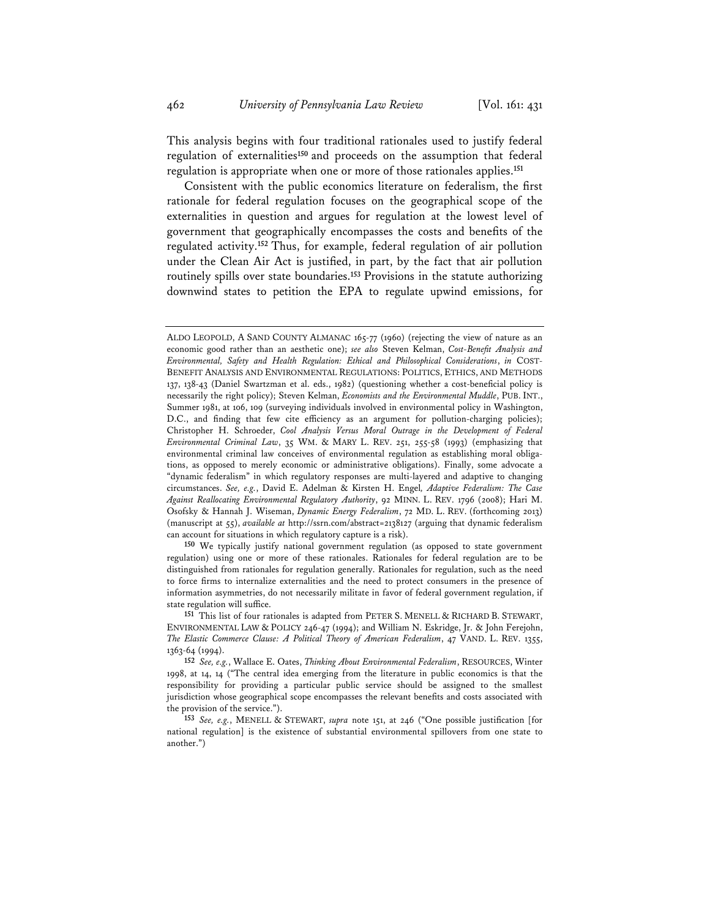This analysis begins with four traditional rationales used to justify federal regulation of externalities**<sup>150</sup>** and proceeds on the assumption that federal regulation is appropriate when one or more of those rationales applies.**<sup>151</sup>**

Consistent with the public economics literature on federalism, the first rationale for federal regulation focuses on the geographical scope of the externalities in question and argues for regulation at the lowest level of government that geographically encompasses the costs and benefits of the regulated activity.**<sup>152</sup>** Thus, for example, federal regulation of air pollution under the Clean Air Act is justified, in part, by the fact that air pollution routinely spills over state boundaries.**<sup>153</sup>** Provisions in the statute authorizing downwind states to petition the EPA to regulate upwind emissions, for

**150** We typically justify national government regulation (as opposed to state government regulation) using one or more of these rationales. Rationales for federal regulation are to be distinguished from rationales for regulation generally. Rationales for regulation, such as the need to force firms to internalize externalities and the need to protect consumers in the presence of information asymmetries, do not necessarily militate in favor of federal government regulation, if state regulation will suffice.

**151** This list of four rationales is adapted from PETER S. MENELL & RICHARD B. STEWART, ENVIRONMENTAL LAW & POLICY 246-47 (1994); and William N. Eskridge, Jr. & John Ferejohn, *The Elastic Commerce Clause: A Political Theory of American Federalism*, 47 VAND. L. REV. 1355, 1363-64 (1994).

**152** *See, e.g.*, Wallace E. Oates, *Thinking About Environmental Federalism*, RESOURCES, Winter 1998, at 14, 14 ("The central idea emerging from the literature in public economics is that the responsibility for providing a particular public service should be assigned to the smallest jurisdiction whose geographical scope encompasses the relevant benefits and costs associated with the provision of the service.").

**153** *See, e.g.*, MENELL & STEWART, *supra* note 151, at 246 ("One possible justification [for national regulation] is the existence of substantial environmental spillovers from one state to another.")

ALDO LEOPOLD, A SAND COUNTY ALMANAC 165-77 (1960) (rejecting the view of nature as an economic good rather than an aesthetic one); *see also* Steven Kelman, *Cost-Benefit Analysis and Environmental, Safety and Health Regulation: Ethical and Philosophical Considerations*, *in* COST-BENEFIT ANALYSIS AND ENVIRONMENTAL REGULATIONS: POLITICS, ETHICS, AND METHODS 137, 138-43 (Daniel Swartzman et al. eds., 1982) (questioning whether a cost-beneficial policy is necessarily the right policy); Steven Kelman, *Economists and the Environmental Muddle*, PUB. INT., Summer 1981, at 106, 109 (surveying individuals involved in environmental policy in Washington, D.C., and finding that few cite efficiency as an argument for pollution-charging policies); Christopher H. Schroeder, *Cool Analysis Versus Moral Outrage in the Development of Federal Environmental Criminal Law*, 35 WM. & MARY L. REV. 251, 255-58 (1993) (emphasizing that environmental criminal law conceives of environmental regulation as establishing moral obligations, as opposed to merely economic or administrative obligations). Finally, some advocate a "dynamic federalism" in which regulatory responses are multi-layered and adaptive to changing circumstances. *See, e.g.*, David E. Adelman & Kirsten H. Engel*, Adaptive Federalism: The Case Against Reallocating Environmental Regulatory Authority*, 92 MINN. L. REV. 1796 (2008); Hari M. Osofsky & Hannah J. Wiseman, *Dynamic Energy Federalism*, 72 MD. L. REV. (forthcoming 2013) (manuscript at 55), *available at* http://ssrn.com/abstract=2138127 (arguing that dynamic federalism can account for situations in which regulatory capture is a risk).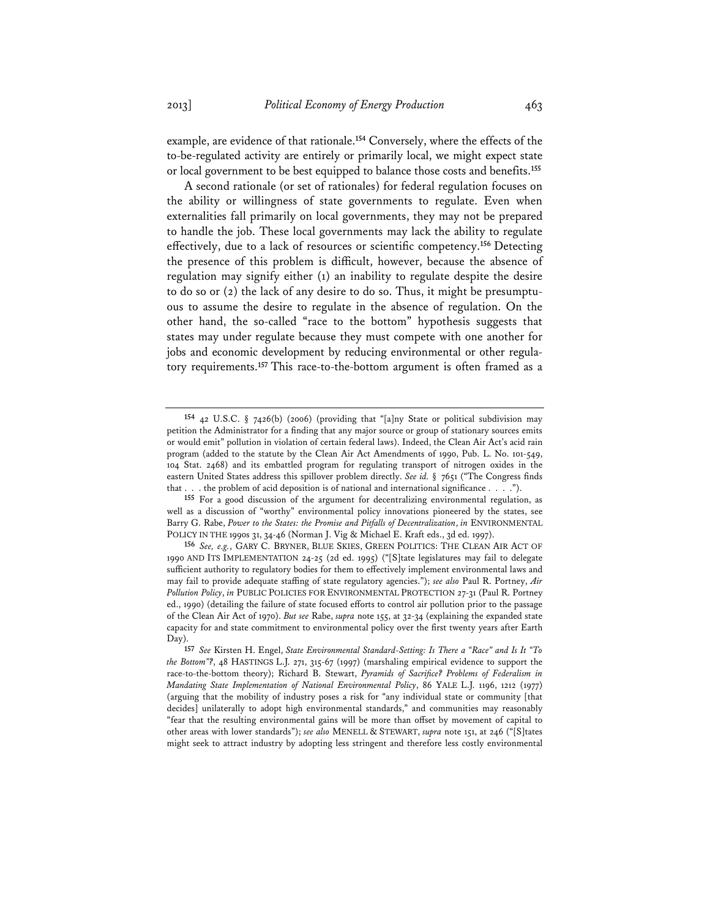example, are evidence of that rationale.**<sup>154</sup>** Conversely, where the effects of the to-be-regulated activity are entirely or primarily local, we might expect state or local government to be best equipped to balance those costs and benefits.**<sup>155</sup>**

A second rationale (or set of rationales) for federal regulation focuses on the ability or willingness of state governments to regulate. Even when externalities fall primarily on local governments, they may not be prepared to handle the job. These local governments may lack the ability to regulate effectively, due to a lack of resources or scientific competency.**<sup>156</sup>** Detecting the presence of this problem is difficult, however, because the absence of regulation may signify either (1) an inability to regulate despite the desire to do so or (2) the lack of any desire to do so. Thus, it might be presumptuous to assume the desire to regulate in the absence of regulation. On the other hand, the so-called "race to the bottom" hypothesis suggests that states may under regulate because they must compete with one another for jobs and economic development by reducing environmental or other regulatory requirements.**<sup>157</sup>** This race-to-the-bottom argument is often framed as a

**155** For a good discussion of the argument for decentralizing environmental regulation, as well as a discussion of "worthy" environmental policy innovations pioneered by the states, see Barry G. Rabe, *Power to the States: the Promise and Pitfalls of Decentralization*, *in* ENVIRONMENTAL POLICY IN THE 1990s 31, 34-46 (Norman J. Vig & Michael E. Kraft eds., 3d ed. 1997).

**156** *See, e.g.*, GARY C. BRYNER, BLUE SKIES, GREEN POLITICS: THE CLEAN AIR ACT OF 1990 AND ITS IMPLEMENTATION 24-25 (2d ed. 1995) ("[S]tate legislatures may fail to delegate sufficient authority to regulatory bodies for them to effectively implement environmental laws and may fail to provide adequate staffing of state regulatory agencies."); *see also* Paul R. Portney, *Air Pollution Policy*, *in* PUBLIC POLICIES FOR ENVIRONMENTAL PROTECTION 27-31 (Paul R. Portney ed., 1990) (detailing the failure of state focused efforts to control air pollution prior to the passage of the Clean Air Act of 1970). *But see* Rabe, *supra* note 155, at 32-34 (explaining the expanded state capacity for and state commitment to environmental policy over the first twenty years after Earth Day).

**<sup>154</sup>** 42 U.S.C. § 7426(b) (2006) (providing that "[a]ny State or political subdivision may petition the Administrator for a finding that any major source or group of stationary sources emits or would emit" pollution in violation of certain federal laws). Indeed, the Clean Air Act's acid rain program (added to the statute by the Clean Air Act Amendments of 1990, Pub. L. No. 101-549, 104 Stat. 2468) and its embattled program for regulating transport of nitrogen oxides in the eastern United States address this spillover problem directly. *See id.* § 7651 ("The Congress finds that . . . the problem of acid deposition is of national and international significance . . . .").

**<sup>157</sup>** *See* Kirsten H. Engel, *State Environmental Standard-Setting: Is There a "Race" and Is It "To the Bottom"?*, 48 HASTINGS L.J. 271, 315-67 (1997) (marshaling empirical evidence to support the race-to-the-bottom theory); Richard B. Stewart, *Pyramids of Sacrifice? Problems of Federalism in Mandating State Implementation of National Environmental Policy*, 86 YALE L.J. 1196, 1212 (1977) (arguing that the mobility of industry poses a risk for "any individual state or community [that decides] unilaterally to adopt high environmental standards," and communities may reasonably "fear that the resulting environmental gains will be more than offset by movement of capital to other areas with lower standards"); *see also* MENELL & STEWART, *supra* note 151, at 246 ("[S]tates might seek to attract industry by adopting less stringent and therefore less costly environmental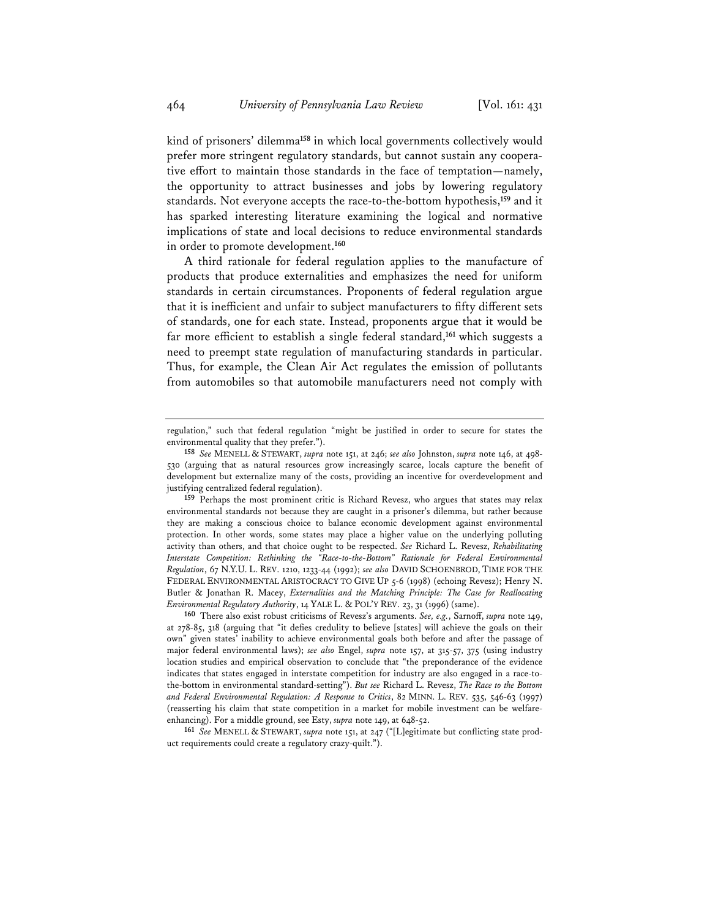kind of prisoners' dilemma**<sup>158</sup>** in which local governments collectively would prefer more stringent regulatory standards, but cannot sustain any cooperative effort to maintain those standards in the face of temptation—namely, the opportunity to attract businesses and jobs by lowering regulatory standards. Not everyone accepts the race-to-the-bottom hypothesis,**<sup>159</sup>** and it has sparked interesting literature examining the logical and normative implications of state and local decisions to reduce environmental standards in order to promote development.**<sup>160</sup>**

A third rationale for federal regulation applies to the manufacture of products that produce externalities and emphasizes the need for uniform standards in certain circumstances. Proponents of federal regulation argue that it is inefficient and unfair to subject manufacturers to fifty different sets of standards, one for each state. Instead, proponents argue that it would be far more efficient to establish a single federal standard,**<sup>161</sup>** which suggests a need to preempt state regulation of manufacturing standards in particular. Thus, for example, the Clean Air Act regulates the emission of pollutants from automobiles so that automobile manufacturers need not comply with

regulation," such that federal regulation "might be justified in order to secure for states the environmental quality that they prefer.").

**<sup>158</sup>** *See* MENELL & STEWART, *supra* note 151, at 246; *see also* Johnston, *supra* note 146, at 498- 530 (arguing that as natural resources grow increasingly scarce, locals capture the benefit of development but externalize many of the costs, providing an incentive for overdevelopment and justifying centralized federal regulation).

**<sup>159</sup>** Perhaps the most prominent critic is Richard Revesz, who argues that states may relax environmental standards not because they are caught in a prisoner's dilemma, but rather because they are making a conscious choice to balance economic development against environmental protection. In other words, some states may place a higher value on the underlying polluting activity than others, and that choice ought to be respected. *See* Richard L. Revesz, *Rehabilitating Interstate Competition: Rethinking the "Race-to-the-Bottom" Rationale for Federal Environmental Regulation*, 67 N.Y.U. L. REV. 1210, 1233-44 (1992); *see also* DAVID SCHOENBROD, TIME FOR THE FEDERAL ENVIRONMENTAL ARISTOCRACY TO GIVE UP 5-6 (1998) (echoing Revesz); Henry N. Butler & Jonathan R. Macey, *Externalities and the Matching Principle: The Case for Reallocating Environmental Regulatory Authority*, 14 YALE L. & POL'Y REV. 23, 31 (1996) (same).

**<sup>160</sup>** There also exist robust criticisms of Revesz's arguments. *See, e.g.*, Sarnoff, *supra* note 149, at 278-85, 318 (arguing that "it defies credulity to believe [states] will achieve the goals on their own" given states' inability to achieve environmental goals both before and after the passage of major federal environmental laws); *see also* Engel, *supra* note 157, at 315-57, 375 (using industry location studies and empirical observation to conclude that "the preponderance of the evidence indicates that states engaged in interstate competition for industry are also engaged in a race-tothe-bottom in environmental standard-setting"). *But see* Richard L. Revesz, *The Race to the Bottom and Federal Environmental Regulation: A Response to Critics*, 82 MINN. L. REV. 535, 546-63 (1997) (reasserting his claim that state competition in a market for mobile investment can be welfareenhancing). For a middle ground, see Esty, *supra* note 149, at 648-52.

**<sup>161</sup>** *See* MENELL & STEWART, *supra* note 151, at 247 ("[L]egitimate but conflicting state product requirements could create a regulatory crazy-quilt.").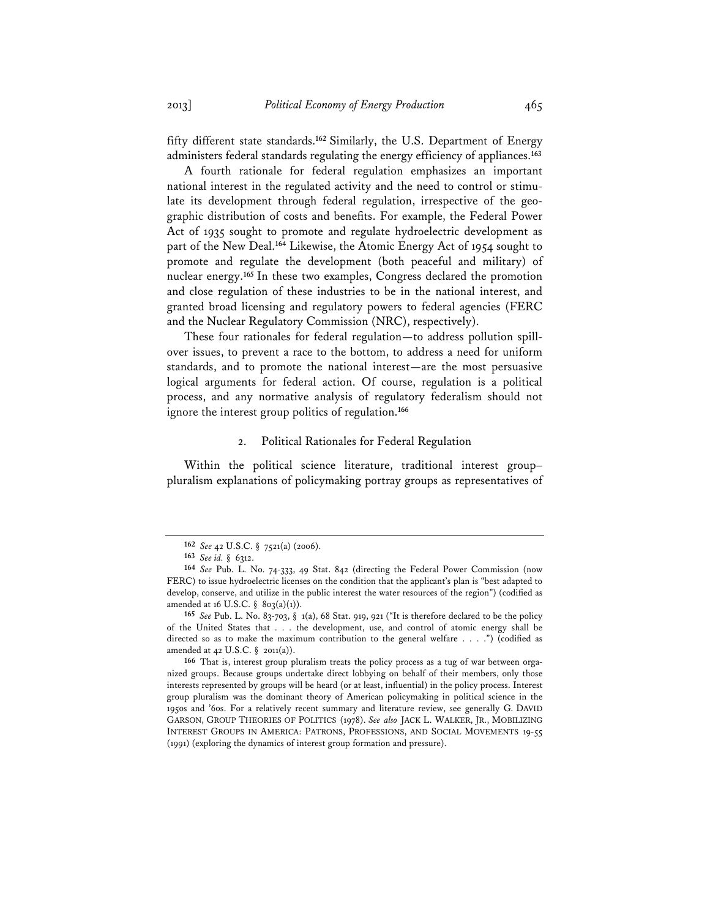fifty different state standards.**<sup>162</sup>** Similarly, the U.S. Department of Energy administers federal standards regulating the energy efficiency of appliances.**<sup>163</sup>**

A fourth rationale for federal regulation emphasizes an important national interest in the regulated activity and the need to control or stimulate its development through federal regulation, irrespective of the geographic distribution of costs and benefits. For example, the Federal Power Act of 1935 sought to promote and regulate hydroelectric development as part of the New Deal.**<sup>164</sup>** Likewise, the Atomic Energy Act of 1954 sought to promote and regulate the development (both peaceful and military) of nuclear energy.**<sup>165</sup>** In these two examples, Congress declared the promotion and close regulation of these industries to be in the national interest, and granted broad licensing and regulatory powers to federal agencies (FERC and the Nuclear Regulatory Commission (NRC), respectively).

These four rationales for federal regulation—to address pollution spillover issues, to prevent a race to the bottom, to address a need for uniform standards, and to promote the national interest—are the most persuasive logical arguments for federal action. Of course, regulation is a political process, and any normative analysis of regulatory federalism should not ignore the interest group politics of regulation.**<sup>166</sup>**

## 2. Political Rationales for Federal Regulation

Within the political science literature, traditional interest group– pluralism explanations of policymaking portray groups as representatives of

**<sup>162</sup>** *See* 42 U.S.C. § 7521(a) (2006).

**<sup>163</sup>** *See id.* § 6312.

**<sup>164</sup>** *See* Pub. L. No. 74-333, 49 Stat. 842 (directing the Federal Power Commission (now FERC) to issue hydroelectric licenses on the condition that the applicant's plan is "best adapted to develop, conserve, and utilize in the public interest the water resources of the region") (codified as amended at 16 U.S.C. §  $803(a)(1)$ ).

**<sup>165</sup>** *See* Pub. L. No. 83-703, § 1(a), 68 Stat. 919, 921 ("It is therefore declared to be the policy of the United States that . . . the development, use, and control of atomic energy shall be directed so as to make the maximum contribution to the general welfare . . . .") (codified as amended at 42 U.S.C. § 2011(a)).

**<sup>166</sup>** That is, interest group pluralism treats the policy process as a tug of war between organized groups. Because groups undertake direct lobbying on behalf of their members, only those interests represented by groups will be heard (or at least, influential) in the policy process. Interest group pluralism was the dominant theory of American policymaking in political science in the 1950s and '60s. For a relatively recent summary and literature review, see generally G. DAVID GARSON, GROUP THEORIES OF POLITICS (1978). *See also* JACK L. WALKER, JR., MOBILIZING INTEREST GROUPS IN AMERICA: PATRONS, PROFESSIONS, AND SOCIAL MOVEMENTS 19-55 (1991) (exploring the dynamics of interest group formation and pressure).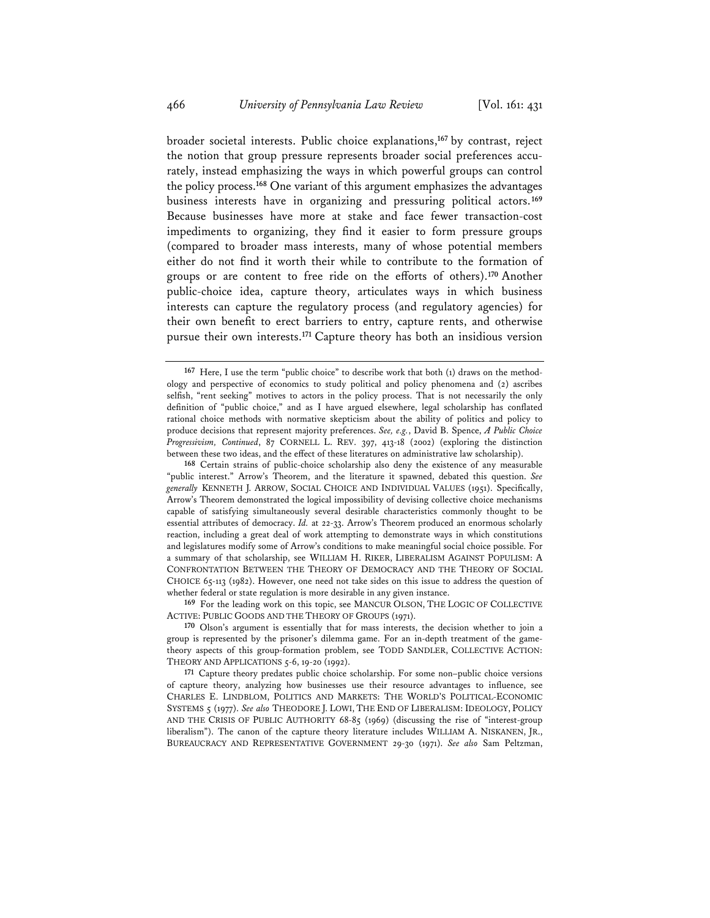broader societal interests. Public choice explanations,**<sup>167</sup>** by contrast, reject the notion that group pressure represents broader social preferences accurately, instead emphasizing the ways in which powerful groups can control the policy process.**<sup>168</sup>** One variant of this argument emphasizes the advantages business interests have in organizing and pressuring political actors.**<sup>169</sup>** Because businesses have more at stake and face fewer transaction-cost impediments to organizing, they find it easier to form pressure groups (compared to broader mass interests, many of whose potential members either do not find it worth their while to contribute to the formation of groups or are content to free ride on the efforts of others).**<sup>170</sup>** Another public-choice idea, capture theory, articulates ways in which business interests can capture the regulatory process (and regulatory agencies) for their own benefit to erect barriers to entry, capture rents, and otherwise pursue their own interests.**<sup>171</sup>** Capture theory has both an insidious version

**169** For the leading work on this topic, see MANCUR OLSON, THE LOGIC OF COLLECTIVE ACTIVE: PUBLIC GOODS AND THE THEORY OF GROUPS (1971).

**170** Olson's argument is essentially that for mass interests, the decision whether to join a group is represented by the prisoner's dilemma game. For an in-depth treatment of the gametheory aspects of this group-formation problem, see TODD SANDLER, COLLECTIVE ACTION: THEORY AND APPLICATIONS 5-6, 19-20 (1992).

**171** Capture theory predates public choice scholarship. For some non–public choice versions of capture theory, analyzing how businesses use their resource advantages to influence, see CHARLES E. LINDBLOM, POLITICS AND MARKETS: THE WORLD'S POLITICAL-ECONOMIC SYSTEMS 5 (1977). *See also* THEODORE J. LOWI, THE END OF LIBERALISM: IDEOLOGY, POLICY AND THE CRISIS OF PUBLIC AUTHORITY 68-85 (1969) (discussing the rise of "interest-group liberalism"). The canon of the capture theory literature includes WILLIAM A. NISKANEN, JR., BUREAUCRACY AND REPRESENTATIVE GOVERNMENT 29-30 (1971). *See also* Sam Peltzman,

**<sup>167</sup>** Here, I use the term "public choice" to describe work that both (1) draws on the methodology and perspective of economics to study political and policy phenomena and (2) ascribes selfish, "rent seeking" motives to actors in the policy process. That is not necessarily the only definition of "public choice," and as I have argued elsewhere, legal scholarship has conflated rational choice methods with normative skepticism about the ability of politics and policy to produce decisions that represent majority preferences. *See, e.g.*, David B. Spence, *A Public Choice Progressivism, Continued*, 87 CORNELL L. REV. 397, 413-18 (2002) (exploring the distinction between these two ideas, and the effect of these literatures on administrative law scholarship).

**<sup>168</sup>** Certain strains of public-choice scholarship also deny the existence of any measurable "public interest." Arrow's Theorem, and the literature it spawned, debated this question. *See generally* KENNETH J. ARROW, SOCIAL CHOICE AND INDIVIDUAL VALUES (1951). Specifically, Arrow's Theorem demonstrated the logical impossibility of devising collective choice mechanisms capable of satisfying simultaneously several desirable characteristics commonly thought to be essential attributes of democracy. *Id.* at 22-33. Arrow's Theorem produced an enormous scholarly reaction, including a great deal of work attempting to demonstrate ways in which constitutions and legislatures modify some of Arrow's conditions to make meaningful social choice possible. For a summary of that scholarship, see WILLIAM H. RIKER, LIBERALISM AGAINST POPULISM: A CONFRONTATION BETWEEN THE THEORY OF DEMOCRACY AND THE THEORY OF SOCIAL CHOICE 65-113 (1982). However, one need not take sides on this issue to address the question of whether federal or state regulation is more desirable in any given instance.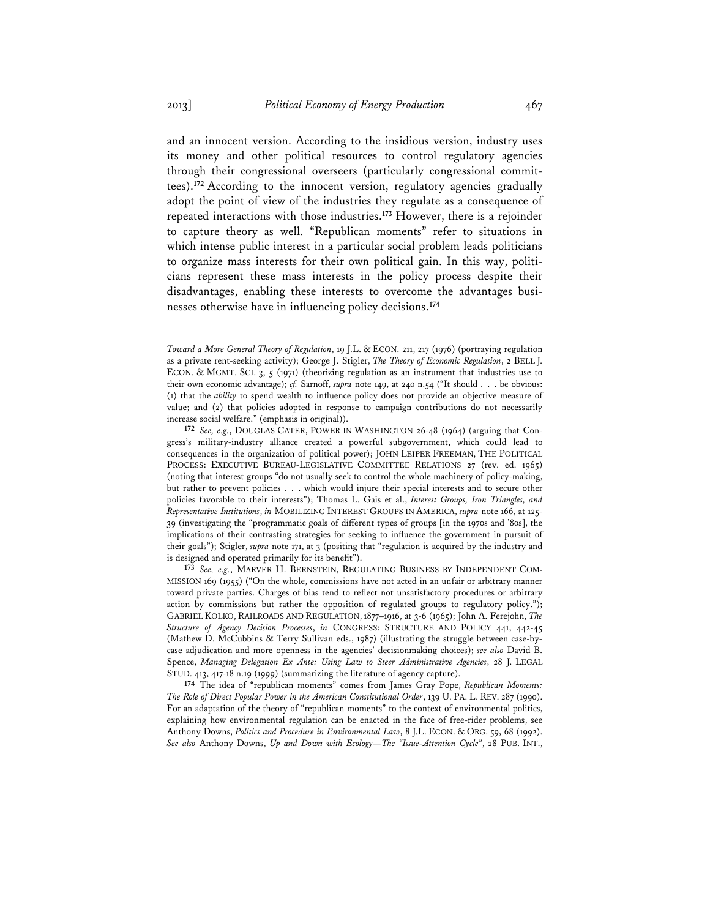and an innocent version. According to the insidious version, industry uses its money and other political resources to control regulatory agencies through their congressional overseers (particularly congressional committees).**<sup>172</sup>** According to the innocent version, regulatory agencies gradually adopt the point of view of the industries they regulate as a consequence of repeated interactions with those industries.**<sup>173</sup>** However, there is a rejoinder to capture theory as well. "Republican moments" refer to situations in which intense public interest in a particular social problem leads politicians to organize mass interests for their own political gain. In this way, politicians represent these mass interests in the policy process despite their disadvantages, enabling these interests to overcome the advantages businesses otherwise have in influencing policy decisions.**<sup>174</sup>**

**172** *See, e.g.*, DOUGLAS CATER, POWER IN WASHINGTON 26-48 (1964) (arguing that Congress's military-industry alliance created a powerful subgovernment, which could lead to consequences in the organization of political power); JOHN LEIPER FREEMAN, THE POLITICAL PROCESS: EXECUTIVE BUREAU-LEGISLATIVE COMMITTEE RELATIONS 27 (rev. ed. 1965) (noting that interest groups "do not usually seek to control the whole machinery of policy-making, but rather to prevent policies . . . which would injure their special interests and to secure other policies favorable to their interests"); Thomas L. Gais et al., *Interest Groups, Iron Triangles, and Representative Institutions*, *in* MOBILIZING INTEREST GROUPS IN AMERICA, *supra* note 166, at 125- 39 (investigating the "programmatic goals of different types of groups [in the 1970s and '80s], the implications of their contrasting strategies for seeking to influence the government in pursuit of their goals"); Stigler, *supra* note 171, at 3 (positing that "regulation is acquired by the industry and is designed and operated primarily for its benefit").

**173** *See, e.g.*, MARVER H. BERNSTEIN, REGULATING BUSINESS BY INDEPENDENT COM-MISSION 169 (1955) ("On the whole, commissions have not acted in an unfair or arbitrary manner toward private parties. Charges of bias tend to reflect not unsatisfactory procedures or arbitrary action by commissions but rather the opposition of regulated groups to regulatory policy."); GABRIEL KOLKO, RAILROADS AND REGULATION, 1877–1916, at 3-6 (1965); John A. Ferejohn, *The Structure of Agency Decision Processes*, *in* CONGRESS: STRUCTURE AND POLICY 441, 442-45 (Mathew D. McCubbins & Terry Sullivan eds., 1987) (illustrating the struggle between case-bycase adjudication and more openness in the agencies' decisionmaking choices); *see also* David B. Spence, *Managing Delegation Ex Ante: Using Law to Steer Administrative Agencies*, 28 J. LEGAL STUD. 413, 417-18 n.19 (1999) (summarizing the literature of agency capture).

**174** The idea of "republican moments" comes from James Gray Pope, *Republican Moments: The Role of Direct Popular Power in the American Constitutional Order*, 139 U. PA. L. REV. 287 (1990). For an adaptation of the theory of "republican moments" to the context of environmental politics, explaining how environmental regulation can be enacted in the face of free-rider problems, see Anthony Downs, *Politics and Procedure in Environmental Law*, 8 J.L. ECON. & ORG. 59, 68 (1992). *See also* Anthony Downs, *Up and Down with Ecology—The "Issue-Attention Cycle"*, 28 PUB. INT.,

*Toward a More General Theory of Regulation*, 19 J.L. & ECON. 211, 217 (1976) (portraying regulation as a private rent-seeking activity); George J. Stigler, *The Theory of Economic Regulation*, 2 BELL J. ECON. & MGMT. SCI. 3, 5 (1971) (theorizing regulation as an instrument that industries use to their own economic advantage); *cf.* Sarnoff, *supra* note 149, at 240 n.54 ("It should . . . be obvious: (1) that the *ability* to spend wealth to influence policy does not provide an objective measure of value; and (2) that policies adopted in response to campaign contributions do not necessarily increase social welfare." (emphasis in original)).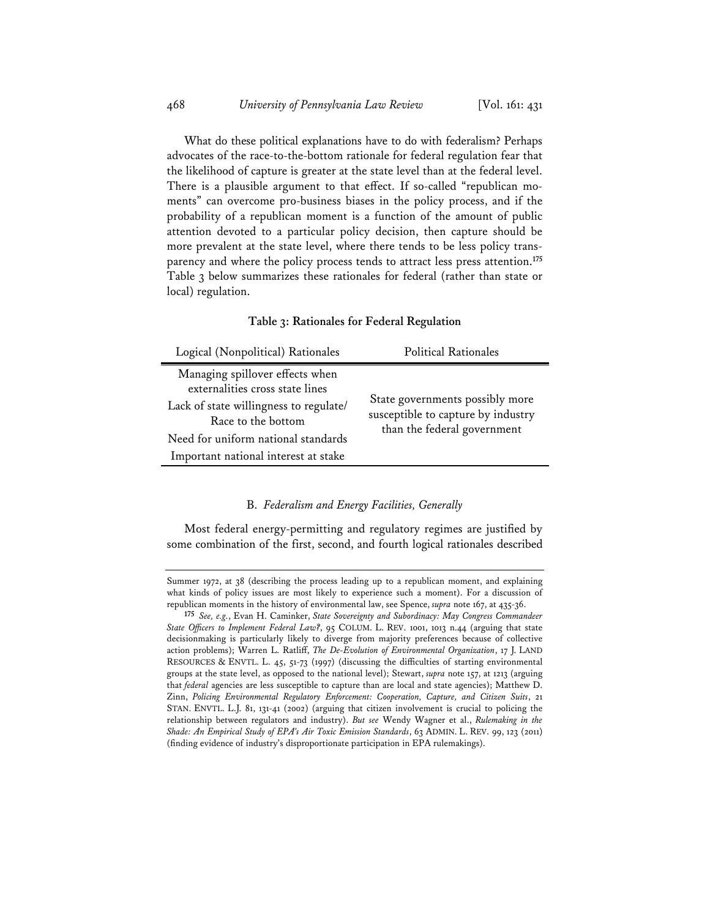What do these political explanations have to do with federalism? Perhaps advocates of the race-to-the-bottom rationale for federal regulation fear that the likelihood of capture is greater at the state level than at the federal level. There is a plausible argument to that effect. If so-called "republican moments" can overcome pro-business biases in the policy process, and if the probability of a republican moment is a function of the amount of public attention devoted to a particular policy decision, then capture should be more prevalent at the state level, where there tends to be less policy transparency and where the policy process tends to attract less press attention.**<sup>175</sup>** Table 3 below summarizes these rationales for federal (rather than state or local) regulation.

### **Table 3: Rationales for Federal Regulation**

| Logical (Nonpolitical) Rationales                                                                                                                                                                                 | <b>Political Rationales</b>                                                                          |
|-------------------------------------------------------------------------------------------------------------------------------------------------------------------------------------------------------------------|------------------------------------------------------------------------------------------------------|
| Managing spillover effects when<br>externalities cross state lines<br>Lack of state willingness to regulate/<br>Race to the bottom<br>Need for uniform national standards<br>Important national interest at stake | State governments possibly more<br>susceptible to capture by industry<br>than the federal government |

### B. *Federalism and Energy Facilities, Generally*

Most federal energy-permitting and regulatory regimes are justified by some combination of the first, second, and fourth logical rationales described

Summer 1972, at 38 (describing the process leading up to a republican moment, and explaining what kinds of policy issues are most likely to experience such a moment). For a discussion of republican moments in the history of environmental law, see Spence, *supra* note 167, at 435-36.

**<sup>175</sup>** *See, e.g.*, Evan H. Caminker, *State Sovereignty and Subordinacy: May Congress Commandeer State Officers to Implement Federal Law?*, 95 COLUM. L. REV. 1001, 1013 n.44 (arguing that state decisionmaking is particularly likely to diverge from majority preferences because of collective action problems); Warren L. Ratliff, *The De-Evolution of Environmental Organization*, 17 J. LAND RESOURCES & ENVTL. L. 45, 51-73 (1997) (discussing the difficulties of starting environmental groups at the state level, as opposed to the national level); Stewart, *supra* note 157, at 1213 (arguing that *federal* agencies are less susceptible to capture than are local and state agencies); Matthew D. Zinn, *Policing Environmental Regulatory Enforcement: Cooperation, Capture, and Citizen Suits*, 21 STAN. ENVTL. L.J. 81, 131-41 (2002) (arguing that citizen involvement is crucial to policing the relationship between regulators and industry). *But see* Wendy Wagner et al., *Rulemaking in the Shade: An Empirical Study of EPA's Air Toxic Emission Standards*, 63 ADMIN. L. REV. 99, 123 (2011) (finding evidence of industry's disproportionate participation in EPA rulemakings).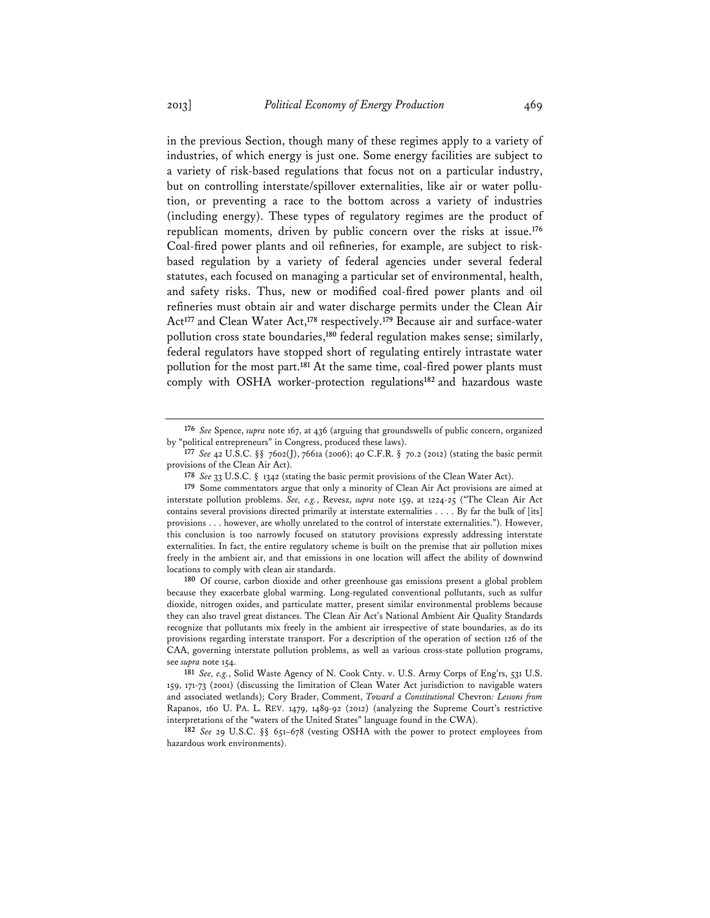in the previous Section, though many of these regimes apply to a variety of industries, of which energy is just one. Some energy facilities are subject to a variety of risk-based regulations that focus not on a particular industry, but on controlling interstate/spillover externalities, like air or water pollution, or preventing a race to the bottom across a variety of industries (including energy). These types of regulatory regimes are the product of republican moments, driven by public concern over the risks at issue.**<sup>176</sup>** Coal-fired power plants and oil refineries, for example, are subject to riskbased regulation by a variety of federal agencies under several federal statutes, each focused on managing a particular set of environmental, health, and safety risks. Thus, new or modified coal-fired power plants and oil refineries must obtain air and water discharge permits under the Clean Air Act**<sup>177</sup>** and Clean Water Act,**<sup>178</sup>** respectively.**<sup>179</sup>** Because air and surface-water pollution cross state boundaries,**<sup>180</sup>** federal regulation makes sense; similarly, federal regulators have stopped short of regulating entirely intrastate water pollution for the most part.**<sup>181</sup>** At the same time, coal-fired power plants must comply with OSHA worker-protection regulations**<sup>182</sup>** and hazardous waste

**180** Of course, carbon dioxide and other greenhouse gas emissions present a global problem because they exacerbate global warming. Long-regulated conventional pollutants, such as sulfur dioxide, nitrogen oxides, and particulate matter, present similar environmental problems because they can also travel great distances. The Clean Air Act's National Ambient Air Quality Standards recognize that pollutants mix freely in the ambient air irrespective of state boundaries, as do its provisions regarding interstate transport. For a description of the operation of section 126 of the CAA, governing interstate pollution problems, as well as various cross-state pollution programs, see *supra* note 154.

**181** *See, e.g.*, Solid Waste Agency of N. Cook Cnty. v. U.S. Army Corps of Eng'rs, 531 U.S. 159, 171-73 (2001) (discussing the limitation of Clean Water Act jurisdiction to navigable waters and associated wetlands); Cory Brader, Comment, *Toward a Constitutional* Chevron*: Lessons from*  Rapanos, 160 U. PA. L. REV. 1479, 1489-92 (2012) (analyzing the Supreme Court's restrictive interpretations of the "waters of the United States" language found in the CWA).

**182** *See* 29 U.S.C. §§ 651–678 (vesting OSHA with the power to protect employees from hazardous work environments).

**<sup>176</sup>** *See* Spence, *supra* note 167, at 436 (arguing that groundswells of public concern, organized by "political entrepreneurs" in Congress, produced these laws).

**<sup>177</sup>** *See* 42 U.S.C. §§ 7602(J), 7661a (2006); 40 C.F.R. § 70.2 (2012) (stating the basic permit provisions of the Clean Air Act).

**<sup>178</sup>** *See* 33 U.S.C. § 1342 (stating the basic permit provisions of the Clean Water Act).

**<sup>179</sup>** Some commentators argue that only a minority of Clean Air Act provisions are aimed at interstate pollution problems. *See, e.g.*, Revesz, *supra* note 159, at 1224-25 ("The Clean Air Act contains several provisions directed primarily at interstate externalities . . . . By far the bulk of [its] provisions . . . however, are wholly unrelated to the control of interstate externalities."). However, this conclusion is too narrowly focused on statutory provisions expressly addressing interstate externalities. In fact, the entire regulatory scheme is built on the premise that air pollution mixes freely in the ambient air, and that emissions in one location will affect the ability of downwind locations to comply with clean air standards.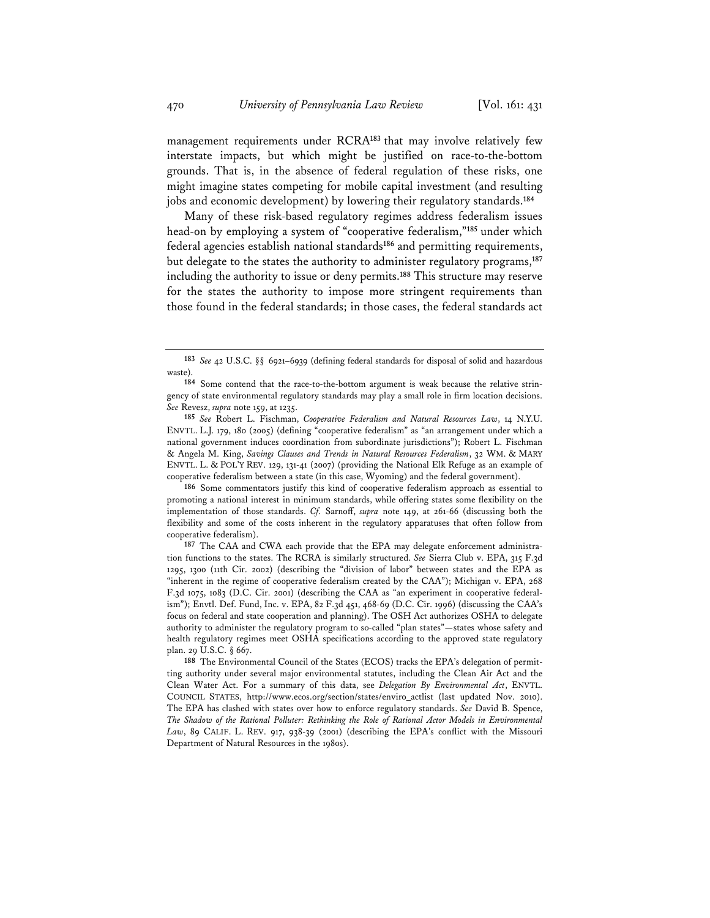management requirements under RCRA**<sup>183</sup>** that may involve relatively few interstate impacts, but which might be justified on race-to-the-bottom grounds. That is, in the absence of federal regulation of these risks, one might imagine states competing for mobile capital investment (and resulting jobs and economic development) by lowering their regulatory standards.**<sup>184</sup>**

Many of these risk-based regulatory regimes address federalism issues head-on by employing a system of "cooperative federalism,"**<sup>185</sup>** under which federal agencies establish national standards**<sup>186</sup>** and permitting requirements, but delegate to the states the authority to administer regulatory programs,**<sup>187</sup>** including the authority to issue or deny permits.**<sup>188</sup>** This structure may reserve for the states the authority to impose more stringent requirements than those found in the federal standards; in those cases, the federal standards act

**185** *See* Robert L. Fischman, *Cooperative Federalism and Natural Resources Law*, 14 N.Y.U. ENVTL. L.J. 179, 180 (2005) (defining "cooperative federalism" as "an arrangement under which a national government induces coordination from subordinate jurisdictions"); Robert L. Fischman & Angela M. King, *Savings Clauses and Trends in Natural Resources Federalism*, 32 WM. & MARY ENVTL. L. & POL'Y REV. 129, 131-41 (2007) (providing the National Elk Refuge as an example of cooperative federalism between a state (in this case, Wyoming) and the federal government).

**186** Some commentators justify this kind of cooperative federalism approach as essential to promoting a national interest in minimum standards, while offering states some flexibility on the implementation of those standards. *Cf.* Sarnoff, *supra* note 149, at 261-66 (discussing both the flexibility and some of the costs inherent in the regulatory apparatuses that often follow from cooperative federalism).

**187** The CAA and CWA each provide that the EPA may delegate enforcement administration functions to the states. The RCRA is similarly structured. *See* Sierra Club v. EPA, 315 F.3d 1295, 1300 (11th Cir. 2002) (describing the "division of labor" between states and the EPA as "inherent in the regime of cooperative federalism created by the CAA"); Michigan v. EPA, 268 F.3d 1075, 1083 (D.C. Cir. 2001) (describing the CAA as "an experiment in cooperative federalism"); Envtl. Def. Fund, Inc. v. EPA, 82 F.3d 451, 468-69 (D.C. Cir. 1996) (discussing the CAA's focus on federal and state cooperation and planning). The OSH Act authorizes OSHA to delegate authority to administer the regulatory program to so-called "plan states"—states whose safety and health regulatory regimes meet OSHA specifications according to the approved state regulatory plan. 29 U.S.C. § 667.

**188** The Environmental Council of the States (ECOS) tracks the EPA's delegation of permitting authority under several major environmental statutes, including the Clean Air Act and the Clean Water Act. For a summary of this data, see *Delegation By Environmental Act*, ENVTL. COUNCIL STATES, http://www.ecos.org/section/states/enviro\_actlist (last updated Nov. 2010). The EPA has clashed with states over how to enforce regulatory standards. *See* David B. Spence, *The Shadow of the Rational Polluter: Rethinking the Role of Rational Actor Models in Environmental Law*, 89 CALIF. L. REV. 917, 938-39 (2001) (describing the EPA's conflict with the Missouri Department of Natural Resources in the 1980s).

**<sup>183</sup>** *See* 42 U.S.C. §§ 6921–6939 (defining federal standards for disposal of solid and hazardous waste).

**<sup>184</sup>** Some contend that the race-to-the-bottom argument is weak because the relative stringency of state environmental regulatory standards may play a small role in firm location decisions. *See* Revesz, *supra* note 159, at 1235.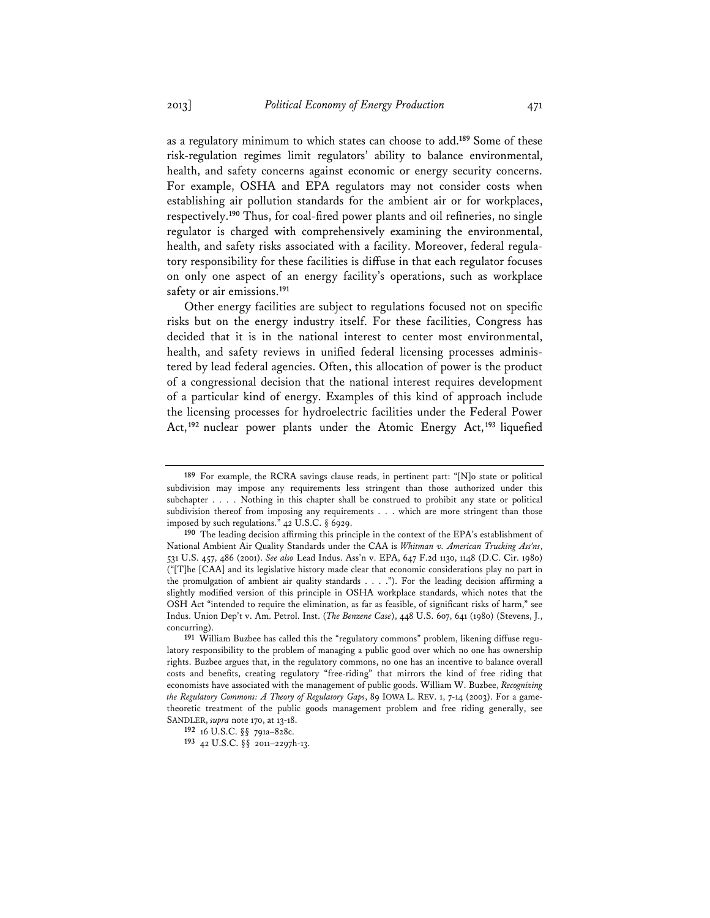as a regulatory minimum to which states can choose to add.**<sup>189</sup>** Some of these risk-regulation regimes limit regulators' ability to balance environmental, health, and safety concerns against economic or energy security concerns. For example, OSHA and EPA regulators may not consider costs when establishing air pollution standards for the ambient air or for workplaces, respectively.**<sup>190</sup>** Thus, for coal-fired power plants and oil refineries, no single regulator is charged with comprehensively examining the environmental, health, and safety risks associated with a facility. Moreover, federal regulatory responsibility for these facilities is diffuse in that each regulator focuses on only one aspect of an energy facility's operations, such as workplace safety or air emissions.**<sup>191</sup>**

Other energy facilities are subject to regulations focused not on specific risks but on the energy industry itself. For these facilities, Congress has decided that it is in the national interest to center most environmental, health, and safety reviews in unified federal licensing processes administered by lead federal agencies. Often, this allocation of power is the product of a congressional decision that the national interest requires development of a particular kind of energy. Examples of this kind of approach include the licensing processes for hydroelectric facilities under the Federal Power Act,**<sup>192</sup>** nuclear power plants under the Atomic Energy Act,**<sup>193</sup>** liquefied

**<sup>189</sup>** For example, the RCRA savings clause reads, in pertinent part: "[N]o state or political subdivision may impose any requirements less stringent than those authorized under this subchapter . . . . Nothing in this chapter shall be construed to prohibit any state or political subdivision thereof from imposing any requirements . . . which are more stringent than those imposed by such regulations." 42 U.S.C. § 6929.

**<sup>190</sup>** The leading decision affirming this principle in the context of the EPA's establishment of National Ambient Air Quality Standards under the CAA is *Whitman v. American Trucking Ass'ns*, 531 U.S. 457, 486 (2001). *See also* Lead Indus. Ass'n v. EPA, 647 F.2d 1130, 1148 (D.C. Cir. 1980) ("[T]he [CAA] and its legislative history made clear that economic considerations play no part in the promulgation of ambient air quality standards . . . ."). For the leading decision affirming a slightly modified version of this principle in OSHA workplace standards, which notes that the OSH Act "intended to require the elimination, as far as feasible, of significant risks of harm," see Indus. Union Dep't v. Am. Petrol. Inst. (*The Benzene Case*), 448 U.S. 607, 641 (1980) (Stevens, J., concurring).

**<sup>191</sup>** William Buzbee has called this the "regulatory commons" problem, likening diffuse regulatory responsibility to the problem of managing a public good over which no one has ownership rights. Buzbee argues that, in the regulatory commons, no one has an incentive to balance overall costs and benefits, creating regulatory "free-riding" that mirrors the kind of free riding that economists have associated with the management of public goods. William W. Buzbee, *Recognizing the Regulatory Commons: A Theory of Regulatory Gaps*, 89 IOWA L. REV. 1, 7-14 (2003). For a gametheoretic treatment of the public goods management problem and free riding generally, see SANDLER, *supra* note 170, at 13-18.

**<sup>192</sup>** 16 U.S.C. §§ 791a–828c.

**<sup>193</sup>** 42 U.S.C. §§ 2011–2297h-13.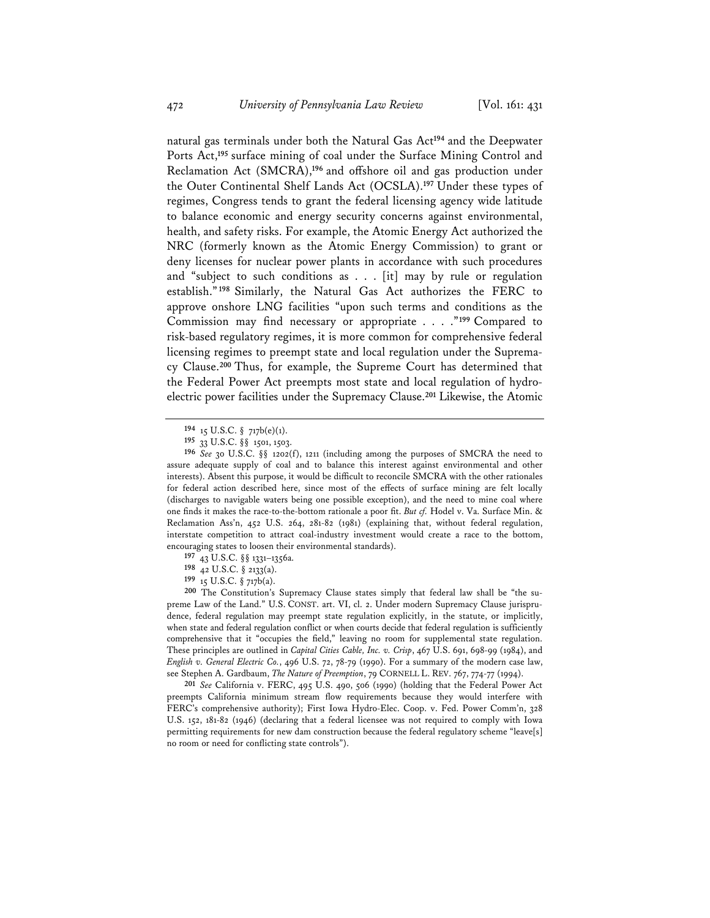natural gas terminals under both the Natural Gas Act**<sup>194</sup>** and the Deepwater Ports Act,**<sup>195</sup>** surface mining of coal under the Surface Mining Control and Reclamation Act (SMCRA),**<sup>196</sup>** and offshore oil and gas production under the Outer Continental Shelf Lands Act (OCSLA).**<sup>197</sup>** Under these types of regimes, Congress tends to grant the federal licensing agency wide latitude to balance economic and energy security concerns against environmental, health, and safety risks. For example, the Atomic Energy Act authorized the NRC (formerly known as the Atomic Energy Commission) to grant or deny licenses for nuclear power plants in accordance with such procedures and "subject to such conditions as . . . [it] may by rule or regulation establish."**<sup>198</sup>** Similarly, the Natural Gas Act authorizes the FERC to approve onshore LNG facilities "upon such terms and conditions as the Commission may find necessary or appropriate . . . ."**<sup>199</sup>** Compared to risk-based regulatory regimes, it is more common for comprehensive federal licensing regimes to preempt state and local regulation under the Supremacy Clause.**<sup>200</sup>** Thus, for example, the Supreme Court has determined that the Federal Power Act preempts most state and local regulation of hydroelectric power facilities under the Supremacy Clause.**<sup>201</sup>** Likewise, the Atomic

**199** 15 U.S.C. § 717b(a).

**200** The Constitution's Supremacy Clause states simply that federal law shall be "the supreme Law of the Land." U.S. CONST. art. VI, cl. 2. Under modern Supremacy Clause jurisprudence, federal regulation may preempt state regulation explicitly, in the statute, or implicitly, when state and federal regulation conflict or when courts decide that federal regulation is sufficiently comprehensive that it "occupies the field," leaving no room for supplemental state regulation. These principles are outlined in *Capital Cities Cable, Inc. v. Crisp*, 467 U.S. 691, 698-99 (1984), and *English v. General Electric Co.*, 496 U.S. 72, 78-79 (1990). For a summary of the modern case law, see Stephen A. Gardbaum, *The Nature of Preemption*, 79 CORNELL L. REV. 767, 774-77 (1994).

**201** *See* California v. FERC, 495 U.S. 490, 506 (1990) (holding that the Federal Power Act preempts California minimum stream flow requirements because they would interfere with FERC's comprehensive authority); First Iowa Hydro-Elec. Coop. v. Fed. Power Comm'n, 328 U.S. 152, 181-82 (1946) (declaring that a federal licensee was not required to comply with Iowa permitting requirements for new dam construction because the federal regulatory scheme "leave[s] no room or need for conflicting state controls").

**<sup>194</sup>** 15 U.S.C. § 717b(e)(1).

**<sup>195</sup>** 33 U.S.C. §§ 1501, 1503.

**<sup>196</sup>** *See* 30 U.S.C. §§ 1202(f), 1211 (including among the purposes of SMCRA the need to assure adequate supply of coal and to balance this interest against environmental and other interests). Absent this purpose, it would be difficult to reconcile SMCRA with the other rationales for federal action described here, since most of the effects of surface mining are felt locally (discharges to navigable waters being one possible exception), and the need to mine coal where one finds it makes the race-to-the-bottom rationale a poor fit. *But cf.* Hodel v. Va. Surface Min. & Reclamation Ass'n, 452 U.S. 264, 281-82 (1981) (explaining that, without federal regulation, interstate competition to attract coal-industry investment would create a race to the bottom, encouraging states to loosen their environmental standards).

**<sup>197</sup>** 43 U.S.C. §§ 1331–1356a.

**<sup>198</sup>** 42 U.S.C. § 2133(a).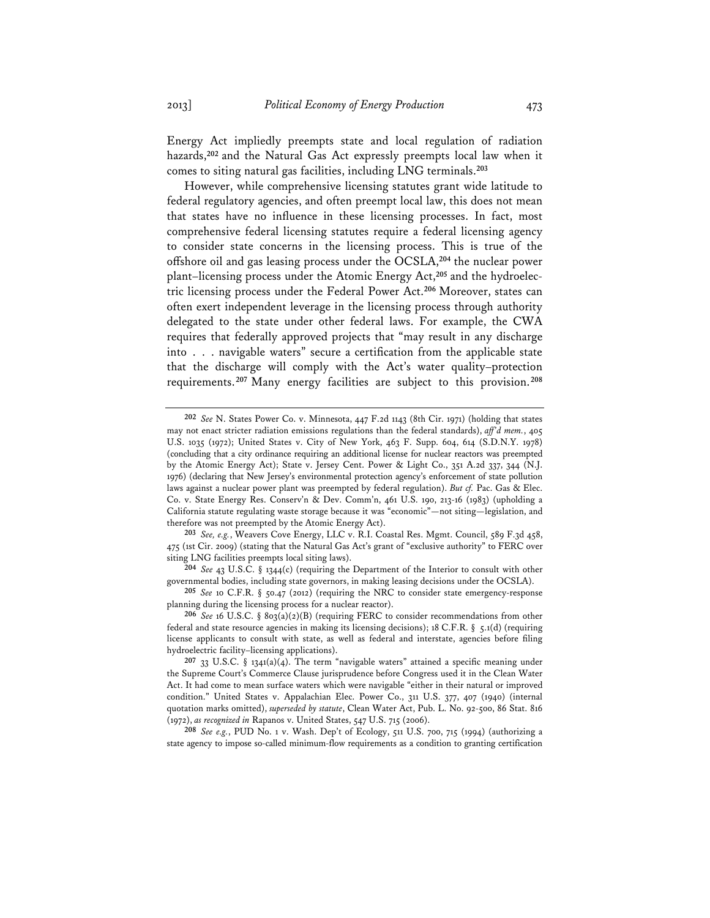Energy Act impliedly preempts state and local regulation of radiation hazards,**<sup>202</sup>** and the Natural Gas Act expressly preempts local law when it comes to siting natural gas facilities, including LNG terminals.**<sup>203</sup>**

However, while comprehensive licensing statutes grant wide latitude to federal regulatory agencies, and often preempt local law, this does not mean that states have no influence in these licensing processes. In fact, most comprehensive federal licensing statutes require a federal licensing agency to consider state concerns in the licensing process. This is true of the offshore oil and gas leasing process under the OCSLA,**<sup>204</sup>** the nuclear power plant–licensing process under the Atomic Energy Act,**205** and the hydroelectric licensing process under the Federal Power Act.**<sup>206</sup>** Moreover, states can often exert independent leverage in the licensing process through authority delegated to the state under other federal laws. For example, the CWA requires that federally approved projects that "may result in any discharge into . . . navigable waters" secure a certification from the applicable state that the discharge will comply with the Act's water quality–protection requirements.**<sup>207</sup>** Many energy facilities are subject to this provision.**<sup>208</sup>**

**203** *See, e.g.*, Weavers Cove Energy, LLC v. R.I. Coastal Res. Mgmt. Council, 589 F.3d 458, 475 (1st Cir. 2009) (stating that the Natural Gas Act's grant of "exclusive authority" to FERC over siting LNG facilities preempts local siting laws).

**204** *See* 43 U.S.C. § 1344(c) (requiring the Department of the Interior to consult with other governmental bodies, including state governors, in making leasing decisions under the OCSLA).

**205** *See* 10 C.F.R. § 50.47 (2012) (requiring the NRC to consider state emergency-response planning during the licensing process for a nuclear reactor).

207 33 U.S.C. § 1341(a)(4). The term "navigable waters" attained a specific meaning under the Supreme Court's Commerce Clause jurisprudence before Congress used it in the Clean Water Act. It had come to mean surface waters which were navigable "either in their natural or improved condition." United States v. Appalachian Elec. Power Co., 311 U.S. 377, 407 (1940) (internal quotation marks omitted), *superseded by statute*, Clean Water Act, Pub. L. No. 92-500, 86 Stat. 816 (1972), *as recognized in* Rapanos v. United States, 547 U.S. 715 (2006).

**208** *See e.g.*, PUD No. 1 v. Wash. Dep't of Ecology, 511 U.S. 700, 715 (1994) (authorizing a state agency to impose so-called minimum-flow requirements as a condition to granting certification

**<sup>202</sup>** *See* N. States Power Co. v. Minnesota, 447 F.2d 1143 (8th Cir. 1971) (holding that states may not enact stricter radiation emissions regulations than the federal standards), *aff'd mem.*, 405 U.S. 1035 (1972); United States v. City of New York, 463 F. Supp. 604, 614 (S.D.N.Y. 1978) (concluding that a city ordinance requiring an additional license for nuclear reactors was preempted by the Atomic Energy Act); State v. Jersey Cent. Power & Light Co., 351 A.2d 337, 344 (N.J. 1976) (declaring that New Jersey's environmental protection agency's enforcement of state pollution laws against a nuclear power plant was preempted by federal regulation). *But cf.* Pac. Gas & Elec. Co. v. State Energy Res. Conserv'n & Dev. Comm'n, 461 U.S. 190, 213-16 (1983) (upholding a California statute regulating waste storage because it was "economic"—not siting—legislation, and therefore was not preempted by the Atomic Energy Act).

**<sup>206</sup>** *See* 16 U.S.C. § 803(a)(2)(B) (requiring FERC to consider recommendations from other federal and state resource agencies in making its licensing decisions); 18 C.F.R. § 5.1(d) (requiring license applicants to consult with state, as well as federal and interstate, agencies before filing hydroelectric facility–licensing applications).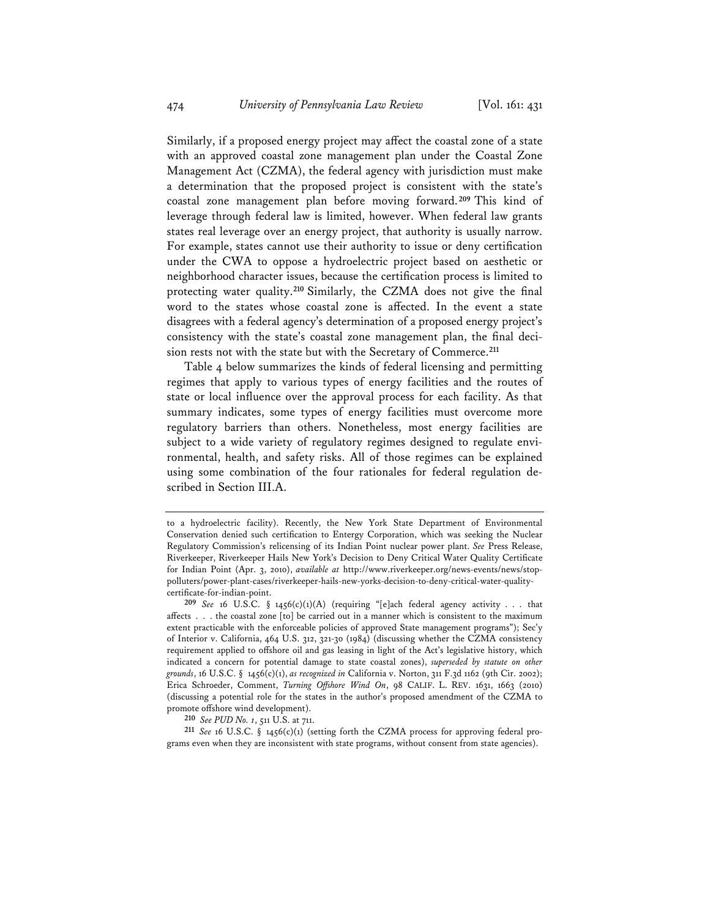Similarly, if a proposed energy project may affect the coastal zone of a state with an approved coastal zone management plan under the Coastal Zone Management Act (CZMA), the federal agency with jurisdiction must make a determination that the proposed project is consistent with the state's coastal zone management plan before moving forward.**<sup>209</sup>** This kind of leverage through federal law is limited, however. When federal law grants states real leverage over an energy project, that authority is usually narrow. For example, states cannot use their authority to issue or deny certification under the CWA to oppose a hydroelectric project based on aesthetic or neighborhood character issues, because the certification process is limited to protecting water quality.**<sup>210</sup>** Similarly, the CZMA does not give the final word to the states whose coastal zone is affected. In the event a state disagrees with a federal agency's determination of a proposed energy project's consistency with the state's coastal zone management plan, the final decision rests not with the state but with the Secretary of Commerce.**<sup>211</sup>**

Table 4 below summarizes the kinds of federal licensing and permitting regimes that apply to various types of energy facilities and the routes of state or local influence over the approval process for each facility. As that summary indicates, some types of energy facilities must overcome more regulatory barriers than others. Nonetheless, most energy facilities are subject to a wide variety of regulatory regimes designed to regulate environmental, health, and safety risks. All of those regimes can be explained using some combination of the four rationales for federal regulation described in Section III.A.

**210** *See PUD No. 1*, 511 U.S. at 711.

**211** *See* 16 U.S.C. § 1456(c)(1) (setting forth the CZMA process for approving federal programs even when they are inconsistent with state programs, without consent from state agencies).

to a hydroelectric facility). Recently, the New York State Department of Environmental Conservation denied such certification to Entergy Corporation, which was seeking the Nuclear Regulatory Commission's relicensing of its Indian Point nuclear power plant. *See* Press Release, Riverkeeper, Riverkeeper Hails New York's Decision to Deny Critical Water Quality Certificate for Indian Point (Apr. 3, 2010), *available at* http://www.riverkeeper.org/news-events/news/stoppolluters/power-plant-cases/riverkeeper-hails-new-yorks-decision-to-deny-critical-water-qualitycertificate-for-indian-point.

**<sup>209</sup>** *See* 16 U.S.C. § 1456(c)(1)(A) (requiring "[e]ach federal agency activity . . . that affects . . . the coastal zone [to] be carried out in a manner which is consistent to the maximum extent practicable with the enforceable policies of approved State management programs"); Sec'y of Interior v. California, 464 U.S. 312, 321-30 (1984) (discussing whether the CZMA consistency requirement applied to offshore oil and gas leasing in light of the Act's legislative history, which indicated a concern for potential damage to state coastal zones), *superseded by statute on other grounds*, 16 U.S.C. § 1456(c)(1), *as recognized in* California v. Norton, 311 F.3d 1162 (9th Cir. 2002); Erica Schroeder, Comment, *Turning Offshore Wind On*, 98 CALIF. L. REV. 1631, 1663 (2010) (discussing a potential role for the states in the author's proposed amendment of the CZMA to promote offshore wind development).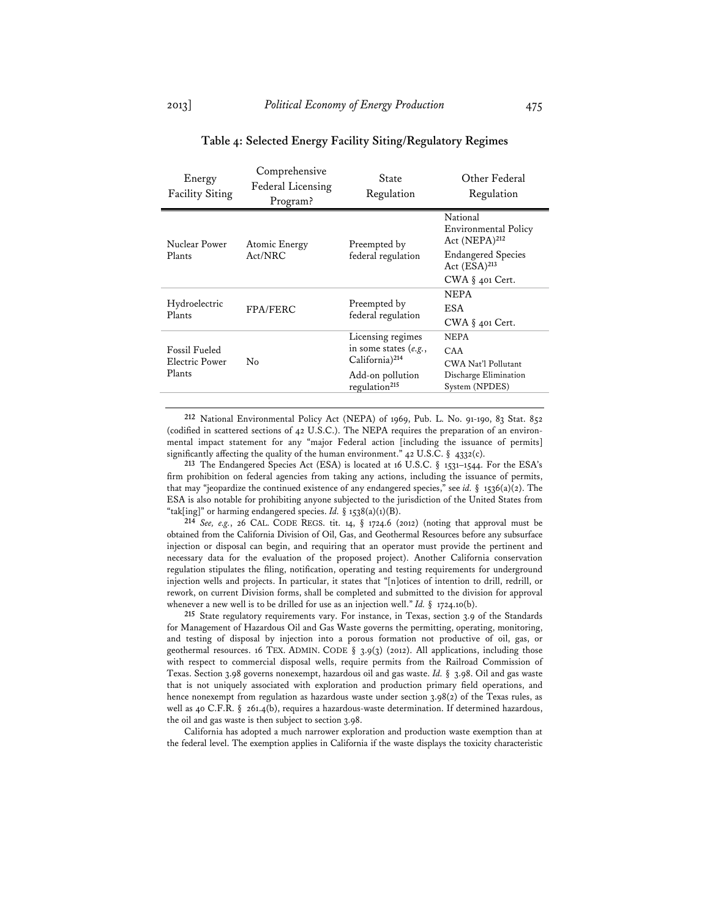| Energy<br><b>Facility Siting</b>                 | Comprehensive<br>Federal Licensing<br>Program? | State<br>Regulation                                                                                                         | Other Federal<br>Regulation                                                                                                                 |
|--------------------------------------------------|------------------------------------------------|-----------------------------------------------------------------------------------------------------------------------------|---------------------------------------------------------------------------------------------------------------------------------------------|
| Nuclear Power<br>Plants                          | Atomic Energy<br>Act/NRC                       | Preempted by<br>federal regulation                                                                                          | National<br><b>Environmental Policy</b><br>Act (NEPA) <sup>212</sup><br><b>Endangered Species</b><br>Act $(ESA)^{213}$<br>$CWA$ § 401 Cert. |
| Hydroelectric<br>Plants                          | <b>FPA/FERC</b>                                | Preempted by<br>federal regulation                                                                                          | <b>NEPA</b><br><b>ESA</b><br>CWA $\S$ 401 Cert.                                                                                             |
| <b>Fossil Fueled</b><br>Electric Power<br>Plants | No                                             | Licensing regimes<br>in some states $(e.g.,$<br>California) <sup>214</sup><br>Add-on pollution<br>regulation <sup>215</sup> | <b>NEPA</b><br>CAA<br>CWA Nat'l Pollutant<br>Discharge Elimination<br>System (NPDES)                                                        |

# **Table 4: Selected Energy Facility Siting/Regulatory Regimes**

**212** National Environmental Policy Act (NEPA) of 1969, Pub. L. No. 91-190, 83 Stat. 852 (codified in scattered sections of 42 U.S.C.). The NEPA requires the preparation of an environmental impact statement for any "major Federal action [including the issuance of permits] significantly affecting the quality of the human environment."  $42$  U.S.C. §  $4332(c)$ .

**213** The Endangered Species Act (ESA) is located at 16 U.S.C. § 1531–1544. For the ESA's firm prohibition on federal agencies from taking any actions, including the issuance of permits, that may "jeopardize the continued existence of any endangered species," see *id.* § 1536(a)(2). The ESA is also notable for prohibiting anyone subjected to the jurisdiction of the United States from "tak[ing]" or harming endangered species. *Id.*  $\S$  1538(a)(1)(B).

**214** *See, e.g.*, 26 CAL. CODE REGS. tit. 14, § 1724.6 (2012) (noting that approval must be obtained from the California Division of Oil, Gas, and Geothermal Resources before any subsurface injection or disposal can begin, and requiring that an operator must provide the pertinent and necessary data for the evaluation of the proposed project). Another California conservation regulation stipulates the filing, notification, operating and testing requirements for underground injection wells and projects. In particular, it states that "[n]otices of intention to drill, redrill, or rework, on current Division forms, shall be completed and submitted to the division for approval whenever a new well is to be drilled for use as an injection well." *Id.* § 1724.10(b).

**215** State regulatory requirements vary. For instance, in Texas, section 3.9 of the Standards for Management of Hazardous Oil and Gas Waste governs the permitting, operating, monitoring, and testing of disposal by injection into a porous formation not productive of oil, gas, or geothermal resources. 16 TEX. ADMIN. CODE § 3.9(3) (2012). All applications, including those with respect to commercial disposal wells, require permits from the Railroad Commission of Texas. Section 3.98 governs nonexempt, hazardous oil and gas waste. *Id.* § 3.98. Oil and gas waste that is not uniquely associated with exploration and production primary field operations, and hence nonexempt from regulation as hazardous waste under section 3.98(2) of the Texas rules, as well as 40 C.F.R. § 261.4(b), requires a hazardous-waste determination. If determined hazardous, the oil and gas waste is then subject to section 3.98.

California has adopted a much narrower exploration and production waste exemption than at the federal level. The exemption applies in California if the waste displays the toxicity characteristic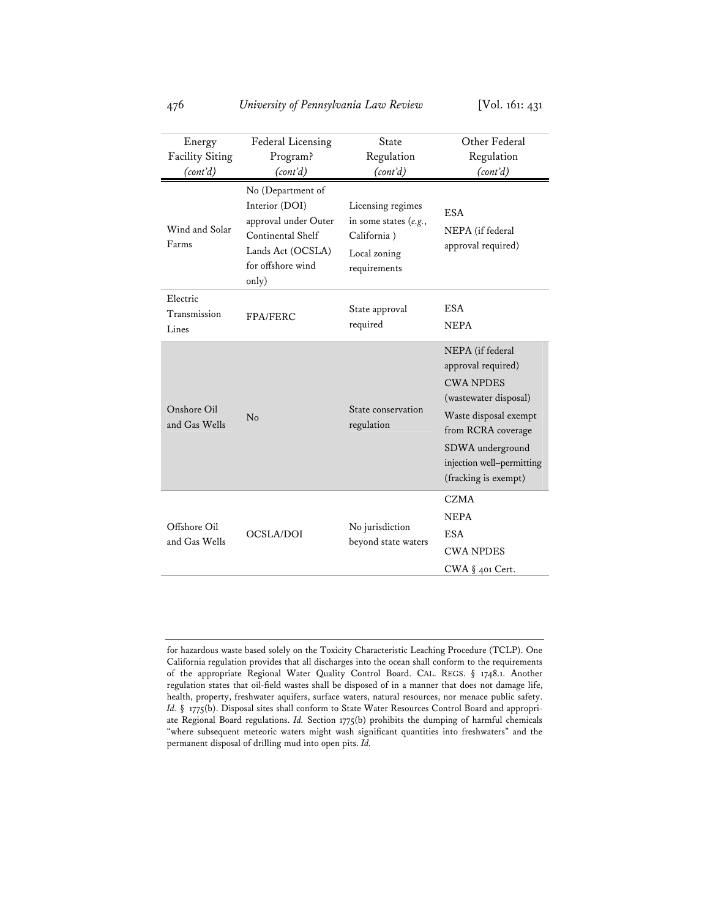| Energy<br><b>Facility Siting</b><br>(cont'd) | Federal Licensing<br>Program?<br>(cont'd)                                                                                           | State<br>Regulation<br>(cont'd)                                                             | Other Federal<br>Regulation<br>(cont'd)                                                                                                                                                                     |
|----------------------------------------------|-------------------------------------------------------------------------------------------------------------------------------------|---------------------------------------------------------------------------------------------|-------------------------------------------------------------------------------------------------------------------------------------------------------------------------------------------------------------|
| Wind and Solar<br>Farms                      | No (Department of<br>Interior (DOI)<br>approval under Outer<br>Continental Shelf<br>Lands Act (OCSLA)<br>for offshore wind<br>only) | Licensing regimes<br>in some states $(e.g.,$<br>California)<br>Local zoning<br>requirements | <b>ESA</b><br>NEPA (if federal<br>approval required)                                                                                                                                                        |
| Electric<br>Transmission<br>Lines            | FPA/FERC                                                                                                                            | State approval<br>required                                                                  | <b>ESA</b><br><b>NEPA</b>                                                                                                                                                                                   |
| Onshore Oil<br>and Gas Wells                 | No                                                                                                                                  | State conservation<br>regulation                                                            | NEPA (if federal<br>approval required)<br><b>CWA NPDES</b><br>(wastewater disposal)<br>Waste disposal exempt<br>from RCRA coverage<br>SDWA underground<br>injection well-permitting<br>(fracking is exempt) |
| Offshore Oil<br>and Gas Wells                | <b>OCSLA/DOI</b>                                                                                                                    | No jurisdiction<br>beyond state waters                                                      | <b>CZMA</b><br><b>NEPA</b><br><b>ESA</b><br><b>CWA NPDES</b><br>CWA § 401 Cert.                                                                                                                             |

for hazardous waste based solely on the Toxicity Characteristic Leaching Procedure (TCLP). One California regulation provides that all discharges into the ocean shall conform to the requirements of the appropriate Regional Water Quality Control Board. CAL. REGS. § 1748.1. Another regulation states that oil-field wastes shall be disposed of in a manner that does not damage life, health, property, freshwater aquifers, surface waters, natural resources, nor menace public safety. Id. § 1775(b). Disposal sites shall conform to State Water Resources Control Board and appropriate Regional Board regulations. *Id.* Section 1775(b) prohibits the dumping of harmful chemicals "where subsequent meteoric waters might wash significant quantities into freshwaters" and the permanent disposal of drilling mud into open pits. *Id.*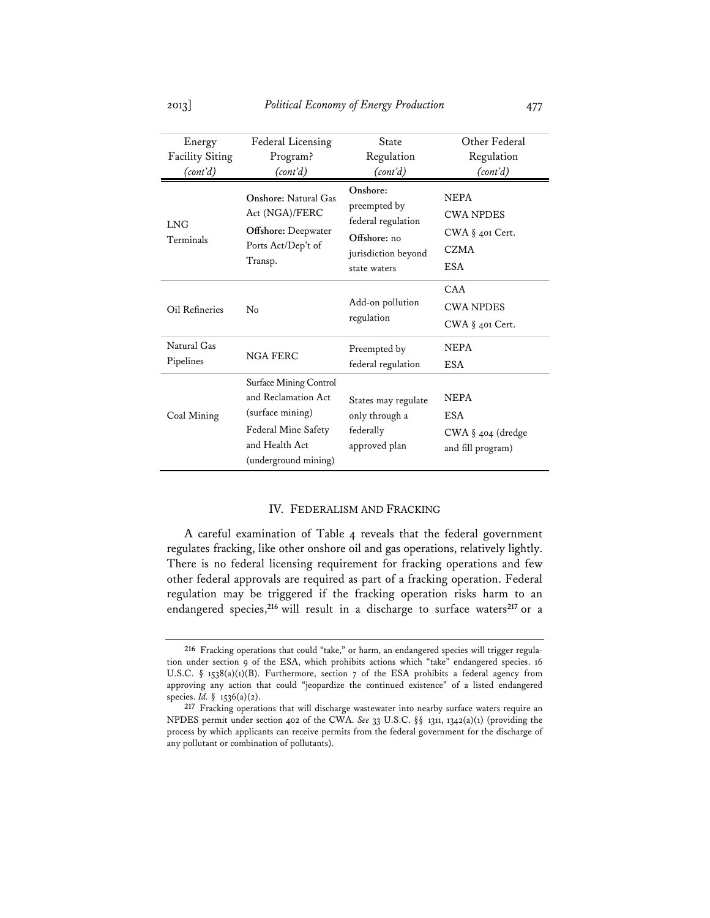| Energy<br><b>Facility Siting</b><br>(cont'd) | Federal Licensing<br>Program?<br>(cont'd)                                                                                                 | State<br>Regulation<br>(cont'd)                                                                       | Other Federal<br>Regulation<br>(cont'd)                                         |
|----------------------------------------------|-------------------------------------------------------------------------------------------------------------------------------------------|-------------------------------------------------------------------------------------------------------|---------------------------------------------------------------------------------|
| <b>LNG</b><br>Terminals                      | <b>Onshore: Natural Gas</b><br>Act (NGA)/FERC<br><b>Offshore: Deepwater</b><br>Ports Act/Dep't of<br>Transp.                              | Onshore:<br>preempted by<br>federal regulation<br>Offshore: no<br>jurisdiction beyond<br>state waters | <b>NEPA</b><br><b>CWA NPDES</b><br>CWA § 401 Cert.<br><b>CZMA</b><br><b>ESA</b> |
| Oil Refineries                               | No                                                                                                                                        | Add-on pollution<br>regulation                                                                        | CAA<br><b>CWA NPDES</b><br>$CWA$ § 401 Cert.                                    |
| Natural Gas<br>Pipelines                     | <b>NGA FERC</b>                                                                                                                           | Preempted by<br>federal regulation                                                                    | <b>NEPA</b><br><b>ESA</b>                                                       |
| Coal Mining                                  | <b>Surface Mining Control</b><br>and Reclamation Act<br>(surface mining)<br>Federal Mine Safety<br>and Health Act<br>(underground mining) | States may regulate<br>only through a<br>federally<br>approved plan                                   | <b>NEPA</b><br><b>ESA</b><br>$CWA \S 404$ (dredge<br>and fill program)          |

### IV. FEDERALISM AND FRACKING

A careful examination of Table 4 reveals that the federal government regulates fracking, like other onshore oil and gas operations, relatively lightly. There is no federal licensing requirement for fracking operations and few other federal approvals are required as part of a fracking operation. Federal regulation may be triggered if the fracking operation risks harm to an endangered species,**<sup>216</sup>** will result in a discharge to surface waters**<sup>217</sup>** or a

**<sup>216</sup>** Fracking operations that could "take," or harm, an endangered species will trigger regulation under section 9 of the ESA, which prohibits actions which "take" endangered species. 16 U.S.C. § 1538(a)(1)(B). Furthermore, section 7 of the ESA prohibits a federal agency from approving any action that could "jeopardize the continued existence" of a listed endangered species. *Id.* § 1536(a)(2).

**<sup>217</sup>** Fracking operations that will discharge wastewater into nearby surface waters require an NPDES permit under section 402 of the CWA. *See* 33 U.S.C. §§ 1311, 1342(a)(1) (providing the process by which applicants can receive permits from the federal government for the discharge of any pollutant or combination of pollutants).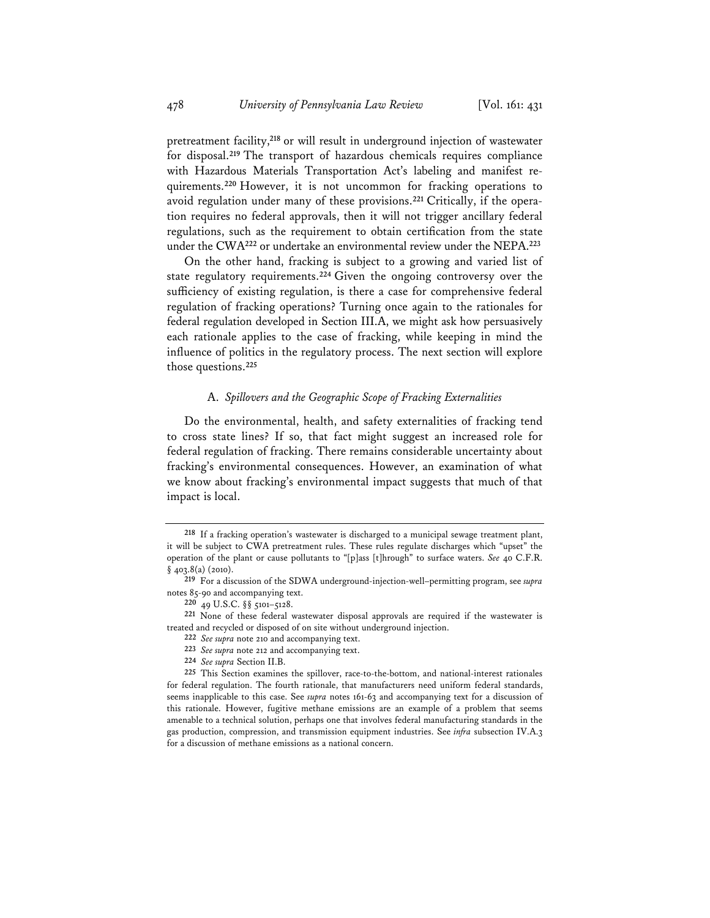pretreatment facility,**<sup>218</sup>** or will result in underground injection of wastewater for disposal.**<sup>219</sup>** The transport of hazardous chemicals requires compliance with Hazardous Materials Transportation Act's labeling and manifest requirements.**<sup>220</sup>** However, it is not uncommon for fracking operations to avoid regulation under many of these provisions.**221** Critically, if the operation requires no federal approvals, then it will not trigger ancillary federal regulations, such as the requirement to obtain certification from the state under the CWA**<sup>222</sup>** or undertake an environmental review under the NEPA.**<sup>223</sup>**

On the other hand, fracking is subject to a growing and varied list of state regulatory requirements.**<sup>224</sup>** Given the ongoing controversy over the sufficiency of existing regulation, is there a case for comprehensive federal regulation of fracking operations? Turning once again to the rationales for federal regulation developed in Section III.A, we might ask how persuasively each rationale applies to the case of fracking, while keeping in mind the influence of politics in the regulatory process. The next section will explore those questions.**<sup>225</sup>**

# A. *Spillovers and the Geographic Scope of Fracking Externalities*

Do the environmental, health, and safety externalities of fracking tend to cross state lines? If so, that fact might suggest an increased role for federal regulation of fracking. There remains considerable uncertainty about fracking's environmental consequences. However, an examination of what we know about fracking's environmental impact suggests that much of that impact is local.

**<sup>218</sup>** If a fracking operation's wastewater is discharged to a municipal sewage treatment plant, it will be subject to CWA pretreatment rules. These rules regulate discharges which "upset" the operation of the plant or cause pollutants to "[p]ass [t]hrough" to surface waters. *See* 40 C.F.R.  $§$  403.8(a) (2010).

**<sup>219</sup>** For a discussion of the SDWA underground-injection-well–permitting program, see *supra* notes 85-90 and accompanying text.

**<sup>220</sup>** 49 U.S.C. §§ 5101–5128.

**<sup>221</sup>** None of these federal wastewater disposal approvals are required if the wastewater is treated and recycled or disposed of on site without underground injection.

**<sup>222</sup>** *See supra* note 210 and accompanying text.

**<sup>223</sup>** *See supra* note 212 and accompanying text.

**<sup>224</sup>** *See supra* Section II.B.

**<sup>225</sup>** This Section examines the spillover, race-to-the-bottom, and national-interest rationales for federal regulation. The fourth rationale, that manufacturers need uniform federal standards, seems inapplicable to this case. See *supra* notes 161-63 and accompanying text for a discussion of this rationale. However, fugitive methane emissions are an example of a problem that seems amenable to a technical solution, perhaps one that involves federal manufacturing standards in the gas production, compression, and transmission equipment industries. See *infra* subsection IV.A.3 for a discussion of methane emissions as a national concern.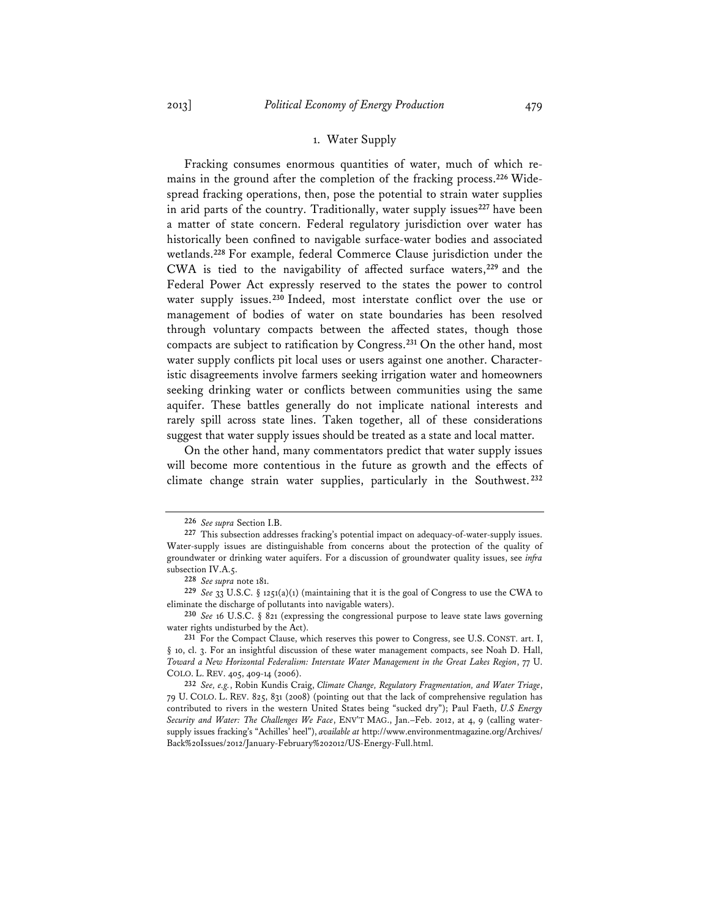### 1. Water Supply

Fracking consumes enormous quantities of water, much of which remains in the ground after the completion of the fracking process.**226** Widespread fracking operations, then, pose the potential to strain water supplies in arid parts of the country. Traditionally, water supply issues**<sup>227</sup>** have been a matter of state concern. Federal regulatory jurisdiction over water has historically been confined to navigable surface-water bodies and associated wetlands.**<sup>228</sup>** For example, federal Commerce Clause jurisdiction under the CWA is tied to the navigability of affected surface waters,**<sup>229</sup>** and the Federal Power Act expressly reserved to the states the power to control water supply issues.**<sup>230</sup>** Indeed, most interstate conflict over the use or management of bodies of water on state boundaries has been resolved through voluntary compacts between the affected states, though those compacts are subject to ratification by Congress.**<sup>231</sup>** On the other hand, most water supply conflicts pit local uses or users against one another. Characteristic disagreements involve farmers seeking irrigation water and homeowners seeking drinking water or conflicts between communities using the same aquifer. These battles generally do not implicate national interests and rarely spill across state lines. Taken together, all of these considerations suggest that water supply issues should be treated as a state and local matter.

On the other hand, many commentators predict that water supply issues will become more contentious in the future as growth and the effects of climate change strain water supplies, particularly in the Southwest. **<sup>232</sup>**

**<sup>226</sup>** *See supra* Section I.B.

**<sup>227</sup>** This subsection addresses fracking's potential impact on adequacy-of-water-supply issues. Water-supply issues are distinguishable from concerns about the protection of the quality of groundwater or drinking water aquifers. For a discussion of groundwater quality issues, see *infra* subsection IV.A.5.

**<sup>228</sup>** *See supra* note 181.

**<sup>229</sup>** *See* 33 U.S.C. § 1251(a)(1) (maintaining that it is the goal of Congress to use the CWA to eliminate the discharge of pollutants into navigable waters).

**<sup>230</sup>** *See* 16 U.S.C. § 821 (expressing the congressional purpose to leave state laws governing water rights undisturbed by the Act).

**<sup>231</sup>** For the Compact Clause, which reserves this power to Congress, see U.S. CONST. art. I, § 10, cl. 3. For an insightful discussion of these water management compacts, see Noah D. Hall, *Toward a New Horizontal Federalism: Interstate Water Management in the Great Lakes Region*, 77 U. COLO. L. REV. 405, 409-14 (2006).

**<sup>232</sup>** *See, e.g.*, Robin Kundis Craig, *Climate Change, Regulatory Fragmentation, and Water Triage*, 79 U. COLO. L. REV. 825, 831 (2008) (pointing out that the lack of comprehensive regulation has contributed to rivers in the western United States being "sucked dry"); Paul Faeth, *U.S Energy Security and Water: The Challenges We Face*, ENV'T MAG., Jan.–Feb. 2012, at 4, 9 (calling watersupply issues fracking's "Achilles' heel"), *available at* http://www.environmentmagazine.org/Archives/ Back%20Issues/2012/January-February%202012/US-Energy-Full.html.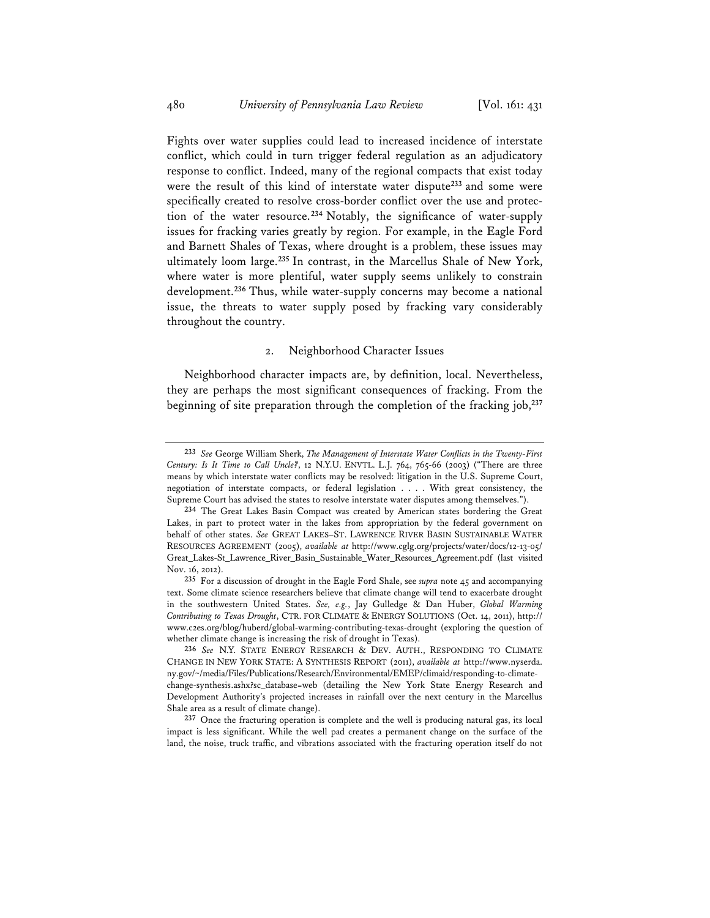Fights over water supplies could lead to increased incidence of interstate conflict, which could in turn trigger federal regulation as an adjudicatory response to conflict. Indeed, many of the regional compacts that exist today were the result of this kind of interstate water dispute**<sup>233</sup>** and some were specifically created to resolve cross-border conflict over the use and protection of the water resource.**<sup>234</sup>** Notably, the significance of water-supply issues for fracking varies greatly by region. For example, in the Eagle Ford and Barnett Shales of Texas, where drought is a problem, these issues may ultimately loom large.**<sup>235</sup>** In contrast, in the Marcellus Shale of New York, where water is more plentiful, water supply seems unlikely to constrain development.**<sup>236</sup>** Thus, while water-supply concerns may become a national issue, the threats to water supply posed by fracking vary considerably throughout the country.

#### 2. Neighborhood Character Issues

Neighborhood character impacts are, by definition, local. Nevertheless, they are perhaps the most significant consequences of fracking. From the beginning of site preparation through the completion of the fracking job,**<sup>237</sup>**

**<sup>233</sup>** *See* George William Sherk, *The Management of Interstate Water Conflicts in the Twenty-First Century: Is It Time to Call Uncle?*, 12 N.Y.U. ENVTL. L.J. 764, 765-66 (2003) ("There are three means by which interstate water conflicts may be resolved: litigation in the U.S. Supreme Court, negotiation of interstate compacts, or federal legislation . . . . With great consistency, the Supreme Court has advised the states to resolve interstate water disputes among themselves.").

**<sup>234</sup>** The Great Lakes Basin Compact was created by American states bordering the Great Lakes, in part to protect water in the lakes from appropriation by the federal government on behalf of other states. *See* GREAT LAKES–ST. LAWRENCE RIVER BASIN SUSTAINABLE WATER RESOURCES AGREEMENT (2005), *available at* http://www.cglg.org/projects/water/docs/12-13-05/ Great\_Lakes-St\_Lawrence\_River\_Basin\_Sustainable\_Water\_Resources\_Agreement.pdf (last visited Nov. 16, 2012).

**<sup>235</sup>** For a discussion of drought in the Eagle Ford Shale, see *supra* note 45 and accompanying text. Some climate science researchers believe that climate change will tend to exacerbate drought in the southwestern United States. *See, e.g.*, Jay Gulledge & Dan Huber, *Global Warming Contributing to Texas Drought*, CTR. FOR CLIMATE & ENERGY SOLUTIONS (Oct. 14, 2011), http:// www.c2es.org/blog/huberd/global-warming-contributing-texas-drought (exploring the question of whether climate change is increasing the risk of drought in Texas).

**<sup>236</sup>** *See* N.Y. STATE ENERGY RESEARCH & DEV. AUTH., RESPONDING TO CLIMATE CHANGE IN NEW YORK STATE: A SYNTHESIS REPORT (2011), *available at* http://www.nyserda. ny.gov/~/media/Files/Publications/Research/Environmental/EMEP/climaid/responding-to-climatechange-synthesis.ashx?sc\_database=web (detailing the New York State Energy Research and Development Authority's projected increases in rainfall over the next century in the Marcellus Shale area as a result of climate change).

**<sup>237</sup>** Once the fracturing operation is complete and the well is producing natural gas, its local impact is less significant. While the well pad creates a permanent change on the surface of the land, the noise, truck traffic, and vibrations associated with the fracturing operation itself do not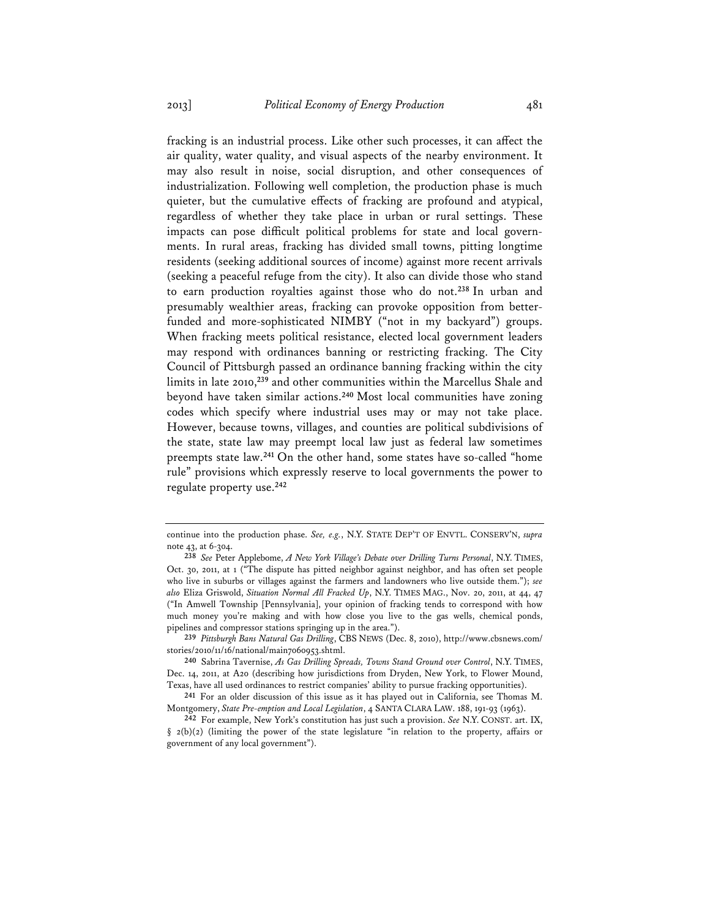fracking is an industrial process. Like other such processes, it can affect the air quality, water quality, and visual aspects of the nearby environment. It may also result in noise, social disruption, and other consequences of industrialization. Following well completion, the production phase is much quieter, but the cumulative effects of fracking are profound and atypical, regardless of whether they take place in urban or rural settings. These impacts can pose difficult political problems for state and local governments. In rural areas, fracking has divided small towns, pitting longtime residents (seeking additional sources of income) against more recent arrivals (seeking a peaceful refuge from the city). It also can divide those who stand to earn production royalties against those who do not.**<sup>238</sup>** In urban and presumably wealthier areas, fracking can provoke opposition from betterfunded and more-sophisticated NIMBY ("not in my backyard") groups. When fracking meets political resistance, elected local government leaders may respond with ordinances banning or restricting fracking. The City Council of Pittsburgh passed an ordinance banning fracking within the city limits in late 2010,**<sup>239</sup>** and other communities within the Marcellus Shale and beyond have taken similar actions.**<sup>240</sup>** Most local communities have zoning codes which specify where industrial uses may or may not take place. However, because towns, villages, and counties are political subdivisions of the state, state law may preempt local law just as federal law sometimes preempts state law.**<sup>241</sup>** On the other hand, some states have so-called "home rule" provisions which expressly reserve to local governments the power to regulate property use.**<sup>242</sup>**

continue into the production phase. *See, e.g.*, N.Y. STATE DEP'T OF ENVTL. CONSERV'N, *supra* note 43, at 6-304.

**<sup>238</sup>** *See* Peter Applebome, *A New York Village's Debate over Drilling Turns Personal*, N.Y. TIMES, Oct. 30, 2011, at 1 ("The dispute has pitted neighbor against neighbor, and has often set people who live in suburbs or villages against the farmers and landowners who live outside them."); *see also* Eliza Griswold, *Situation Normal All Fracked Up*, N.Y. TIMES MAG., Nov. 20, 2011, at 44, 47 ("In Amwell Township [Pennsylvania], your opinion of fracking tends to correspond with how much money you're making and with how close you live to the gas wells, chemical ponds, pipelines and compressor stations springing up in the area.").

**<sup>239</sup>** *Pittsburgh Bans Natural Gas Drilling*, CBS NEWS (Dec. 8, 2010), http://www.cbsnews.com/ stories/2010/11/16/national/main7060953.shtml.

**<sup>240</sup>** Sabrina Tavernise, *As Gas Drilling Spreads, Towns Stand Ground over Control*, N.Y. TIMES, Dec. 14, 2011, at A20 (describing how jurisdictions from Dryden, New York, to Flower Mound, Texas, have all used ordinances to restrict companies' ability to pursue fracking opportunities).

**<sup>241</sup>** For an older discussion of this issue as it has played out in California, see Thomas M. Montgomery, *State Pre-emption and Local Legislation*, 4 SANTA CLARA LAW. 188, 191-93 (1963).

**<sup>242</sup>** For example, New York's constitution has just such a provision. *See* N.Y. CONST. art. IX,  $\S$  2(b)(2) (limiting the power of the state legislature "in relation to the property, affairs or government of any local government").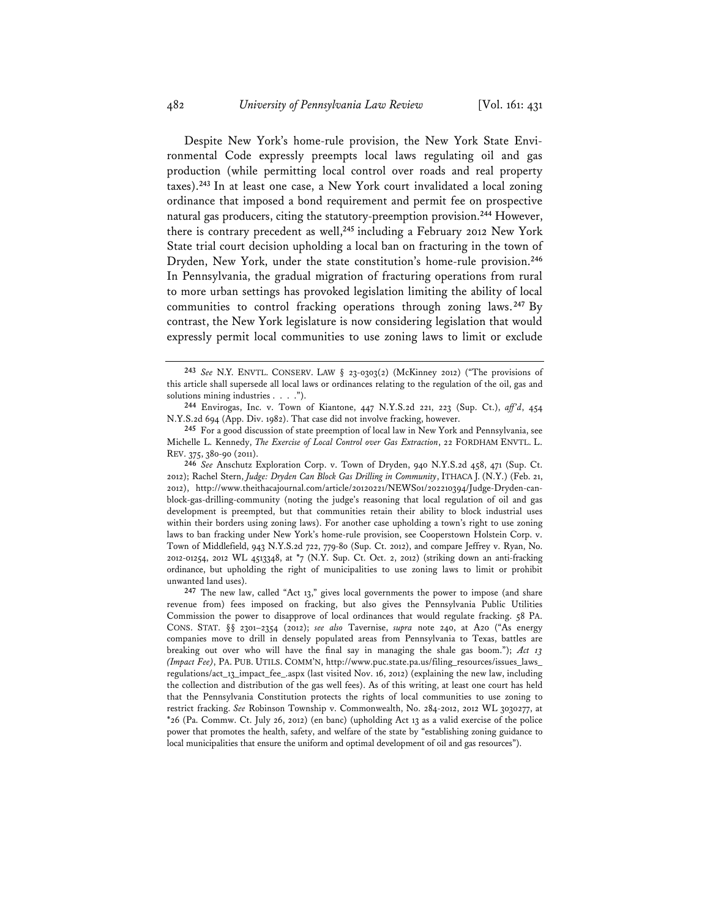Despite New York's home-rule provision, the New York State Environmental Code expressly preempts local laws regulating oil and gas production (while permitting local control over roads and real property taxes).**<sup>243</sup>** In at least one case, a New York court invalidated a local zoning ordinance that imposed a bond requirement and permit fee on prospective natural gas producers, citing the statutory-preemption provision.**<sup>244</sup>** However, there is contrary precedent as well,**<sup>245</sup>** including a February 2012 New York State trial court decision upholding a local ban on fracturing in the town of Dryden, New York, under the state constitution's home-rule provision.**<sup>246</sup>** In Pennsylvania, the gradual migration of fracturing operations from rural to more urban settings has provoked legislation limiting the ability of local communities to control fracking operations through zoning laws.**<sup>247</sup>** By contrast, the New York legislature is now considering legislation that would expressly permit local communities to use zoning laws to limit or exclude

**246** *See* Anschutz Exploration Corp. v. Town of Dryden, 940 N.Y.S.2d 458, 471 (Sup. Ct. 2012); Rachel Stern, *Judge: Dryden Can Block Gas Drilling in Community*, ITHACA J. (N.Y.) (Feb. 21, 2012), http://www.theithacajournal.com/article/20120221/NEWS01/202210394/Judge-Dryden-canblock-gas-drilling-community (noting the judge's reasoning that local regulation of oil and gas development is preempted, but that communities retain their ability to block industrial uses within their borders using zoning laws). For another case upholding a town's right to use zoning laws to ban fracking under New York's home-rule provision, see Cooperstown Holstein Corp. v. Town of Middlefield, 943 N.Y.S.2d 722, 779-80 (Sup. Ct. 2012), and compare Jeffrey v. Ryan, No. 2012-01254, 2012 WL 4513348, at \*7 (N.Y. Sup. Ct. Oct. 2, 2012) (striking down an anti-fracking ordinance, but upholding the right of municipalities to use zoning laws to limit or prohibit unwanted land uses).

**247** The new law, called "Act 13," gives local governments the power to impose (and share revenue from) fees imposed on fracking, but also gives the Pennsylvania Public Utilities Commission the power to disapprove of local ordinances that would regulate fracking. 58 PA. CONS. STAT. §§ 2301–2354 (2012); *see also* Tavernise, *supra* note 240, at A20 ("As energy companies move to drill in densely populated areas from Pennsylvania to Texas, battles are breaking out over who will have the final say in managing the shale gas boom."); *Act 13 (Impact Fee)*, PA. PUB. UTILS. COMM'N, http://www.puc.state.pa.us/filing\_resources/issues\_laws\_ regulations/act\_13\_impact\_fee\_.aspx (last visited Nov. 16, 2012) (explaining the new law, including the collection and distribution of the gas well fees). As of this writing, at least one court has held that the Pennsylvania Constitution protects the rights of local communities to use zoning to restrict fracking. *See* Robinson Township v. Commonwealth, No. 284-2012, 2012 WL 3030277, at \*26 (Pa. Commw. Ct. July 26, 2012) (en banc) (upholding Act 13 as a valid exercise of the police power that promotes the health, safety, and welfare of the state by "establishing zoning guidance to local municipalities that ensure the uniform and optimal development of oil and gas resources").

**<sup>243</sup>** *See* N.Y. ENVTL. CONSERV. LAW § 23-0303(2) (McKinney 2012) ("The provisions of this article shall supersede all local laws or ordinances relating to the regulation of the oil, gas and solutions mining industries . . . .").

**<sup>244</sup>** Envirogas, Inc. v. Town of Kiantone, 447 N.Y.S.2d 221, 223 (Sup. Ct.), *aff'd*, 454 N.Y.S.2d 694 (App. Div. 1982). That case did not involve fracking, however.

**<sup>245</sup>** For a good discussion of state preemption of local law in New York and Pennsylvania, see Michelle L. Kennedy, *The Exercise of Local Control over Gas Extraction*, 22 FORDHAM ENVTL. L. REV. 375, 380-90 (2011).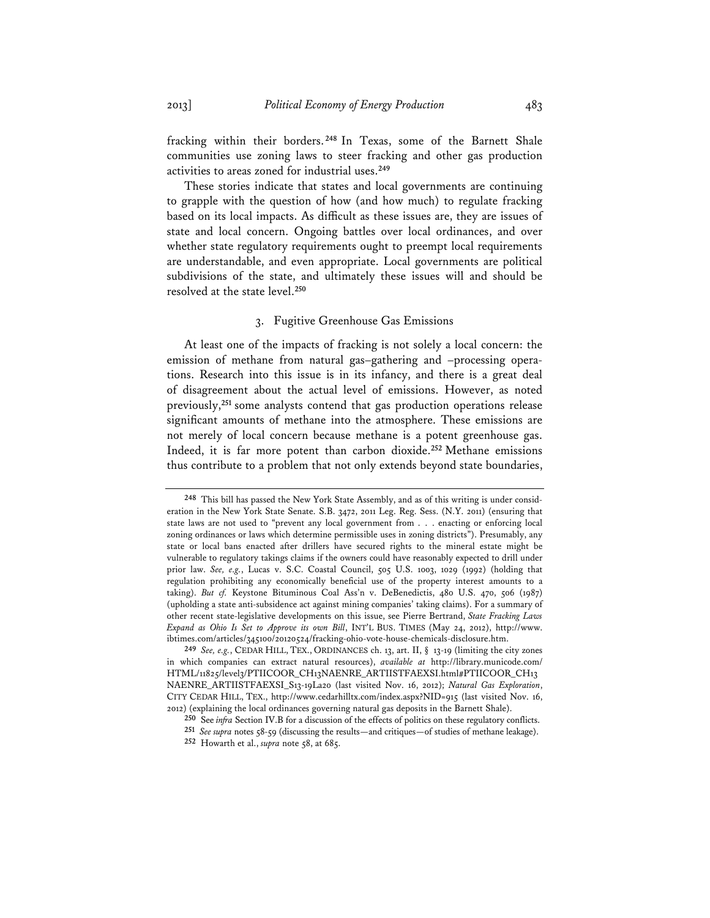fracking within their borders. **<sup>248</sup>** In Texas, some of the Barnett Shale communities use zoning laws to steer fracking and other gas production activities to areas zoned for industrial uses.**<sup>249</sup>**

These stories indicate that states and local governments are continuing to grapple with the question of how (and how much) to regulate fracking based on its local impacts. As difficult as these issues are, they are issues of state and local concern. Ongoing battles over local ordinances, and over whether state regulatory requirements ought to preempt local requirements are understandable, and even appropriate. Local governments are political subdivisions of the state, and ultimately these issues will and should be resolved at the state level.**<sup>250</sup>**

# 3. Fugitive Greenhouse Gas Emissions

At least one of the impacts of fracking is not solely a local concern: the emission of methane from natural gas–gathering and –processing operations. Research into this issue is in its infancy, and there is a great deal of disagreement about the actual level of emissions. However, as noted previously,**<sup>251</sup>** some analysts contend that gas production operations release significant amounts of methane into the atmosphere. These emissions are not merely of local concern because methane is a potent greenhouse gas. Indeed, it is far more potent than carbon dioxide.**<sup>252</sup>** Methane emissions thus contribute to a problem that not only extends beyond state boundaries,

**<sup>248</sup>** This bill has passed the New York State Assembly, and as of this writing is under consideration in the New York State Senate. S.B. 3472, 2011 Leg. Reg. Sess. (N.Y. 2011) (ensuring that state laws are not used to "prevent any local government from . . . enacting or enforcing local zoning ordinances or laws which determine permissible uses in zoning districts"). Presumably, any state or local bans enacted after drillers have secured rights to the mineral estate might be vulnerable to regulatory takings claims if the owners could have reasonably expected to drill under prior law. *See, e.g.*, Lucas v. S.C. Coastal Council, 505 U.S. 1003, 1029 (1992) (holding that regulation prohibiting any economically beneficial use of the property interest amounts to a taking). *But cf.* Keystone Bituminous Coal Ass'n v. DeBenedictis, 480 U.S. 470, 506 (1987) (upholding a state anti-subsidence act against mining companies' taking claims). For a summary of other recent state-legislative developments on this issue, see Pierre Bertrand, *State Fracking Laws Expand as Ohio Is Set to Approve its own Bill*, INT'L BUS. TIMES (May 24, 2012), http://www. ibtimes.com/articles/345100/20120524/fracking-ohio-vote-house-chemicals-disclosure.htm.

**<sup>249</sup>** *See, e.g.*, CEDAR HILL, TEX., ORDINANCES ch. 13, art. II, § 13-19 (limiting the city zones in which companies can extract natural resources), *available at* http://library.municode.com/ HTML/11825/level3/PTIICOOR\_CH13NAENRE\_ARTIISTFAEXSI.html#PTIICOOR\_CH13 NAENRE\_ARTIISTFAEXSI\_S13-19La20 (last visited Nov. 16, 2012); *Natural Gas Exploration*, CITY CEDAR HILL, TEX., http://www.cedarhilltx.com/index.aspx?NID=915 (last visited Nov. 16, 2012) (explaining the local ordinances governing natural gas deposits in the Barnett Shale).

**<sup>250</sup>** See *infra* Section IV.B for a discussion of the effects of politics on these regulatory conflicts.

**<sup>251</sup>** *See supra* notes 58-59 (discussing the results—and critiques—of studies of methane leakage).

**<sup>252</sup>** Howarth et al., *supra* note 58, at 685.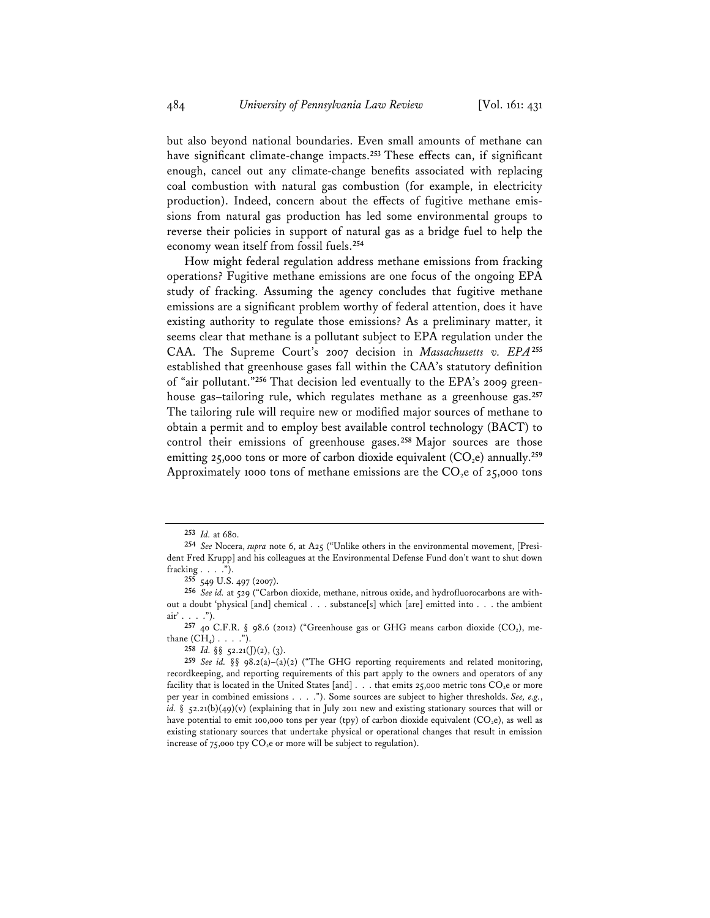but also beyond national boundaries. Even small amounts of methane can have significant climate-change impacts.**<sup>253</sup>** These effects can, if significant enough, cancel out any climate-change benefits associated with replacing coal combustion with natural gas combustion (for example, in electricity production). Indeed, concern about the effects of fugitive methane emissions from natural gas production has led some environmental groups to reverse their policies in support of natural gas as a bridge fuel to help the economy wean itself from fossil fuels.**<sup>254</sup>**

How might federal regulation address methane emissions from fracking operations? Fugitive methane emissions are one focus of the ongoing EPA study of fracking. Assuming the agency concludes that fugitive methane emissions are a significant problem worthy of federal attention, does it have existing authority to regulate those emissions? As a preliminary matter, it seems clear that methane is a pollutant subject to EPA regulation under the CAA. The Supreme Court's 2007 decision in *Massachusetts v. EPA***<sup>255</sup>** established that greenhouse gases fall within the CAA's statutory definition of "air pollutant."**256** That decision led eventually to the EPA's 2009 greenhouse gas–tailoring rule, which regulates methane as a greenhouse gas.**<sup>257</sup>** The tailoring rule will require new or modified major sources of methane to obtain a permit and to employ best available control technology (BACT) to control their emissions of greenhouse gases.**<sup>258</sup>** Major sources are those emitting 25,000 tons or more of carbon dioxide equivalent  $(CO_2e)$  annually.<sup>259</sup> Approximately 1000 tons of methane emissions are the  $CO<sub>2</sub>e$  of 25,000 tons

**258** *Id.* §§ 52.21(J)(2), (3).

**<sup>253</sup>** *Id.* at 680.

**<sup>254</sup>** *See* Nocera, *supra* note 6, at A25 ("Unlike others in the environmental movement, [President Fred Krupp] and his colleagues at the Environmental Defense Fund don't want to shut down fracking . . . .").

**<sup>255</sup>** 549 U.S. 497 (2007).

**<sup>256</sup>** *See id.* at 529 ("Carbon dioxide, methane, nitrous oxide, and hydrofluorocarbons are without a doubt 'physical [and] chemical . . . substance[s] which [are] emitted into . . . the ambient air' . . . .").

<sup>257 40</sup> C.F.R. § 98.6 (2012) ("Greenhouse gas or GHG means carbon dioxide (CO<sub>2</sub>), methane  $(CH_4)$ . . . .").

<sup>259</sup> *See id.* §§ 98.2(a)–(a)(2) ("The GHG reporting requirements and related monitoring, recordkeeping, and reporting requirements of this part apply to the owners and operators of any facility that is located in the United States [and] . . . that emits 25,000 metric tons CO<sub>2</sub>e or more per year in combined emissions . . . ."). Some sources are subject to higher thresholds. *See, e.g.*, *id.* §  $52.21(b)(49)(v)$  (explaining that in July 2011 new and existing stationary sources that will or have potential to emit 100,000 tons per year (tpy) of carbon dioxide equivalent ( $CO<sub>2</sub>e$ ), as well as existing stationary sources that undertake physical or operational changes that result in emission increase of 75,000 tpy  $CO<sub>2</sub>e$  or more will be subject to regulation).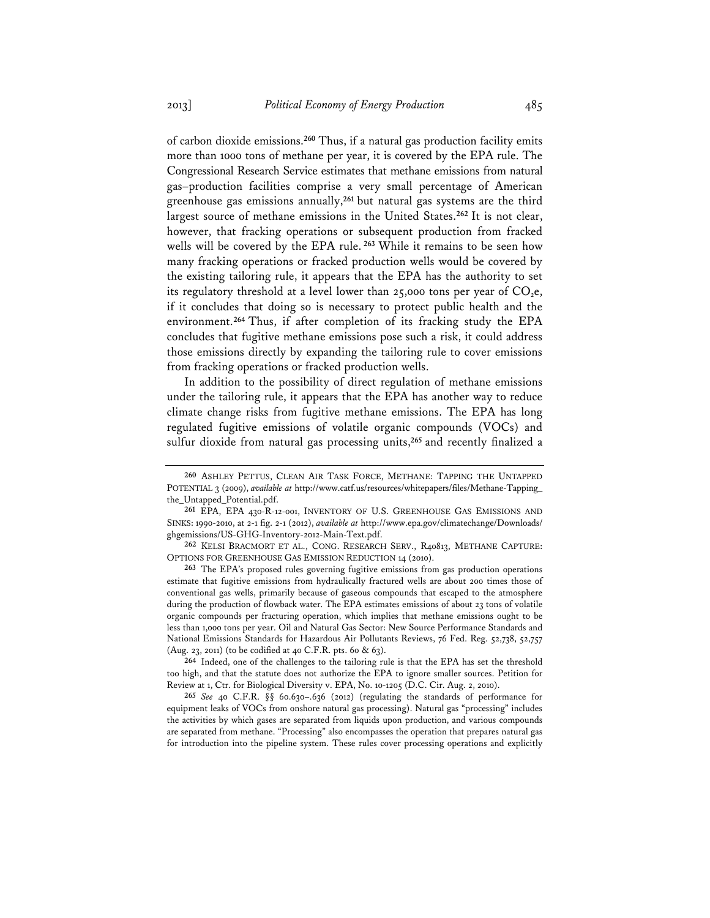of carbon dioxide emissions.**<sup>260</sup>** Thus, if a natural gas production facility emits more than 1000 tons of methane per year, it is covered by the EPA rule. The Congressional Research Service estimates that methane emissions from natural gas–production facilities comprise a very small percentage of American greenhouse gas emissions annually,**<sup>261</sup>** but natural gas systems are the third largest source of methane emissions in the United States.**<sup>262</sup>** It is not clear, however, that fracking operations or subsequent production from fracked wells will be covered by the EPA rule.**<sup>263</sup>** While it remains to be seen how many fracking operations or fracked production wells would be covered by the existing tailoring rule, it appears that the EPA has the authority to set its regulatory threshold at a level lower than 25,000 tons per year of  $CO<sub>2</sub>e$ , if it concludes that doing so is necessary to protect public health and the environment.**<sup>264</sup>** Thus, if after completion of its fracking study the EPA concludes that fugitive methane emissions pose such a risk, it could address those emissions directly by expanding the tailoring rule to cover emissions from fracking operations or fracked production wells.

In addition to the possibility of direct regulation of methane emissions under the tailoring rule, it appears that the EPA has another way to reduce climate change risks from fugitive methane emissions. The EPA has long regulated fugitive emissions of volatile organic compounds (VOCs) and sulfur dioxide from natural gas processing units,**<sup>265</sup>** and recently finalized a

**264** Indeed, one of the challenges to the tailoring rule is that the EPA has set the threshold too high, and that the statute does not authorize the EPA to ignore smaller sources. Petition for Review at 1, Ctr. for Biological Diversity v. EPA, No. 10-1205 (D.C. Cir. Aug. 2, 2010).

**<sup>260</sup>** ASHLEY PETTUS, CLEAN AIR TASK FORCE, METHANE: TAPPING THE UNTAPPED POTENTIAL 3 (2009), *available at* http://www.catf.us/resources/whitepapers/files/Methane-Tapping\_ the\_Untapped\_Potential.pdf.

**<sup>261</sup>** EPA, EPA 430-R-12-001, INVENTORY OF U.S. GREENHOUSE GAS EMISSIONS AND SINKS: 1990-2010, at 2-1 fig. 2-1 (2012), *available at* http://www.epa.gov/climatechange/Downloads/ ghgemissions/US-GHG-Inventory-2012-Main-Text.pdf.

**<sup>262</sup>** KELSI BRACMORT ET AL., CONG. RESEARCH SERV., R40813, METHANE CAPTURE: OPTIONS FOR GREENHOUSE GAS EMISSION REDUCTION 14 (2010).

**<sup>263</sup>** The EPA's proposed rules governing fugitive emissions from gas production operations estimate that fugitive emissions from hydraulically fractured wells are about 200 times those of conventional gas wells, primarily because of gaseous compounds that escaped to the atmosphere during the production of flowback water. The EPA estimates emissions of about 23 tons of volatile organic compounds per fracturing operation, which implies that methane emissions ought to be less than 1,000 tons per year. Oil and Natural Gas Sector: New Source Performance Standards and National Emissions Standards for Hazardous Air Pollutants Reviews, 76 Fed. Reg. 52,738, 52,757 (Aug. 23, 2011) (to be codified at 40 C.F.R. pts. 60 & 63).

**<sup>265</sup>** *See* 40 C.F.R. §§ 60.630–.636 (2012) (regulating the standards of performance for equipment leaks of VOCs from onshore natural gas processing). Natural gas "processing" includes the activities by which gases are separated from liquids upon production, and various compounds are separated from methane. "Processing" also encompasses the operation that prepares natural gas for introduction into the pipeline system. These rules cover processing operations and explicitly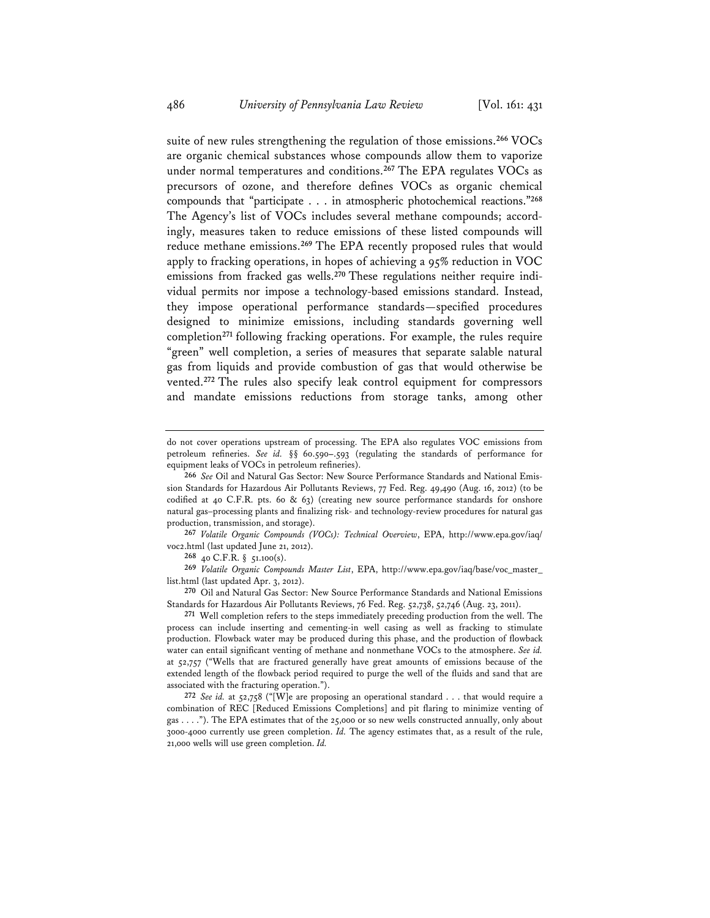suite of new rules strengthening the regulation of those emissions.**<sup>266</sup>** VOCs are organic chemical substances whose compounds allow them to vaporize under normal temperatures and conditions.**<sup>267</sup>** The EPA regulates VOCs as precursors of ozone, and therefore defines VOCs as organic chemical compounds that "participate . . . in atmospheric photochemical reactions."**<sup>268</sup>** The Agency's list of VOCs includes several methane compounds; accordingly, measures taken to reduce emissions of these listed compounds will reduce methane emissions.**<sup>269</sup>** The EPA recently proposed rules that would apply to fracking operations, in hopes of achieving a 95% reduction in VOC emissions from fracked gas wells.**270** These regulations neither require individual permits nor impose a technology-based emissions standard. Instead, they impose operational performance standards—specified procedures designed to minimize emissions, including standards governing well completion**<sup>271</sup>** following fracking operations. For example, the rules require "green" well completion, a series of measures that separate salable natural gas from liquids and provide combustion of gas that would otherwise be vented.**<sup>272</sup>** The rules also specify leak control equipment for compressors and mandate emissions reductions from storage tanks, among other

**267** *Volatile Organic Compounds (VOCs): Technical Overview*, EPA, http://www.epa.gov/iaq/ voc2.html (last updated June 21, 2012).

**268** 40 C.F.R. § 51.100(s).

**269** *Volatile Organic Compounds Master List*, EPA, http://www.epa.gov/iaq/base/voc\_master\_ list.html (last updated Apr. 3, 2012).

**270** Oil and Natural Gas Sector: New Source Performance Standards and National Emissions Standards for Hazardous Air Pollutants Reviews, 76 Fed. Reg. 52,738, 52,746 (Aug. 23, 2011).

**271** Well completion refers to the steps immediately preceding production from the well. The process can include inserting and cementing-in well casing as well as fracking to stimulate production. Flowback water may be produced during this phase, and the production of flowback water can entail significant venting of methane and nonmethane VOCs to the atmosphere. *See id.* at 52,757 ("Wells that are fractured generally have great amounts of emissions because of the extended length of the flowback period required to purge the well of the fluids and sand that are associated with the fracturing operation.").

**272** *See id.* at 52,758 ("[W]e are proposing an operational standard . . . that would require a combination of REC [Reduced Emissions Completions] and pit flaring to minimize venting of gas . . . ."). The EPA estimates that of the 25,000 or so new wells constructed annually, only about 3000-4000 currently use green completion. *Id.* The agency estimates that, as a result of the rule, 21,000 wells will use green completion. *Id.*

do not cover operations upstream of processing. The EPA also regulates VOC emissions from petroleum refineries. *See id.* §§ 60.590**–**.593 (regulating the standards of performance for equipment leaks of VOCs in petroleum refineries).

**<sup>266</sup>** *See* Oil and Natural Gas Sector: New Source Performance Standards and National Emission Standards for Hazardous Air Pollutants Reviews, 77 Fed. Reg. 49,490 (Aug. 16, 2012) (to be codified at 40 C.F.R. pts. 60  $\&$  63) (creating new source performance standards for onshore natural gas–processing plants and finalizing risk- and technology-review procedures for natural gas production, transmission, and storage).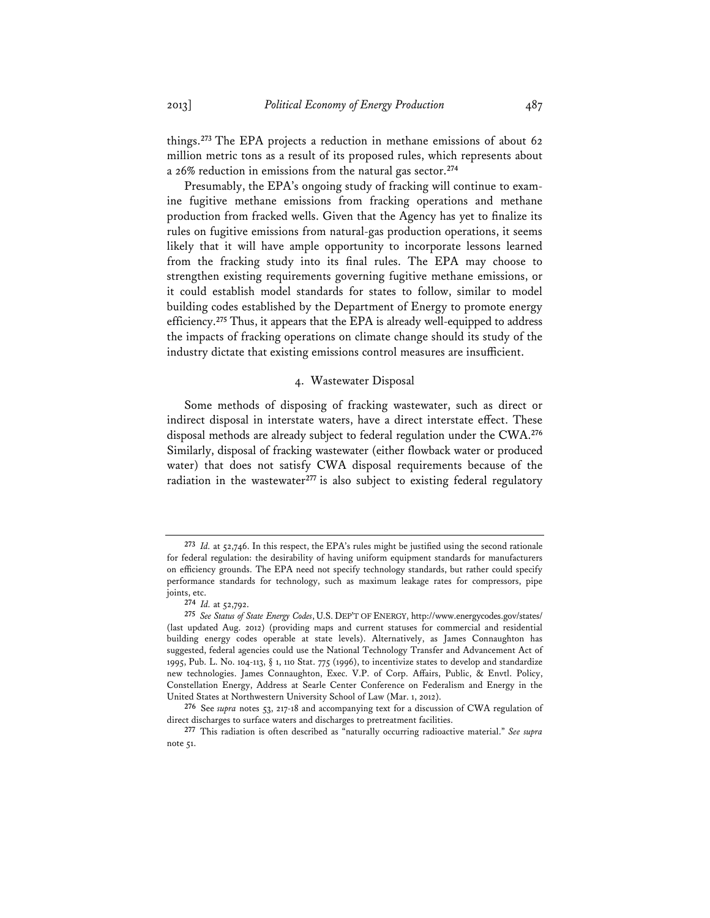things.**<sup>273</sup>** The EPA projects a reduction in methane emissions of about 62 million metric tons as a result of its proposed rules, which represents about a 26% reduction in emissions from the natural gas sector.**<sup>274</sup>**

Presumably, the EPA's ongoing study of fracking will continue to examine fugitive methane emissions from fracking operations and methane production from fracked wells. Given that the Agency has yet to finalize its rules on fugitive emissions from natural-gas production operations, it seems likely that it will have ample opportunity to incorporate lessons learned from the fracking study into its final rules. The EPA may choose to strengthen existing requirements governing fugitive methane emissions, or it could establish model standards for states to follow, similar to model building codes established by the Department of Energy to promote energy efficiency.**<sup>275</sup>** Thus, it appears that the EPA is already well-equipped to address the impacts of fracking operations on climate change should its study of the industry dictate that existing emissions control measures are insufficient.

# 4. Wastewater Disposal

Some methods of disposing of fracking wastewater, such as direct or indirect disposal in interstate waters, have a direct interstate effect. These disposal methods are already subject to federal regulation under the CWA.**<sup>276</sup>** Similarly, disposal of fracking wastewater (either flowback water or produced water) that does not satisfy CWA disposal requirements because of the radiation in the wastewater<sup>277</sup> is also subject to existing federal regulatory

**<sup>273</sup>** *Id.* at 52,746. In this respect, the EPA's rules might be justified using the second rationale for federal regulation: the desirability of having uniform equipment standards for manufacturers on efficiency grounds. The EPA need not specify technology standards, but rather could specify performance standards for technology, such as maximum leakage rates for compressors, pipe joints, etc.

**<sup>274</sup>** *Id.* at 52,792.

**<sup>275</sup>** *See Status of State Energy Codes*, U.S. DEP'T OF ENERGY, http://www.energycodes.gov/states/ (last updated Aug. 2012) (providing maps and current statuses for commercial and residential building energy codes operable at state levels). Alternatively, as James Connaughton has suggested, federal agencies could use the National Technology Transfer and Advancement Act of 1995, Pub. L. No. 104-113, § 1, 110 Stat. 775 (1996), to incentivize states to develop and standardize new technologies. James Connaughton, Exec. V.P. of Corp. Affairs, Public, & Envtl. Policy, Constellation Energy, Address at Searle Center Conference on Federalism and Energy in the United States at Northwestern University School of Law (Mar. 1, 2012).

**<sup>276</sup>** See *supra* notes 53, 217-18 and accompanying text for a discussion of CWA regulation of direct discharges to surface waters and discharges to pretreatment facilities.

**<sup>277</sup>** This radiation is often described as "naturally occurring radioactive material." *See supra* note 51.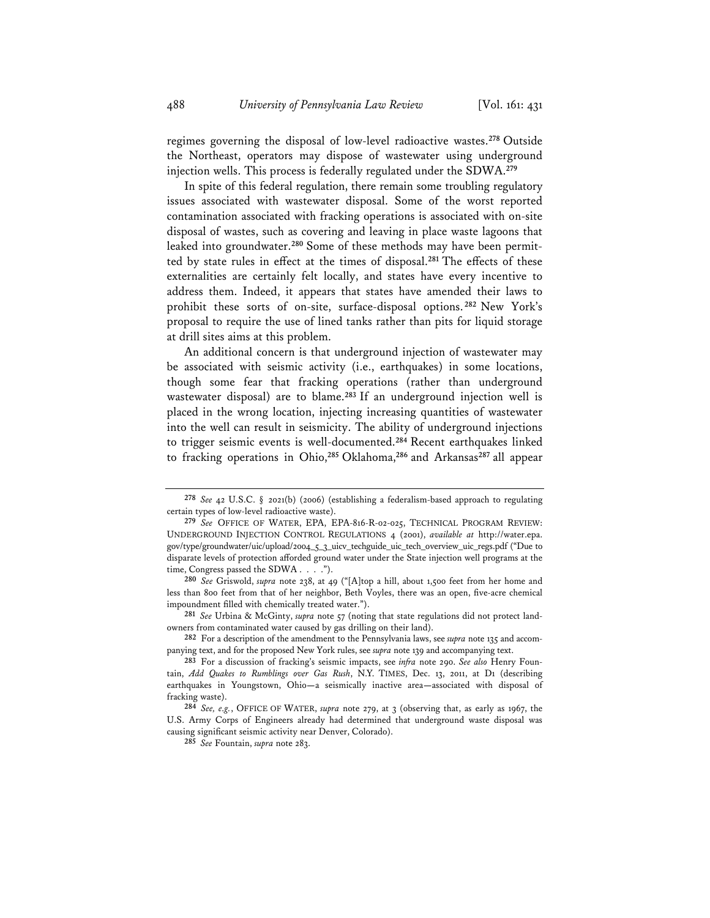regimes governing the disposal of low-level radioactive wastes.**<sup>278</sup>** Outside the Northeast, operators may dispose of wastewater using underground injection wells. This process is federally regulated under the SDWA.**<sup>279</sup>**

In spite of this federal regulation, there remain some troubling regulatory issues associated with wastewater disposal. Some of the worst reported contamination associated with fracking operations is associated with on-site disposal of wastes, such as covering and leaving in place waste lagoons that leaked into groundwater.**280** Some of these methods may have been permitted by state rules in effect at the times of disposal.**<sup>281</sup>** The effects of these externalities are certainly felt locally, and states have every incentive to address them. Indeed, it appears that states have amended their laws to prohibit these sorts of on-site, surface-disposal options. **<sup>282</sup>** New York's proposal to require the use of lined tanks rather than pits for liquid storage at drill sites aims at this problem.

An additional concern is that underground injection of wastewater may be associated with seismic activity (i.e., earthquakes) in some locations, though some fear that fracking operations (rather than underground wastewater disposal) are to blame.**<sup>283</sup>** If an underground injection well is placed in the wrong location, injecting increasing quantities of wastewater into the well can result in seismicity. The ability of underground injections to trigger seismic events is well-documented.**<sup>284</sup>** Recent earthquakes linked to fracking operations in Ohio,**<sup>285</sup>** Oklahoma,**<sup>286</sup>** and Arkansas**<sup>287</sup>** all appear

**<sup>278</sup>** *See* 42 U.S.C. § 2021(b) (2006) (establishing a federalism-based approach to regulating certain types of low-level radioactive waste).

**<sup>279</sup>** *See* OFFICE OF WATER, EPA, EPA-816-R-02-025, TECHNICAL PROGRAM REVIEW: UNDERGROUND INJECTION CONTROL REGULATIONS 4 (2001), *available at* http://water.epa. gov/type/groundwater/uic/upload/2004\_5\_3\_uicv\_techguide\_uic\_tech\_overview\_uic\_regs.pdf ("Due to disparate levels of protection afforded ground water under the State injection well programs at the time, Congress passed the SDWA . . . .").

**<sup>280</sup>** *See* Griswold, *supra* note 238, at 49 ("[A]top a hill, about 1,500 feet from her home and less than 800 feet from that of her neighbor, Beth Voyles, there was an open, five-acre chemical impoundment filled with chemically treated water.").

**<sup>281</sup>** *See* Urbina & McGinty, *supra* note 57 (noting that state regulations did not protect landowners from contaminated water caused by gas drilling on their land).

**<sup>282</sup>** For a description of the amendment to the Pennsylvania laws, see *supra* note 135 and accompanying text, and for the proposed New York rules, see *supra* note 139 and accompanying text.

**<sup>283</sup>** For a discussion of fracking's seismic impacts, see *infra* note 290. *See also* Henry Fountain, *Add Quakes to Rumblings over Gas Rush*, N.Y. TIMES, Dec. 13, 2011, at D1 (describing earthquakes in Youngstown, Ohio**—**a seismically inactive area**—**associated with disposal of fracking waste).

**<sup>284</sup>** *See, e.g.*, OFFICE OF WATER, *supra* note 279, at 3 (observing that, as early as 1967, the U.S. Army Corps of Engineers already had determined that underground waste disposal was causing significant seismic activity near Denver, Colorado).

**<sup>285</sup>** *See* Fountain, *supra* note 283.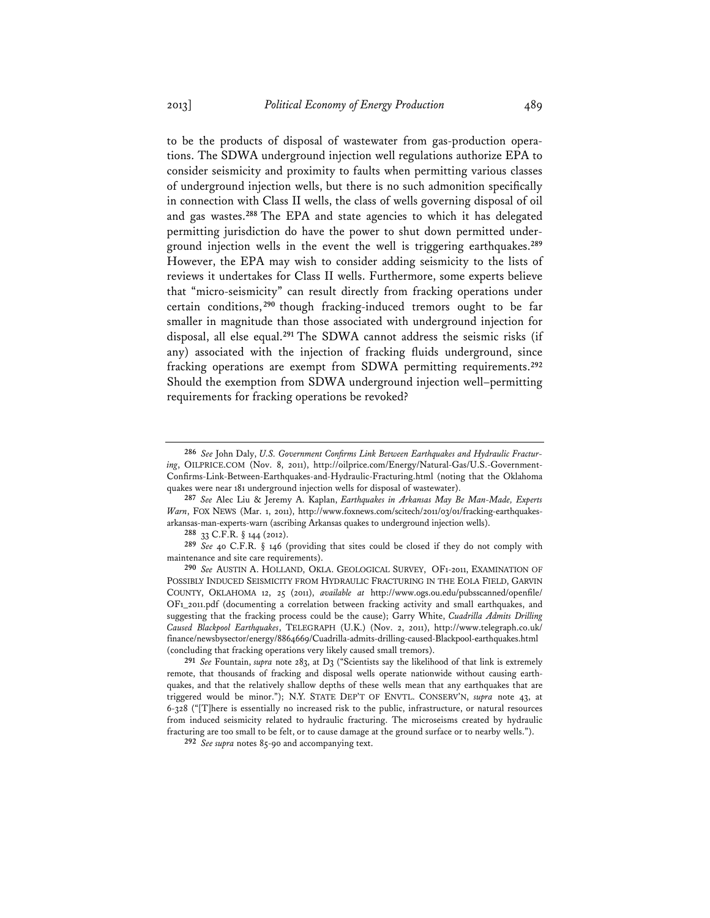to be the products of disposal of wastewater from gas-production operations. The SDWA underground injection well regulations authorize EPA to consider seismicity and proximity to faults when permitting various classes of underground injection wells, but there is no such admonition specifically in connection with Class II wells, the class of wells governing disposal of oil and gas wastes.**<sup>288</sup>** The EPA and state agencies to which it has delegated permitting jurisdiction do have the power to shut down permitted underground injection wells in the event the well is triggering earthquakes.**<sup>289</sup>** However, the EPA may wish to consider adding seismicity to the lists of reviews it undertakes for Class II wells. Furthermore, some experts believe that "micro-seismicity" can result directly from fracking operations under certain conditions, **<sup>290</sup>** though fracking-induced tremors ought to be far smaller in magnitude than those associated with underground injection for disposal, all else equal.**<sup>291</sup>** The SDWA cannot address the seismic risks (if any) associated with the injection of fracking fluids underground, since fracking operations are exempt from SDWA permitting requirements.**<sup>292</sup>** Should the exemption from SDWA underground injection well–permitting requirements for fracking operations be revoked?

**288** 33 C.F.R. § 144 (2012).

**289** *See* 40 C.F.R. § 146 (providing that sites could be closed if they do not comply with maintenance and site care requirements).

**290** *See* AUSTIN A. HOLLAND, OKLA. GEOLOGICAL SURVEY, OF1-2011, EXAMINATION OF POSSIBLY INDUCED SEISMICITY FROM HYDRAULIC FRACTURING IN THE EOLA FIELD, GARVIN COUNTY, OKLAHOMA 12, 25 (2011), *available at* http://www.ogs.ou.edu/pubsscanned/openfile/ OF1\_2011.pdf (documenting a correlation between fracking activity and small earthquakes, and suggesting that the fracking process could be the cause); Garry White, *Cuadrilla Admits Drilling Caused Blackpool Earthquakes*, TELEGRAPH (U.K.) (Nov. 2, 2011), http://www.telegraph.co.uk/ finance/newsbysector/energy/8864669/Cuadrilla-admits-drilling-caused-Blackpool-earthquakes.html (concluding that fracking operations very likely caused small tremors).

**291** *See* Fountain, *supra* note 283, at D3 ("Scientists say the likelihood of that link is extremely remote, that thousands of fracking and disposal wells operate nationwide without causing earthquakes, and that the relatively shallow depths of these wells mean that any earthquakes that are triggered would be minor."); N.Y. STATE DEP'T OF ENVTL. CONSERV'N, *supra* note 43, at 6-328 ("[T]here is essentially no increased risk to the public, infrastructure, or natural resources from induced seismicity related to hydraulic fracturing. The microseisms created by hydraulic fracturing are too small to be felt, or to cause damage at the ground surface or to nearby wells.").

**292** *See supra* notes 85-90 and accompanying text.

**<sup>286</sup>** *See* John Daly, *U.S. Government Confirms Link Between Earthquakes and Hydraulic Fracturing*, OILPRICE.COM (Nov. 8, 2011), http://oilprice.com/Energy/Natural-Gas/U.S.-Government-Confirms-Link-Between-Earthquakes-and-Hydraulic-Fracturing.html (noting that the Oklahoma quakes were near 181 underground injection wells for disposal of wastewater).

**<sup>287</sup>** *See* Alec Liu & Jeremy A. Kaplan, *Earthquakes in Arkansas May Be Man-Made, Experts Warn*, FOX NEWS (Mar. 1, 2011), http://www.foxnews.com/scitech/2011/03/01/fracking-earthquakesarkansas-man-experts-warn (ascribing Arkansas quakes to underground injection wells).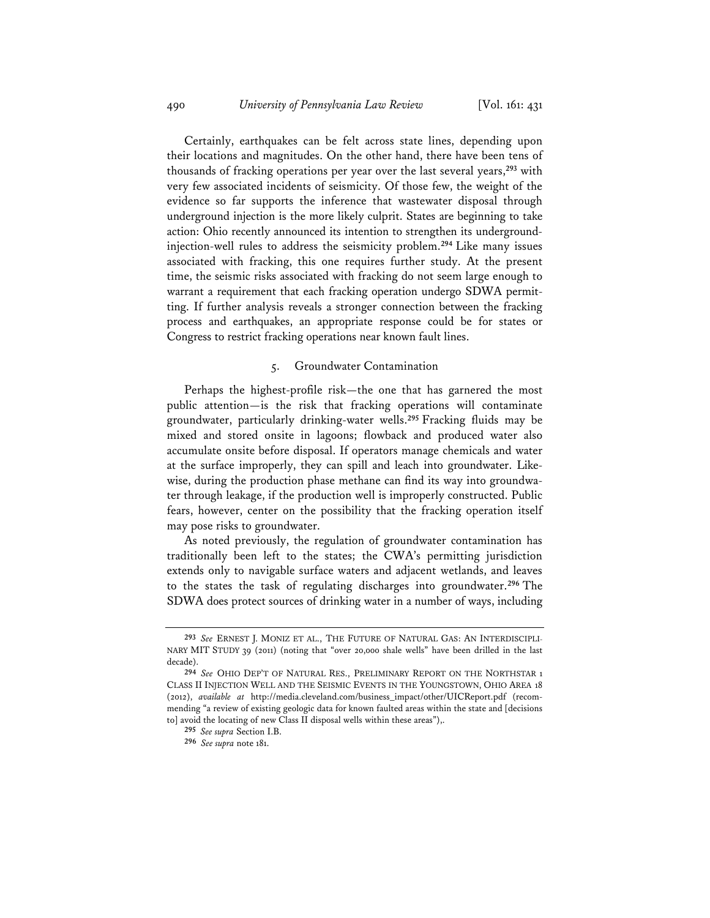Certainly, earthquakes can be felt across state lines, depending upon their locations and magnitudes. On the other hand, there have been tens of thousands of fracking operations per year over the last several years,**<sup>293</sup>** with very few associated incidents of seismicity. Of those few, the weight of the evidence so far supports the inference that wastewater disposal through underground injection is the more likely culprit. States are beginning to take action: Ohio recently announced its intention to strengthen its undergroundinjection-well rules to address the seismicity problem.**<sup>294</sup>** Like many issues associated with fracking, this one requires further study. At the present time, the seismic risks associated with fracking do not seem large enough to warrant a requirement that each fracking operation undergo SDWA permitting. If further analysis reveals a stronger connection between the fracking process and earthquakes, an appropriate response could be for states or Congress to restrict fracking operations near known fault lines.

### 5. Groundwater Contamination

Perhaps the highest-profile risk—the one that has garnered the most public attention—is the risk that fracking operations will contaminate groundwater, particularly drinking-water wells.**<sup>295</sup>** Fracking fluids may be mixed and stored onsite in lagoons; flowback and produced water also accumulate onsite before disposal. If operators manage chemicals and water at the surface improperly, they can spill and leach into groundwater. Likewise, during the production phase methane can find its way into groundwater through leakage, if the production well is improperly constructed. Public fears, however, center on the possibility that the fracking operation itself may pose risks to groundwater.

As noted previously, the regulation of groundwater contamination has traditionally been left to the states; the CWA's permitting jurisdiction extends only to navigable surface waters and adjacent wetlands, and leaves to the states the task of regulating discharges into groundwater.**<sup>296</sup>** The SDWA does protect sources of drinking water in a number of ways, including

**<sup>293</sup>** *See* ERNEST J. MONIZ ET AL., THE FUTURE OF NATURAL GAS: AN INTERDISCIPLI-NARY MIT STUDY 39 (2011) (noting that "over 20,000 shale wells" have been drilled in the last decade).

**<sup>294</sup>** *See* OHIO DEP'T OF NATURAL RES., PRELIMINARY REPORT ON THE NORTHSTAR 1 CLASS II INJECTION WELL AND THE SEISMIC EVENTS IN THE YOUNGSTOWN, OHIO AREA 18 (2012), *available at* http://media.cleveland.com/business\_impact/other/UICReport.pdf (recommending "a review of existing geologic data for known faulted areas within the state and [decisions to] avoid the locating of new Class II disposal wells within these areas"),.

**<sup>295</sup>** *See supra* Section I.B.

**<sup>296</sup>** *See supra* note 181.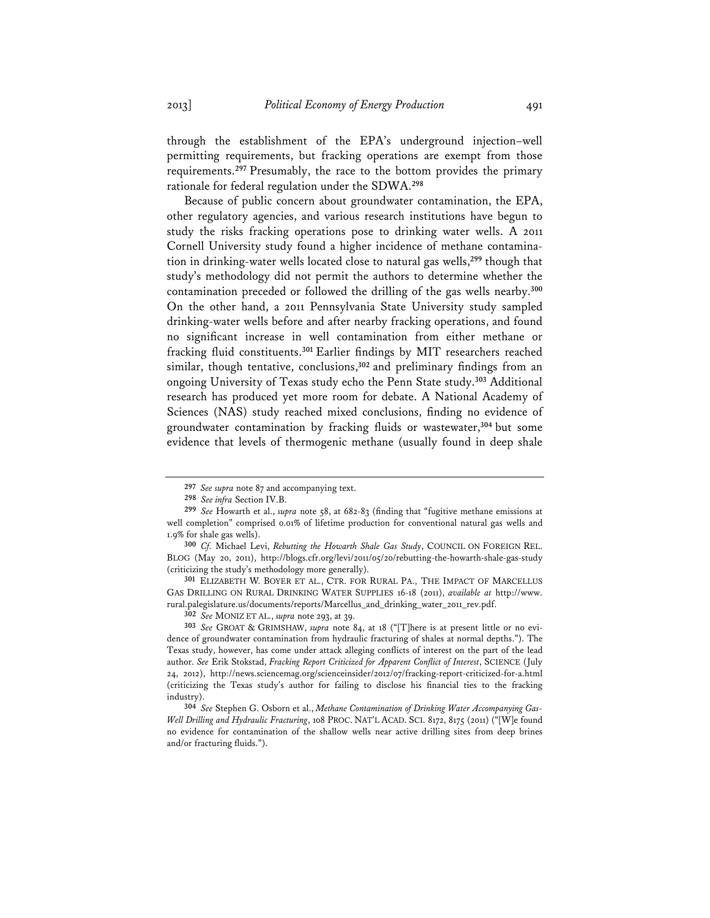through the establishment of the EPA's underground injection–well permitting requirements, but fracking operations are exempt from those requirements.**<sup>297</sup>** Presumably, the race to the bottom provides the primary rationale for federal regulation under the SDWA.**<sup>298</sup>**

Because of public concern about groundwater contamination, the EPA, other regulatory agencies, and various research institutions have begun to study the risks fracking operations pose to drinking water wells. A 2011 Cornell University study found a higher incidence of methane contamination in drinking-water wells located close to natural gas wells,**<sup>299</sup>** though that study's methodology did not permit the authors to determine whether the contamination preceded or followed the drilling of the gas wells nearby.**<sup>300</sup>** On the other hand, a 2011 Pennsylvania State University study sampled drinking-water wells before and after nearby fracking operations, and found no significant increase in well contamination from either methane or fracking fluid constituents.**<sup>301</sup>** Earlier findings by MIT researchers reached similar, though tentative, conclusions,**<sup>302</sup>** and preliminary findings from an ongoing University of Texas study echo the Penn State study.**<sup>303</sup>** Additional research has produced yet more room for debate. A National Academy of Sciences (NAS) study reached mixed conclusions, finding no evidence of groundwater contamination by fracking fluids or wastewater,**<sup>304</sup>** but some evidence that levels of thermogenic methane (usually found in deep shale

**<sup>297</sup>** *See supra* note 87 and accompanying text.

**<sup>298</sup>** *See infra* Section IV.B.

**<sup>299</sup>** *See* Howarth et al., *supra* note 58, at 682-83 (finding that "fugitive methane emissions at well completion" comprised 0.01% of lifetime production for conventional natural gas wells and 1.9% for shale gas wells).

**<sup>300</sup>** *Cf.* Michael Levi, *Rebutting the Howarth Shale Gas Study*, COUNCIL ON FOREIGN REL. BLOG (May 20, 2011), http://blogs.cfr.org/levi/2011/05/20/rebutting-the-howarth-shale-gas-study (criticizing the study's methodology more generally).

**<sup>301</sup>** ELIZABETH W. BOYER ET AL., CTR. FOR RURAL PA., THE IMPACT OF MARCELLUS GAS DRILLING ON RURAL DRINKING WATER SUPPLIES 16-18 (2011), *available at* http://www. rural.palegislature.us/documents/reports/Marcellus\_and\_drinking\_water\_2011\_rev.pdf.

**<sup>302</sup>** *See* MONIZ ET AL., *supra* note 293, at 39.

**<sup>303</sup>** *See* GROAT & GRIMSHAW, *supra* note 84, at 18 ("[T]here is at present little or no evidence of groundwater contamination from hydraulic fracturing of shales at normal depths."). The Texas study, however, has come under attack alleging conflicts of interest on the part of the lead author. *See* Erik Stokstad, *Fracking Report Criticized for Apparent Conflict of Interest*, SCIENCE (July 24, 2012), http://news.sciencemag.org/scienceinsider/2012/07/fracking-report-criticized-for-a.html (criticizing the Texas study's author for failing to disclose his financial ties to the fracking industry).

**<sup>304</sup>** *See* Stephen G. Osborn et al., *Methane Contamination of Drinking Water Accompanying Gas-Well Drilling and Hydraulic Fracturing*, 108 PROC. NAT'L ACAD. SCI. 8172, 8175 (2011) ("[W]e found no evidence for contamination of the shallow wells near active drilling sites from deep brines and/or fracturing fluids.").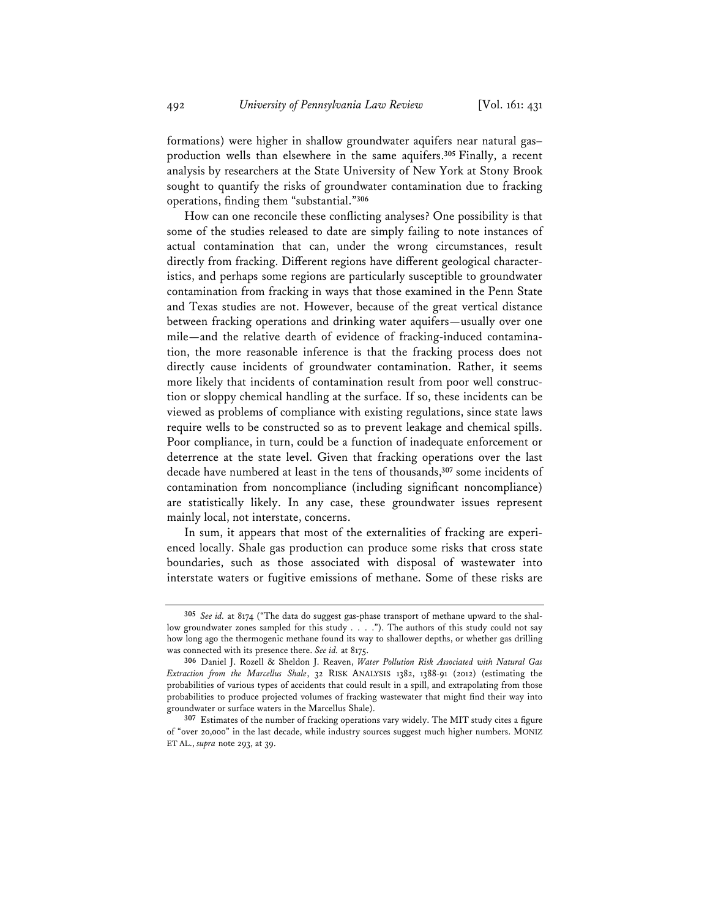formations) were higher in shallow groundwater aquifers near natural gas– production wells than elsewhere in the same aquifers.**<sup>305</sup>** Finally, a recent analysis by researchers at the State University of New York at Stony Brook sought to quantify the risks of groundwater contamination due to fracking operations, finding them "substantial."**<sup>306</sup>**

How can one reconcile these conflicting analyses? One possibility is that some of the studies released to date are simply failing to note instances of actual contamination that can, under the wrong circumstances, result directly from fracking. Different regions have different geological characteristics, and perhaps some regions are particularly susceptible to groundwater contamination from fracking in ways that those examined in the Penn State and Texas studies are not. However, because of the great vertical distance between fracking operations and drinking water aquifers—usually over one mile—and the relative dearth of evidence of fracking-induced contamination, the more reasonable inference is that the fracking process does not directly cause incidents of groundwater contamination. Rather, it seems more likely that incidents of contamination result from poor well construction or sloppy chemical handling at the surface. If so, these incidents can be viewed as problems of compliance with existing regulations, since state laws require wells to be constructed so as to prevent leakage and chemical spills. Poor compliance, in turn, could be a function of inadequate enforcement or deterrence at the state level. Given that fracking operations over the last decade have numbered at least in the tens of thousands,**<sup>307</sup>** some incidents of contamination from noncompliance (including significant noncompliance) are statistically likely. In any case, these groundwater issues represent mainly local, not interstate, concerns.

In sum, it appears that most of the externalities of fracking are experienced locally. Shale gas production can produce some risks that cross state boundaries, such as those associated with disposal of wastewater into interstate waters or fugitive emissions of methane. Some of these risks are

**<sup>305</sup>** *See id.* at 8174 ("The data do suggest gas-phase transport of methane upward to the shallow groundwater zones sampled for this study . . . ."). The authors of this study could not say how long ago the thermogenic methane found its way to shallower depths, or whether gas drilling was connected with its presence there. *See id.* at 8175.

**<sup>306</sup>** Daniel J. Rozell & Sheldon J. Reaven, *Water Pollution Risk Associated with Natural Gas Extraction from the Marcellus Shale*, 32 RISK ANALYSIS 1382, 1388-91 (2012) (estimating the probabilities of various types of accidents that could result in a spill, and extrapolating from those probabilities to produce projected volumes of fracking wastewater that might find their way into groundwater or surface waters in the Marcellus Shale).

**<sup>307</sup>** Estimates of the number of fracking operations vary widely. The MIT study cites a figure of "over 20,000" in the last decade, while industry sources suggest much higher numbers. MONIZ ET AL., *supra* note 293, at 39.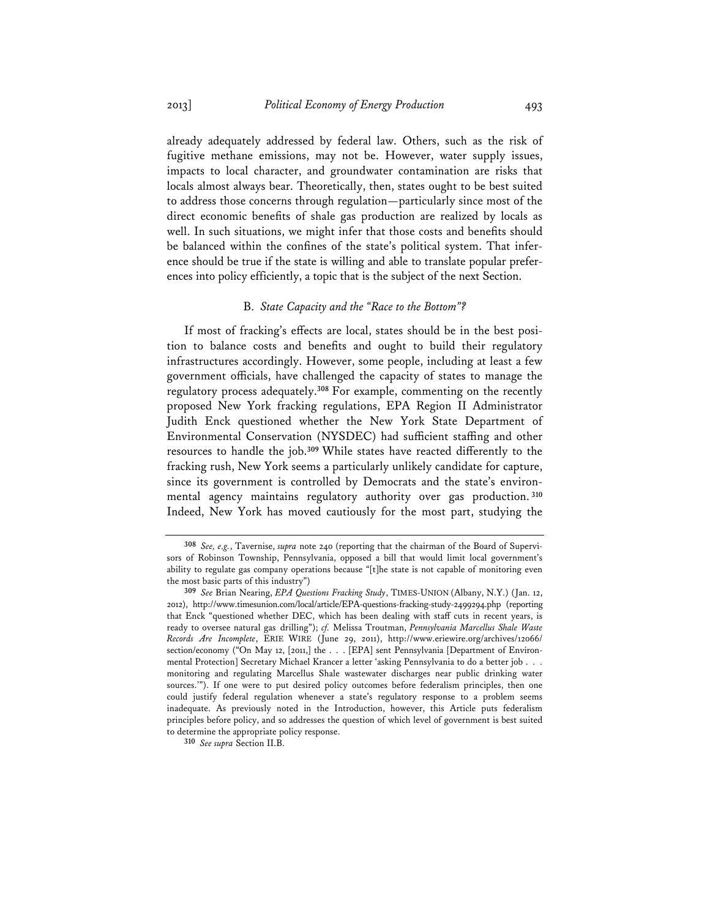already adequately addressed by federal law. Others, such as the risk of fugitive methane emissions, may not be. However, water supply issues, impacts to local character, and groundwater contamination are risks that locals almost always bear. Theoretically, then, states ought to be best suited to address those concerns through regulation—particularly since most of the direct economic benefits of shale gas production are realized by locals as well. In such situations, we might infer that those costs and benefits should be balanced within the confines of the state's political system. That inference should be true if the state is willing and able to translate popular preferences into policy efficiently, a topic that is the subject of the next Section.

#### B. *State Capacity and the "Race to the Bottom"?*

If most of fracking's effects are local, states should be in the best position to balance costs and benefits and ought to build their regulatory infrastructures accordingly. However, some people, including at least a few government officials, have challenged the capacity of states to manage the regulatory process adequately.**<sup>308</sup>** For example, commenting on the recently proposed New York fracking regulations, EPA Region II Administrator Judith Enck questioned whether the New York State Department of Environmental Conservation (NYSDEC) had sufficient staffing and other resources to handle the job.**<sup>309</sup>** While states have reacted differently to the fracking rush, New York seems a particularly unlikely candidate for capture, since its government is controlled by Democrats and the state's environmental agency maintains regulatory authority over gas production. **<sup>310</sup>** Indeed, New York has moved cautiously for the most part, studying the

**<sup>308</sup>** *See, e.g.*, Tavernise, *supra* note 240 (reporting that the chairman of the Board of Supervisors of Robinson Township, Pennsylvania, opposed a bill that would limit local government's ability to regulate gas company operations because "[t]he state is not capable of monitoring even the most basic parts of this industry")

**<sup>309</sup>** *See* Brian Nearing, *EPA Questions Fracking Study*, TIMES-UNION (Albany, N.Y.) (Jan. 12, 2012), http://www.timesunion.com/local/article/EPA-questions-fracking-study-2499294.php (reporting that Enck "questioned whether DEC, which has been dealing with staff cuts in recent years, is ready to oversee natural gas drilling"); *cf.* Melissa Troutman, *Pennsylvania Marcellus Shale Waste Records Are Incomplete*, ERIE WIRE (June 29, 2011), http://www.eriewire.org/archives/12066/ section/economy ("On May 12, [2011,] the . . . [EPA] sent Pennsylvania [Department of Environmental Protection] Secretary Michael Krancer a letter 'asking Pennsylvania to do a better job . . . monitoring and regulating Marcellus Shale wastewater discharges near public drinking water sources.'"). If one were to put desired policy outcomes before federalism principles, then one could justify federal regulation whenever a state's regulatory response to a problem seems inadequate. As previously noted in the Introduction, however, this Article puts federalism principles before policy, and so addresses the question of which level of government is best suited to determine the appropriate policy response.

**<sup>310</sup>** *See supra* Section II.B.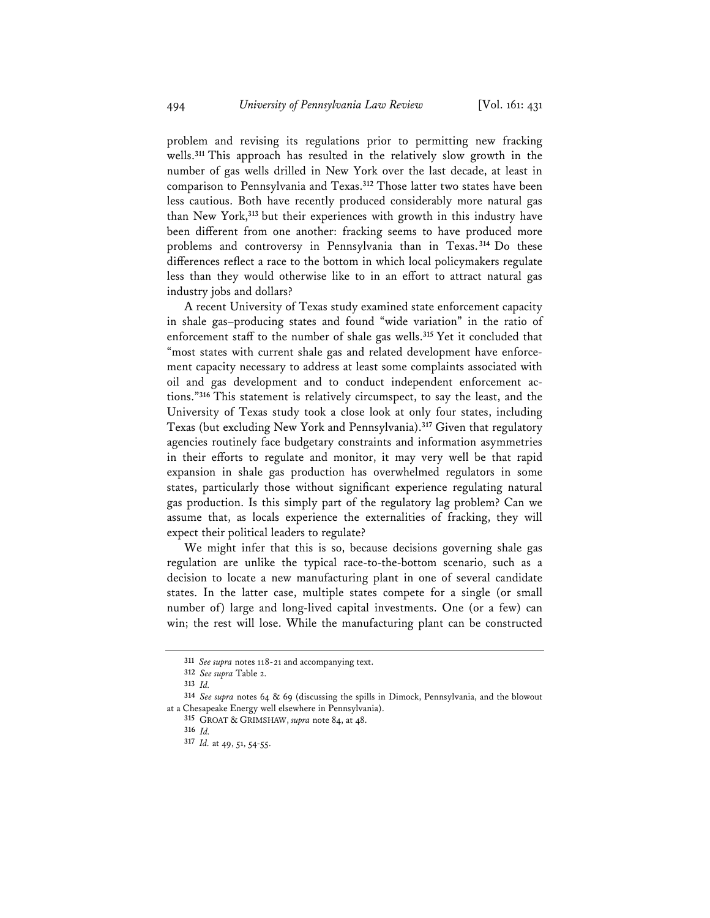problem and revising its regulations prior to permitting new fracking wells.**<sup>311</sup>** This approach has resulted in the relatively slow growth in the number of gas wells drilled in New York over the last decade, at least in comparison to Pennsylvania and Texas.**<sup>312</sup>** Those latter two states have been less cautious. Both have recently produced considerably more natural gas than New York,**<sup>313</sup>** but their experiences with growth in this industry have been different from one another: fracking seems to have produced more problems and controversy in Pennsylvania than in Texas. **<sup>314</sup>** Do these differences reflect a race to the bottom in which local policymakers regulate less than they would otherwise like to in an effort to attract natural gas industry jobs and dollars?

A recent University of Texas study examined state enforcement capacity in shale gas–producing states and found "wide variation" in the ratio of enforcement staff to the number of shale gas wells.**<sup>315</sup>** Yet it concluded that "most states with current shale gas and related development have enforcement capacity necessary to address at least some complaints associated with oil and gas development and to conduct independent enforcement actions."**<sup>316</sup>** This statement is relatively circumspect, to say the least, and the University of Texas study took a close look at only four states, including Texas (but excluding New York and Pennsylvania).**<sup>317</sup>** Given that regulatory agencies routinely face budgetary constraints and information asymmetries in their efforts to regulate and monitor, it may very well be that rapid expansion in shale gas production has overwhelmed regulators in some states, particularly those without significant experience regulating natural gas production. Is this simply part of the regulatory lag problem? Can we assume that, as locals experience the externalities of fracking, they will expect their political leaders to regulate?

We might infer that this is so, because decisions governing shale gas regulation are unlike the typical race-to-the-bottom scenario, such as a decision to locate a new manufacturing plant in one of several candidate states. In the latter case, multiple states compete for a single (or small number of) large and long-lived capital investments. One (or a few) can win; the rest will lose. While the manufacturing plant can be constructed

**<sup>311</sup>** *See supra* notes 118-21 and accompanying text.

**<sup>312</sup>** *See supra* Table 2.

**<sup>313</sup>** *Id.*

**<sup>314</sup>** *See supra* notes 64 & 69 (discussing the spills in Dimock, Pennsylvania, and the blowout at a Chesapeake Energy well elsewhere in Pennsylvania).

**<sup>315</sup>** GROAT & GRIMSHAW, *supra* note 84, at 48.

**<sup>316</sup>** *Id.*

**<sup>317</sup>** *Id.* at 49, 51, 54-55.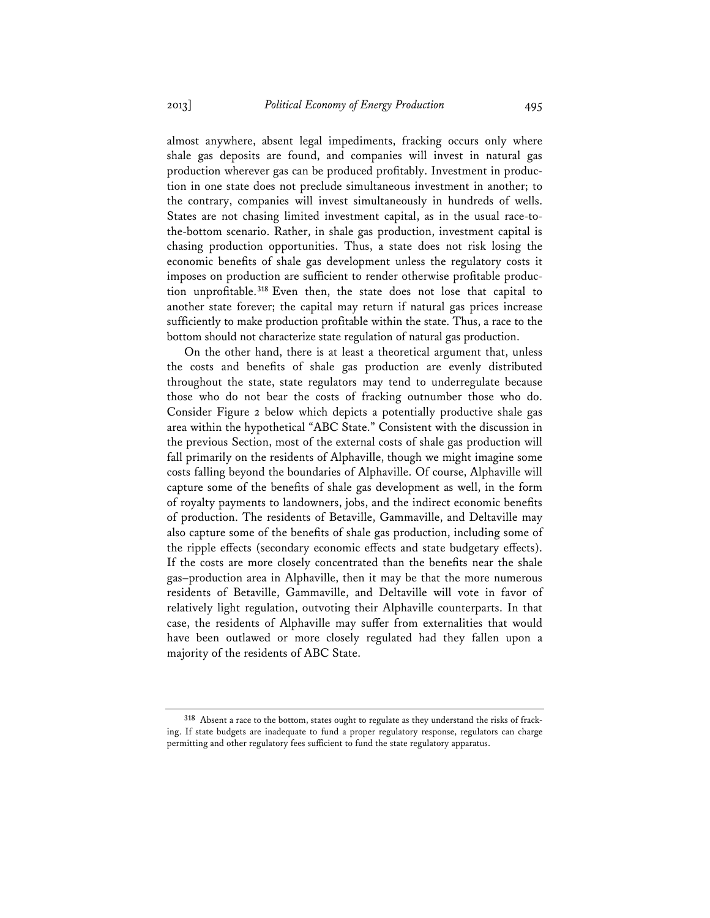almost anywhere, absent legal impediments, fracking occurs only where shale gas deposits are found, and companies will invest in natural gas production wherever gas can be produced profitably. Investment in production in one state does not preclude simultaneous investment in another; to the contrary, companies will invest simultaneously in hundreds of wells. States are not chasing limited investment capital, as in the usual race-tothe-bottom scenario. Rather, in shale gas production, investment capital is chasing production opportunities. Thus, a state does not risk losing the economic benefits of shale gas development unless the regulatory costs it imposes on production are sufficient to render otherwise profitable production unprofitable.**<sup>318</sup>** Even then, the state does not lose that capital to another state forever; the capital may return if natural gas prices increase sufficiently to make production profitable within the state. Thus, a race to the bottom should not characterize state regulation of natural gas production.

On the other hand, there is at least a theoretical argument that, unless the costs and benefits of shale gas production are evenly distributed throughout the state, state regulators may tend to underregulate because those who do not bear the costs of fracking outnumber those who do. Consider Figure 2 below which depicts a potentially productive shale gas area within the hypothetical "ABC State." Consistent with the discussion in the previous Section, most of the external costs of shale gas production will fall primarily on the residents of Alphaville, though we might imagine some costs falling beyond the boundaries of Alphaville. Of course, Alphaville will capture some of the benefits of shale gas development as well, in the form of royalty payments to landowners, jobs, and the indirect economic benefits of production. The residents of Betaville, Gammaville, and Deltaville may also capture some of the benefits of shale gas production, including some of the ripple effects (secondary economic effects and state budgetary effects). If the costs are more closely concentrated than the benefits near the shale gas–production area in Alphaville, then it may be that the more numerous residents of Betaville, Gammaville, and Deltaville will vote in favor of relatively light regulation, outvoting their Alphaville counterparts. In that case, the residents of Alphaville may suffer from externalities that would have been outlawed or more closely regulated had they fallen upon a majority of the residents of ABC State.

**<sup>318</sup>** Absent a race to the bottom, states ought to regulate as they understand the risks of fracking. If state budgets are inadequate to fund a proper regulatory response, regulators can charge permitting and other regulatory fees sufficient to fund the state regulatory apparatus.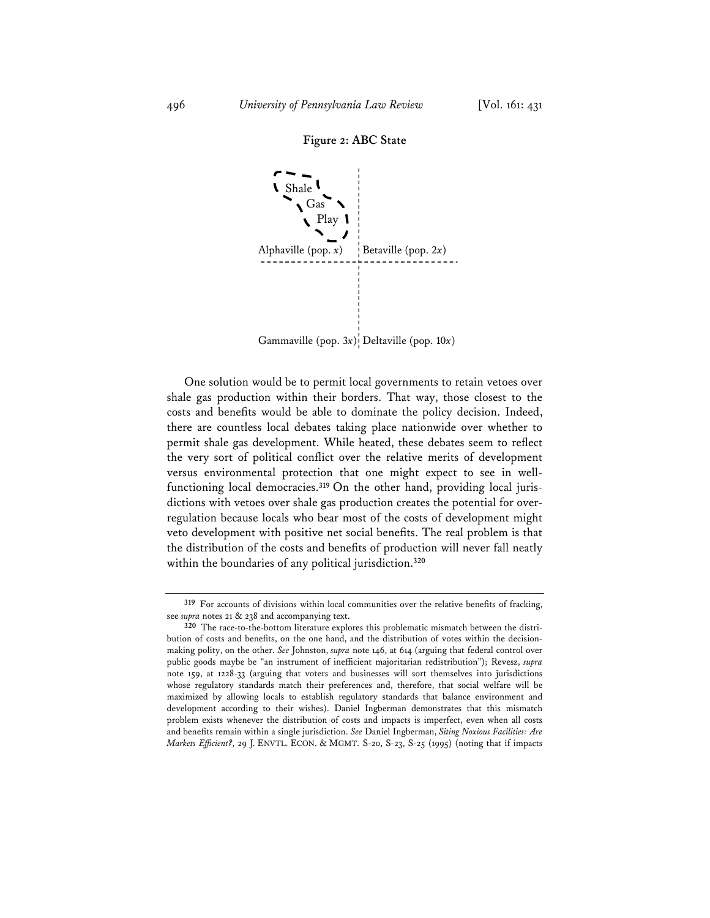



Gammaville (pop. 3x)<sup>*I*</sup> Deltaville (pop. 10x)

One solution would be to permit local governments to retain vetoes over shale gas production within their borders. That way, those closest to the costs and benefits would be able to dominate the policy decision. Indeed, there are countless local debates taking place nationwide over whether to permit shale gas development. While heated, these debates seem to reflect the very sort of political conflict over the relative merits of development versus environmental protection that one might expect to see in wellfunctioning local democracies.**319** On the other hand, providing local jurisdictions with vetoes over shale gas production creates the potential for overregulation because locals who bear most of the costs of development might veto development with positive net social benefits. The real problem is that the distribution of the costs and benefits of production will never fall neatly within the boundaries of any political jurisdiction.**<sup>320</sup>**

**<sup>319</sup>** For accounts of divisions within local communities over the relative benefits of fracking, see *supra* notes 21 & 238 and accompanying text.

**<sup>320</sup>** The race-to-the-bottom literature explores this problematic mismatch between the distribution of costs and benefits, on the one hand, and the distribution of votes within the decisionmaking polity, on the other. *See* Johnston, *supra* note 146, at 614 (arguing that federal control over public goods maybe be "an instrument of inefficient majoritarian redistribution"); Revesz, *supra* note 159, at 1228-33 (arguing that voters and businesses will sort themselves into jurisdictions whose regulatory standards match their preferences and, therefore, that social welfare will be maximized by allowing locals to establish regulatory standards that balance environment and development according to their wishes). Daniel Ingberman demonstrates that this mismatch problem exists whenever the distribution of costs and impacts is imperfect, even when all costs and benefits remain within a single jurisdiction. *See* Daniel Ingberman, *Siting Noxious Facilities: Are Markets Efficient?*, 29 J. ENVTL. ECON. & MGMT. S-20, S-23, S-25 (1995) (noting that if impacts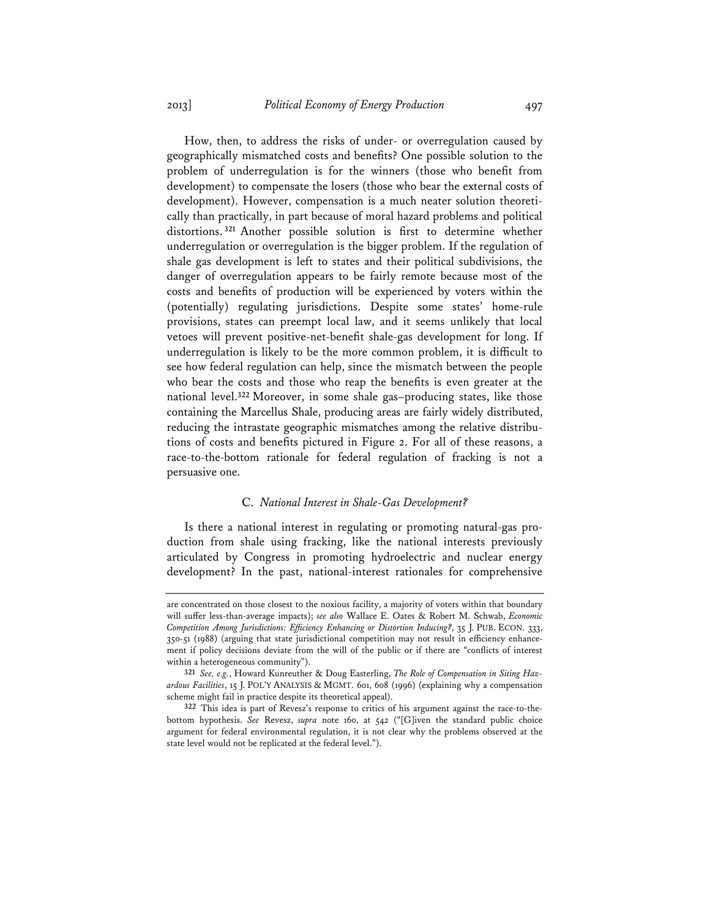How, then, to address the risks of under- or overregulation caused by geographically mismatched costs and benefits? One possible solution to the problem of underregulation is for the winners (those who benefit from development) to compensate the losers (those who bear the external costs of development). However, compensation is a much neater solution theoretically than practically, in part because of moral hazard problems and political distortions. **<sup>321</sup>** Another possible solution is first to determine whether underregulation or overregulation is the bigger problem. If the regulation of shale gas development is left to states and their political subdivisions, the danger of overregulation appears to be fairly remote because most of the costs and benefits of production will be experienced by voters within the (potentially) regulating jurisdictions. Despite some states' home-rule provisions, states can preempt local law, and it seems unlikely that local vetoes will prevent positive-net-benefit shale-gas development for long. If underregulation is likely to be the more common problem, it is difficult to see how federal regulation can help, since the mismatch between the people who bear the costs and those who reap the benefits is even greater at the national level.**<sup>322</sup>** Moreover, in some shale gas–producing states, like those containing the Marcellus Shale, producing areas are fairly widely distributed, reducing the intrastate geographic mismatches among the relative distributions of costs and benefits pictured in Figure 2. For all of these reasons, a race-to-the-bottom rationale for federal regulation of fracking is not a persuasive one.

# C. *National Interest in Shale-Gas Development?*

Is there a national interest in regulating or promoting natural-gas production from shale using fracking, like the national interests previously articulated by Congress in promoting hydroelectric and nuclear energy development? In the past, national-interest rationales for comprehensive

are concentrated on those closest to the noxious facility, a majority of voters within that boundary will suffer less-than-average impacts); *see also* Wallace E. Oates & Robert M. Schwab, *Economic Competition Among Jurisdictions: Efficiency Enhancing or Distortion Inducing?*, 35 J. PUB. ECON. 333, 350-51 (1988) (arguing that state jurisdictional competition may not result in efficiency enhancement if policy decisions deviate from the will of the public or if there are "conflicts of interest within a heterogeneous community").

**<sup>321</sup>** *See, e.g.*, Howard Kunreuther & Doug Easterling, *The Role of Compensation in Siting Hazardous Facilities*, 15 J. POL'Y ANALYSIS & MGMT. 601, 608 (1996) (explaining why a compensation scheme might fail in practice despite its theoretical appeal).

**<sup>322</sup>** This idea is part of Revesz's response to critics of his argument against the race-to-thebottom hypothesis. *See* Revesz, *supra* note 160, at 542 ("[G]iven the standard public choice argument for federal environmental regulation, it is not clear why the problems observed at the state level would not be replicated at the federal level.").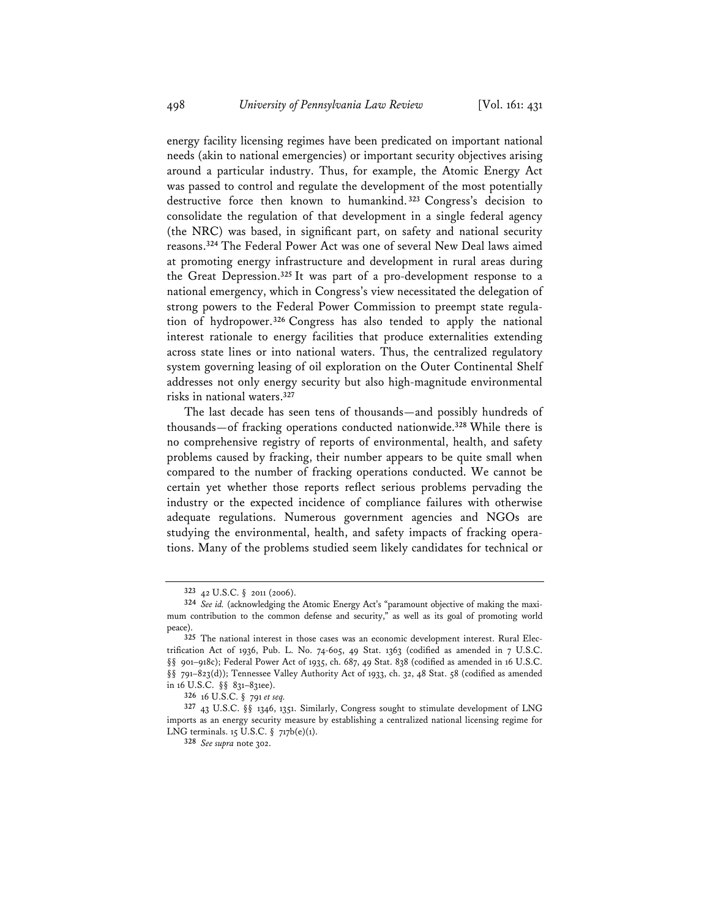energy facility licensing regimes have been predicated on important national needs (akin to national emergencies) or important security objectives arising around a particular industry. Thus, for example, the Atomic Energy Act was passed to control and regulate the development of the most potentially destructive force then known to humankind. **<sup>323</sup>** Congress's decision to consolidate the regulation of that development in a single federal agency (the NRC) was based, in significant part, on safety and national security reasons.**<sup>324</sup>** The Federal Power Act was one of several New Deal laws aimed at promoting energy infrastructure and development in rural areas during the Great Depression.**<sup>325</sup>** It was part of a pro-development response to a national emergency, which in Congress's view necessitated the delegation of strong powers to the Federal Power Commission to preempt state regulation of hydropower.**<sup>326</sup>** Congress has also tended to apply the national interest rationale to energy facilities that produce externalities extending across state lines or into national waters. Thus, the centralized regulatory system governing leasing of oil exploration on the Outer Continental Shelf addresses not only energy security but also high-magnitude environmental risks in national waters.**<sup>327</sup>**

The last decade has seen tens of thousands—and possibly hundreds of thousands—of fracking operations conducted nationwide.**<sup>328</sup>** While there is no comprehensive registry of reports of environmental, health, and safety problems caused by fracking, their number appears to be quite small when compared to the number of fracking operations conducted. We cannot be certain yet whether those reports reflect serious problems pervading the industry or the expected incidence of compliance failures with otherwise adequate regulations. Numerous government agencies and NGOs are studying the environmental, health, and safety impacts of fracking operations. Many of the problems studied seem likely candidates for technical or

**<sup>323</sup>** 42 U.S.C. § 2011 (2006).

**<sup>324</sup>** *See id.* (acknowledging the Atomic Energy Act's "paramount objective of making the maximum contribution to the common defense and security," as well as its goal of promoting world peace).

**<sup>325</sup>** The national interest in those cases was an economic development interest. Rural Electrification Act of 1936, Pub. L. No. 74-605, 49 Stat. 1363 (codified as amended in 7 U.S.C. §§ 901-918c); Federal Power Act of 1935, ch. 687, 49 Stat. 838 (codified as amended in 16 U.S.C. §§ 791–823(d)); Tennessee Valley Authority Act of 1933, ch. 32, 48 Stat. 58 (codified as amended in 16 U.S.C. §§ 831–831ee).

**<sup>326</sup>** 16 U.S.C. § 791 *et seq.*

**<sup>327</sup>** 43 U.S.C. §§ 1346, 1351. Similarly, Congress sought to stimulate development of LNG imports as an energy security measure by establishing a centralized national licensing regime for LNG terminals. 15 U.S.C. § 717b(e)(1).

**<sup>328</sup>** *See supra* note 302.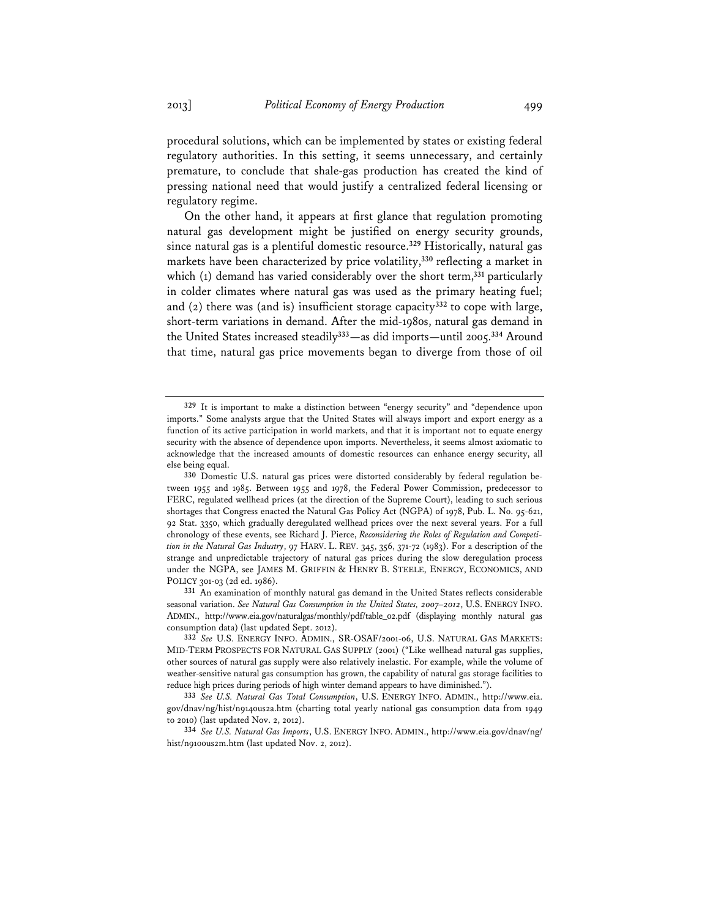procedural solutions, which can be implemented by states or existing federal regulatory authorities. In this setting, it seems unnecessary, and certainly premature, to conclude that shale-gas production has created the kind of pressing national need that would justify a centralized federal licensing or regulatory regime.

On the other hand, it appears at first glance that regulation promoting natural gas development might be justified on energy security grounds, since natural gas is a plentiful domestic resource.**<sup>329</sup>** Historically, natural gas markets have been characterized by price volatility,**<sup>330</sup>** reflecting a market in which (1) demand has varied considerably over the short term,**<sup>331</sup>** particularly in colder climates where natural gas was used as the primary heating fuel; and (2) there was (and is) insufficient storage capacity**<sup>332</sup>** to cope with large, short-term variations in demand. After the mid-1980s, natural gas demand in the United States increased steadily**<sup>333</sup>**—as did imports—until 2005.**<sup>334</sup>** Around that time, natural gas price movements began to diverge from those of oil

**<sup>329</sup>** It is important to make a distinction between "energy security" and "dependence upon imports." Some analysts argue that the United States will always import and export energy as a function of its active participation in world markets, and that it is important not to equate energy security with the absence of dependence upon imports. Nevertheless, it seems almost axiomatic to acknowledge that the increased amounts of domestic resources can enhance energy security, all else being equal.

**<sup>330</sup>** Domestic U.S. natural gas prices were distorted considerably by federal regulation between 1955 and 1985. Between 1955 and 1978, the Federal Power Commission, predecessor to FERC, regulated wellhead prices (at the direction of the Supreme Court), leading to such serious shortages that Congress enacted the Natural Gas Policy Act (NGPA) of 1978, Pub. L. No. 95-621, 92 Stat. 3350, which gradually deregulated wellhead prices over the next several years. For a full chronology of these events, see Richard J. Pierce, *Reconsidering the Roles of Regulation and Competition in the Natural Gas Industry*, 97 HARV. L. REV. 345, 356, 371-72 (1983). For a description of the strange and unpredictable trajectory of natural gas prices during the slow deregulation process under the NGPA, see JAMES M. GRIFFIN & HENRY B. STEELE, ENERGY, ECONOMICS, AND POLICY 301-03 (2d ed. 1986).

**<sup>331</sup>** An examination of monthly natural gas demand in the United States reflects considerable seasonal variation. *See Natural Gas Consumption in the United States, 2007–2012*, U.S. ENERGY INFO. ADMIN., http://www.eia.gov/naturalgas/monthly/pdf/table\_02.pdf (displaying monthly natural gas consumption data) (last updated Sept. 2012).

**<sup>332</sup>** *See* U.S. ENERGY INFO. ADMIN., SR-OSAF/2001-06, U.S. NATURAL GAS MARKETS: MID-TERM PROSPECTS FOR NATURAL GAS SUPPLY (2001) ("Like wellhead natural gas supplies, other sources of natural gas supply were also relatively inelastic. For example, while the volume of weather-sensitive natural gas consumption has grown, the capability of natural gas storage facilities to reduce high prices during periods of high winter demand appears to have diminished.").

**<sup>333</sup>** *See U.S. Natural Gas Total Consumption*, U.S. ENERGY INFO. ADMIN., http://www.eia. gov/dnav/ng/hist/n9140us2a.htm (charting total yearly national gas consumption data from 1949 to 2010) (last updated Nov. 2, 2012).

**<sup>334</sup>** *See U.S. Natural Gas Imports*, U.S. ENERGY INFO. ADMIN., http://www.eia.gov/dnav/ng/ hist/n9100us2m.htm (last updated Nov. 2, 2012).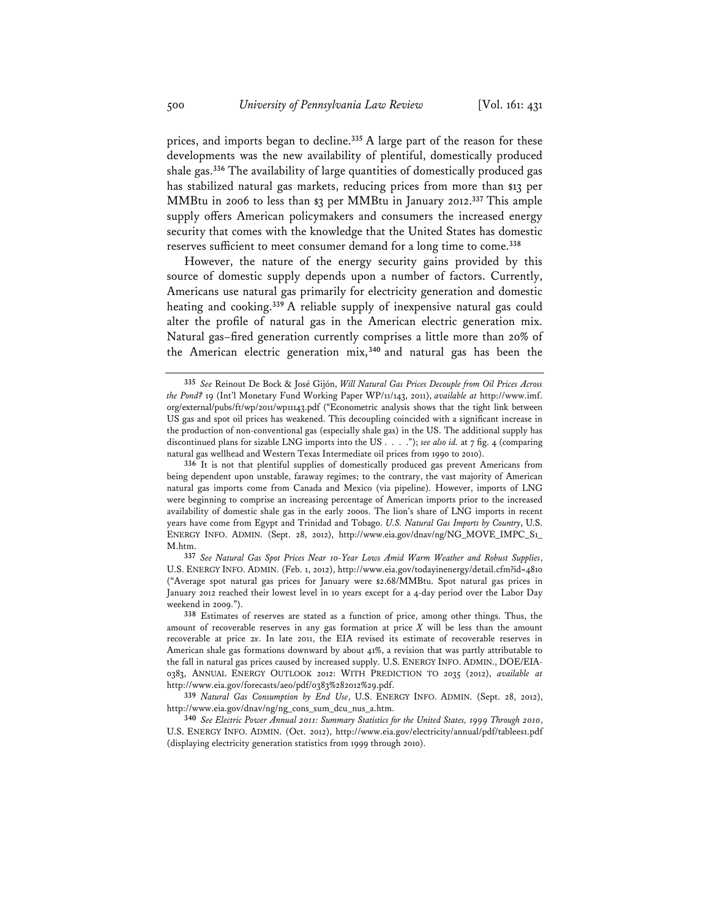prices, and imports began to decline.**<sup>335</sup>** A large part of the reason for these developments was the new availability of plentiful, domestically produced shale gas.**<sup>336</sup>** The availability of large quantities of domestically produced gas has stabilized natural gas markets, reducing prices from more than \$13 per MMBtu in 2006 to less than \$3 per MMBtu in January 2012.**<sup>337</sup>** This ample supply offers American policymakers and consumers the increased energy security that comes with the knowledge that the United States has domestic reserves sufficient to meet consumer demand for a long time to come.**<sup>338</sup>**

However, the nature of the energy security gains provided by this source of domestic supply depends upon a number of factors. Currently, Americans use natural gas primarily for electricity generation and domestic heating and cooking.**<sup>339</sup>** A reliable supply of inexpensive natural gas could alter the profile of natural gas in the American electric generation mix. Natural gas–fired generation currently comprises a little more than 20% of the American electric generation mix,**<sup>340</sup>** and natural gas has been the

**<sup>335</sup>** *See* Reinout De Bock & José Gijón, *Will Natural Gas Prices Decouple from Oil Prices Across the Pond?* 19 (Int'l Monetary Fund Working Paper WP/11/143, 2011), *available at* http://www.imf. org/external/pubs/ft/wp/2011/wp11143.pdf ("Econometric analysis shows that the tight link between US gas and spot oil prices has weakened. This decoupling coincided with a significant increase in the production of non-conventional gas (especially shale gas) in the US. The additional supply has discontinued plans for sizable LNG imports into the US . . . ."); *see also id.* at 7 fig. 4 (comparing natural gas wellhead and Western Texas Intermediate oil prices from 1990 to 2010).

**<sup>336</sup>** It is not that plentiful supplies of domestically produced gas prevent Americans from being dependent upon unstable, faraway regimes; to the contrary, the vast majority of American natural gas imports come from Canada and Mexico (via pipeline). However, imports of LNG were beginning to comprise an increasing percentage of American imports prior to the increased availability of domestic shale gas in the early 2000s. The lion's share of LNG imports in recent years have come from Egypt and Trinidad and Tobago. *U.S. Natural Gas Imports by Country*, U.S. ENERGY INFO. ADMIN. (Sept. 28, 2012), http://www.eia.gov/dnav/ng/NG\_MOVE\_IMPC\_S1\_ M.htm.

**<sup>337</sup>** *See Natural Gas Spot Prices Near 10-Year Lows Amid Warm Weather and Robust Supplies*, U.S. ENERGY INFO. ADMIN. (Feb. 1, 2012), http://www.eia.gov/todayinenergy/detail.cfm?id=4810 ("Average spot natural gas prices for January were \$2.68/MMBtu. Spot natural gas prices in January 2012 reached their lowest level in 10 years except for a 4-day period over the Labor Day weekend in 2009.").

**<sup>338</sup>** Estimates of reserves are stated as a function of price, among other things. Thus, the amount of recoverable reserves in any gas formation at price *X* will be less than the amount recoverable at price 2*x*. In late 2011, the EIA revised its estimate of recoverable reserves in American shale gas formations downward by about 41%, a revision that was partly attributable to the fall in natural gas prices caused by increased supply. U.S. ENERGY INFO. ADMIN., DOE/EIA-0383, ANNUAL ENERGY OUTLOOK 2012: WITH PREDICTION TO 2035 (2012), *available at* http://www.eia.gov/forecasts/aeo/pdf/0383%282012%29.pdf.

**<sup>339</sup>** *Natural Gas Consumption by End Use*, U.S. ENERGY INFO. ADMIN. (Sept. 28, 2012), http://www.eia.gov/dnav/ng/ng\_cons\_sum\_dcu\_nus\_a.htm.

**<sup>340</sup>** *See Electric Power Annual 2011: Summary Statistics for the United States, 1999 Through 2010*, U.S. ENERGY INFO. ADMIN. (Oct. 2012), http://www.eia.gov/electricity/annual/pdf/tablees1.pdf (displaying electricity generation statistics from 1999 through 2010).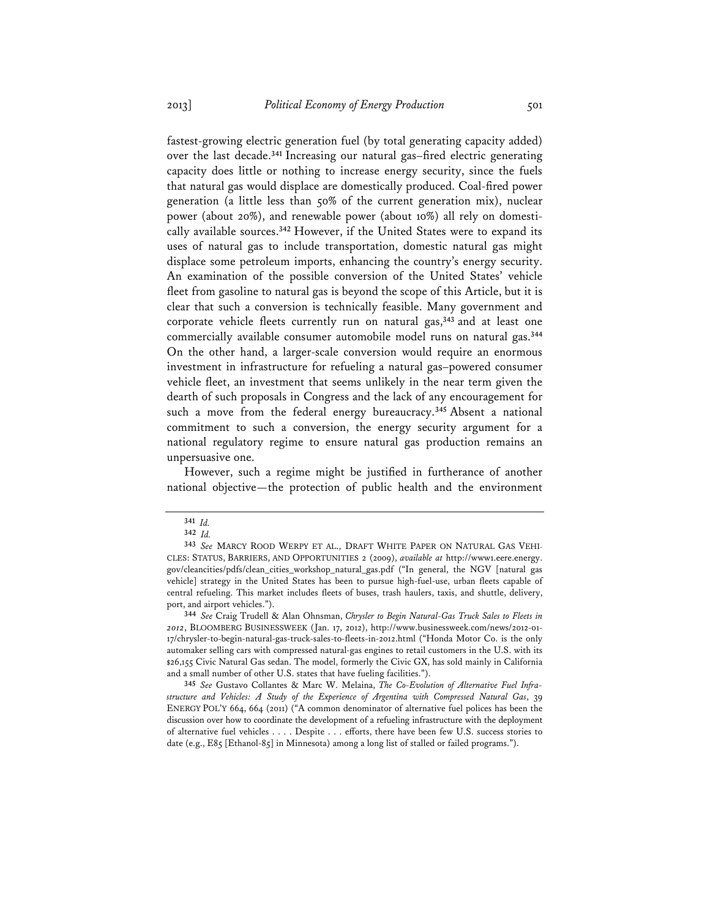fastest-growing electric generation fuel (by total generating capacity added) over the last decade.**<sup>341</sup>** Increasing our natural gas–fired electric generating capacity does little or nothing to increase energy security, since the fuels that natural gas would displace are domestically produced. Coal-fired power generation (a little less than 50% of the current generation mix), nuclear power (about 20%), and renewable power (about 10%) all rely on domestically available sources.**<sup>342</sup>** However, if the United States were to expand its uses of natural gas to include transportation, domestic natural gas might displace some petroleum imports, enhancing the country's energy security. An examination of the possible conversion of the United States' vehicle fleet from gasoline to natural gas is beyond the scope of this Article, but it is clear that such a conversion is technically feasible. Many government and corporate vehicle fleets currently run on natural gas,**<sup>343</sup>** and at least one commercially available consumer automobile model runs on natural gas.**<sup>344</sup>** On the other hand, a larger-scale conversion would require an enormous investment in infrastructure for refueling a natural gas–powered consumer vehicle fleet, an investment that seems unlikely in the near term given the dearth of such proposals in Congress and the lack of any encouragement for such a move from the federal energy bureaucracy.**<sup>345</sup>** Absent a national commitment to such a conversion, the energy security argument for a national regulatory regime to ensure natural gas production remains an unpersuasive one.

However, such a regime might be justified in furtherance of another national objective—the protection of public health and the environment

**344** *See* Craig Trudell & Alan Ohnsman, *Chrysler to Begin Natural-Gas Truck Sales to Fleets in 2012*, BLOOMBERG BUSINESSWEEK (Jan. 17, 2012), http://www.businessweek.com/news/2012-01- 17/chrysler-to-begin-natural-gas-truck-sales-to-fleets-in-2012.html ("Honda Motor Co. is the only automaker selling cars with compressed natural-gas engines to retail customers in the U.S. with its \$26,155 Civic Natural Gas sedan. The model, formerly the Civic GX, has sold mainly in California and a small number of other U.S. states that have fueling facilities.").

**345** *See* Gustavo Collantes & Marc W. Melaina, *The Co-Evolution of Alternative Fuel Infrastructure and Vehicles: A Study of the Experience of Argentina with Compressed Natural Gas*, 39 ENERGY POL'Y 664, 664 (2011) ("A common denominator of alternative fuel polices has been the discussion over how to coordinate the development of a refueling infrastructure with the deployment of alternative fuel vehicles . . . . Despite . . . efforts, there have been few U.S. success stories to date (e.g., E85 [Ethanol-85] in Minnesota) among a long list of stalled or failed programs.").

**<sup>341</sup>** *Id.*

**<sup>342</sup>** *Id.*

**<sup>343</sup>** *See* MARCY ROOD WERPY ET AL., DRAFT WHITE PAPER ON NATURAL GAS VEHI-CLES: STATUS, BARRIERS, AND OPPORTUNITIES 2 (2009), *available at* http://www1.eere.energy. gov/cleancities/pdfs/clean\_cities\_workshop\_natural\_gas.pdf ("In general, the NGV [natural gas vehicle] strategy in the United States has been to pursue high-fuel-use, urban fleets capable of central refueling. This market includes fleets of buses, trash haulers, taxis, and shuttle, delivery, port, and airport vehicles.").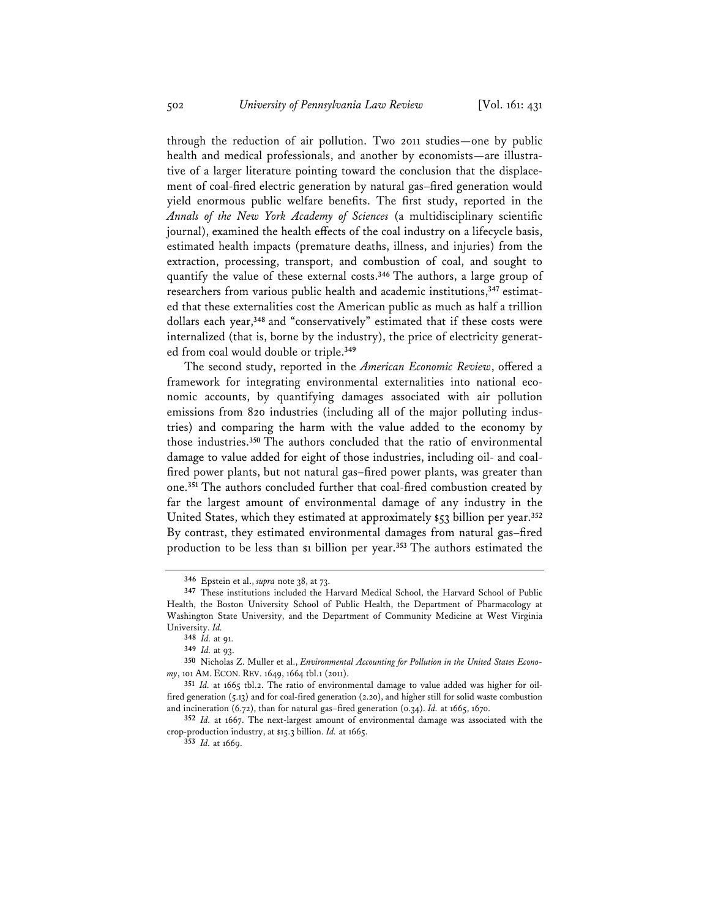through the reduction of air pollution. Two 2011 studies—one by public health and medical professionals, and another by economists—are illustrative of a larger literature pointing toward the conclusion that the displacement of coal-fired electric generation by natural gas–fired generation would yield enormous public welfare benefits. The first study, reported in the *Annals of the New York Academy of Sciences* (a multidisciplinary scientific journal), examined the health effects of the coal industry on a lifecycle basis, estimated health impacts (premature deaths, illness, and injuries) from the extraction, processing, transport, and combustion of coal, and sought to quantify the value of these external costs.**<sup>346</sup>** The authors, a large group of researchers from various public health and academic institutions,**347** estimated that these externalities cost the American public as much as half a trillion dollars each year,**<sup>348</sup>** and "conservatively" estimated that if these costs were internalized (that is, borne by the industry), the price of electricity generated from coal would double or triple.**<sup>349</sup>**

The second study, reported in the *American Economic Review*, offered a framework for integrating environmental externalities into national economic accounts, by quantifying damages associated with air pollution emissions from 820 industries (including all of the major polluting industries) and comparing the harm with the value added to the economy by those industries.**<sup>350</sup>** The authors concluded that the ratio of environmental damage to value added for eight of those industries, including oil- and coalfired power plants, but not natural gas–fired power plants, was greater than one.**<sup>351</sup>** The authors concluded further that coal-fired combustion created by far the largest amount of environmental damage of any industry in the United States, which they estimated at approximately \$53 billion per year.**<sup>352</sup>** By contrast, they estimated environmental damages from natural gas–fired production to be less than \$1 billion per year.**<sup>353</sup>** The authors estimated the

**<sup>346</sup>** Epstein et al., *supra* note 38, at 73.

**<sup>347</sup>** These institutions included the Harvard Medical School, the Harvard School of Public Health, the Boston University School of Public Health, the Department of Pharmacology at Washington State University, and the Department of Community Medicine at West Virginia University. *Id.*

**<sup>348</sup>** *Id.* at 91.

**<sup>349</sup>** *Id.* at 93.

**<sup>350</sup>** Nicholas Z. Muller et al., *Environmental Accounting for Pollution in the United States Economy*, 101 AM. ECON. REV. 1649, 1664 tbl.1 (2011).

**<sup>351</sup>** *Id.* at 1665 tbl.2. The ratio of environmental damage to value added was higher for oilfired generation (5.13) and for coal-fired generation (2.20), and higher still for solid waste combustion and incineration (6.72), than for natural gas–fired generation (0.34). *Id.* at 1665, 1670.

**<sup>352</sup>** *Id.* at 1667. The next-largest amount of environmental damage was associated with the crop-production industry, at \$15.3 billion. *Id.* at 1665.

**<sup>353</sup>** *Id.* at 1669.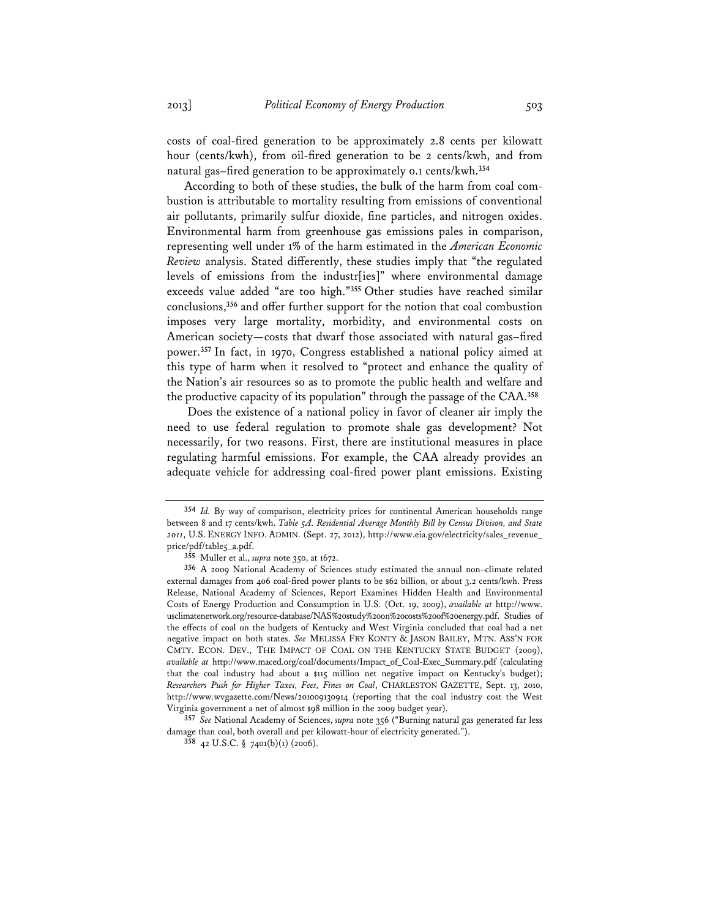costs of coal-fired generation to be approximately 2.8 cents per kilowatt hour (cents/kwh), from oil-fired generation to be 2 cents/kwh, and from natural gas–fired generation to be approximately 0.1 cents/kwh.**<sup>354</sup>**

According to both of these studies, the bulk of the harm from coal combustion is attributable to mortality resulting from emissions of conventional air pollutants, primarily sulfur dioxide, fine particles, and nitrogen oxides. Environmental harm from greenhouse gas emissions pales in comparison, representing well under 1% of the harm estimated in the *American Economic Review* analysis. Stated differently, these studies imply that "the regulated levels of emissions from the industr[ies]" where environmental damage exceeds value added "are too high."**<sup>355</sup>** Other studies have reached similar conclusions,**<sup>356</sup>** and offer further support for the notion that coal combustion imposes very large mortality, morbidity, and environmental costs on American society—costs that dwarf those associated with natural gas–fired power.**<sup>357</sup>** In fact, in 1970, Congress established a national policy aimed at this type of harm when it resolved to "protect and enhance the quality of the Nation's air resources so as to promote the public health and welfare and the productive capacity of its population" through the passage of the CAA.**<sup>358</sup>**

 Does the existence of a national policy in favor of cleaner air imply the need to use federal regulation to promote shale gas development? Not necessarily, for two reasons. First, there are institutional measures in place regulating harmful emissions. For example, the CAA already provides an adequate vehicle for addressing coal-fired power plant emissions. Existing

**<sup>354</sup>** *Id.* By way of comparison, electricity prices for continental American households range between 8 and 17 cents/kwh. *Table 5A. Residential Average Monthly Bill by Census Divison, and State 2011*, U.S. ENERGY INFO. ADMIN. (Sept. 27, 2012), http://www.eia.gov/electricity/sales\_revenue\_ price/pdf/table5\_a.pdf.

**<sup>355</sup>** Muller et al., *supra* note 350, at 1672.

**<sup>356</sup>** A 2009 National Academy of Sciences study estimated the annual non–climate related external damages from 406 coal-fired power plants to be \$62 billion, or about 3.2 cents/kwh. Press Release, National Academy of Sciences, Report Examines Hidden Health and Environmental Costs of Energy Production and Consumption in U.S. (Oct. 19, 2009), *available at* http://www. usclimatenetwork.org/resource-database/NAS%20study%20on%20costs%20of%20energy.pdf. Studies of the effects of coal on the budgets of Kentucky and West Virginia concluded that coal had a net negative impact on both states. *See* MELISSA FRY KONTY & JASON BAILEY, MTN. ASS'N FOR CMTY. ECON. DEV., THE IMPACT OF COAL ON THE KENTUCKY STATE BUDGET (2009), *available at* http://www.maced.org/coal/documents/Impact\_of\_Coal-Exec\_Summary.pdf (calculating that the coal industry had about a \$115 million net negative impact on Kentucky's budget); *Researchers Push for Higher Taxes, Fees, Fines on Coal*, CHARLESTON GAZETTE, Sept. 13, 2010, http://www.wvgazette.com/News/201009130914 (reporting that the coal industry cost the West Virginia government a net of almost \$98 million in the 2009 budget year).

**<sup>357</sup>** *See* National Academy of Sciences, *supra* note 356 ("Burning natural gas generated far less damage than coal, both overall and per kilowatt-hour of electricity generated.").

**<sup>358</sup>** 42 U.S.C. § 7401(b)(1) (2006).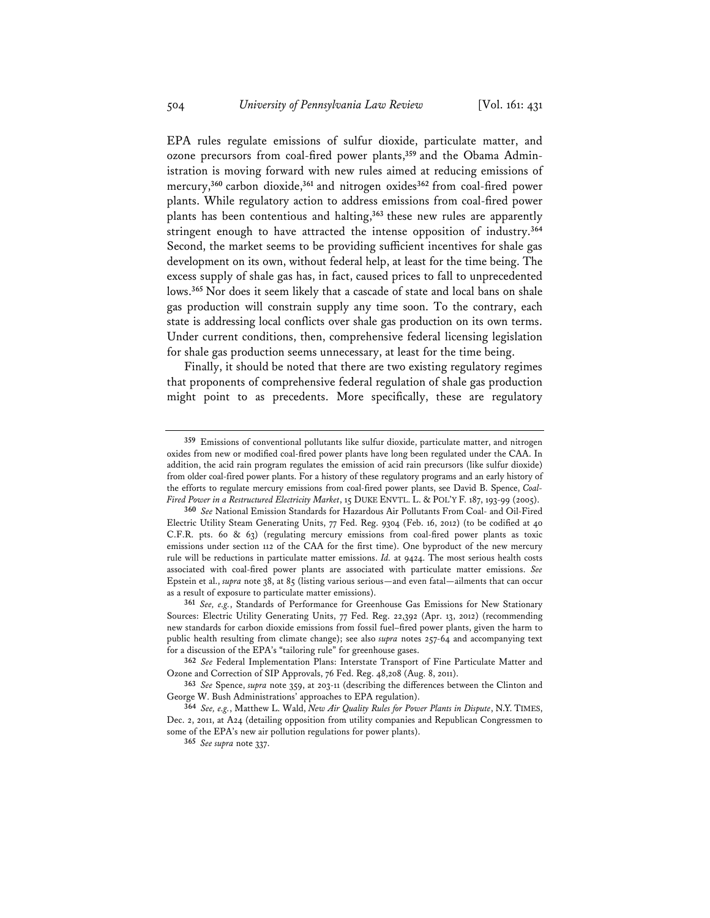EPA rules regulate emissions of sulfur dioxide, particulate matter, and ozone precursors from coal-fired power plants,**359** and the Obama Administration is moving forward with new rules aimed at reducing emissions of mercury,**<sup>360</sup>** carbon dioxide,**<sup>361</sup>** and nitrogen oxides**<sup>362</sup>** from coal-fired power plants. While regulatory action to address emissions from coal-fired power plants has been contentious and halting,**<sup>363</sup>** these new rules are apparently stringent enough to have attracted the intense opposition of industry.**<sup>364</sup>** Second, the market seems to be providing sufficient incentives for shale gas development on its own, without federal help, at least for the time being. The excess supply of shale gas has, in fact, caused prices to fall to unprecedented lows.**<sup>365</sup>** Nor does it seem likely that a cascade of state and local bans on shale gas production will constrain supply any time soon. To the contrary, each state is addressing local conflicts over shale gas production on its own terms. Under current conditions, then, comprehensive federal licensing legislation for shale gas production seems unnecessary, at least for the time being.

Finally, it should be noted that there are two existing regulatory regimes that proponents of comprehensive federal regulation of shale gas production might point to as precedents. More specifically, these are regulatory

**<sup>359</sup>** Emissions of conventional pollutants like sulfur dioxide, particulate matter, and nitrogen oxides from new or modified coal-fired power plants have long been regulated under the CAA. In addition, the acid rain program regulates the emission of acid rain precursors (like sulfur dioxide) from older coal-fired power plants. For a history of these regulatory programs and an early history of the efforts to regulate mercury emissions from coal-fired power plants, see David B. Spence, *Coal-Fired Power in a Restructured Electricity Market*, 15 DUKE ENVTL. L. & POL'Y F. 187, 193-99 (2005).

**<sup>360</sup>** *See* National Emission Standards for Hazardous Air Pollutants From Coal- and Oil-Fired Electric Utility Steam Generating Units, 77 Fed. Reg. 9304 (Feb. 16, 2012) (to be codified at 40 C.F.R. pts. 60 & 63) (regulating mercury emissions from coal-fired power plants as toxic emissions under section 112 of the CAA for the first time). One byproduct of the new mercury rule will be reductions in particulate matter emissions. *Id.* at 9424. The most serious health costs associated with coal-fired power plants are associated with particulate matter emissions. *See* Epstein et al., *supra* note 38, at 85 (listing various serious—and even fatal—ailments that can occur as a result of exposure to particulate matter emissions).

**<sup>361</sup>** *See, e.g.*, Standards of Performance for Greenhouse Gas Emissions for New Stationary Sources: Electric Utility Generating Units, 77 Fed. Reg. 22,392 (Apr. 13, 2012) (recommending new standards for carbon dioxide emissions from fossil fuel–fired power plants, given the harm to public health resulting from climate change); see also *supra* notes 257-64 and accompanying text for a discussion of the EPA's "tailoring rule" for greenhouse gases.

**<sup>362</sup>** *See* Federal Implementation Plans: Interstate Transport of Fine Particulate Matter and Ozone and Correction of SIP Approvals, 76 Fed. Reg. 48,208 (Aug. 8, 2011).

**<sup>363</sup>** *See* Spence, *supra* note 359, at 203-11 (describing the differences between the Clinton and George W. Bush Administrations' approaches to EPA regulation).

**<sup>364</sup>** *See, e.g.*, Matthew L. Wald, *New Air Quality Rules for Power Plants in Dispute*, N.Y. TIMES, Dec. 2, 2011, at A24 (detailing opposition from utility companies and Republican Congressmen to some of the EPA's new air pollution regulations for power plants).

**<sup>365</sup>** *See supra* note 337.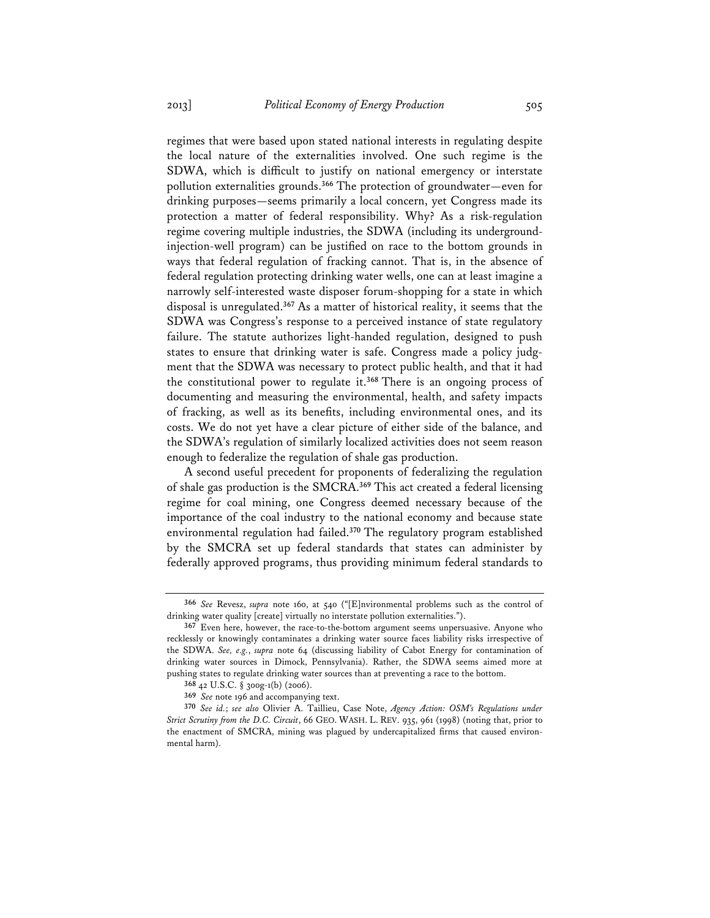regimes that were based upon stated national interests in regulating despite the local nature of the externalities involved. One such regime is the SDWA, which is difficult to justify on national emergency or interstate pollution externalities grounds.**<sup>366</sup>** The protection of groundwater—even for drinking purposes—seems primarily a local concern, yet Congress made its protection a matter of federal responsibility. Why? As a risk-regulation regime covering multiple industries, the SDWA (including its undergroundinjection-well program) can be justified on race to the bottom grounds in ways that federal regulation of fracking cannot. That is, in the absence of federal regulation protecting drinking water wells, one can at least imagine a narrowly self-interested waste disposer forum-shopping for a state in which disposal is unregulated.**<sup>367</sup>** As a matter of historical reality, it seems that the SDWA was Congress's response to a perceived instance of state regulatory failure. The statute authorizes light-handed regulation, designed to push states to ensure that drinking water is safe. Congress made a policy judgment that the SDWA was necessary to protect public health, and that it had the constitutional power to regulate it.**<sup>368</sup>** There is an ongoing process of documenting and measuring the environmental, health, and safety impacts of fracking, as well as its benefits, including environmental ones, and its costs. We do not yet have a clear picture of either side of the balance, and the SDWA's regulation of similarly localized activities does not seem reason enough to federalize the regulation of shale gas production.

A second useful precedent for proponents of federalizing the regulation of shale gas production is the SMCRA.**<sup>369</sup>** This act created a federal licensing regime for coal mining, one Congress deemed necessary because of the importance of the coal industry to the national economy and because state environmental regulation had failed.**<sup>370</sup>** The regulatory program established by the SMCRA set up federal standards that states can administer by federally approved programs, thus providing minimum federal standards to

**<sup>366</sup>** *See* Revesz, *supra* note 160, at 540 ("[E]nvironmental problems such as the control of drinking water quality [create] virtually no interstate pollution externalities.").

**<sup>367</sup>** Even here, however, the race-to-the-bottom argument seems unpersuasive. Anyone who recklessly or knowingly contaminates a drinking water source faces liability risks irrespective of the SDWA. *See, e.g.*, *supra* note 64 (discussing liability of Cabot Energy for contamination of drinking water sources in Dimock, Pennsylvania). Rather, the SDWA seems aimed more at pushing states to regulate drinking water sources than at preventing a race to the bottom.

**<sup>368</sup>** 42 U.S.C. § 300g-1(b) (2006).

**<sup>369</sup>** *See* note 196 and accompanying text.

**<sup>370</sup>** *See id.*; *see also* Olivier A. Taillieu, Case Note, *Agency Action: OSM's Regulations under Strict Scrutiny from the D.C. Circuit*, 66 GEO. WASH. L. REV. 935, 961 (1998) (noting that, prior to the enactment of SMCRA, mining was plagued by undercapitalized firms that caused environmental harm).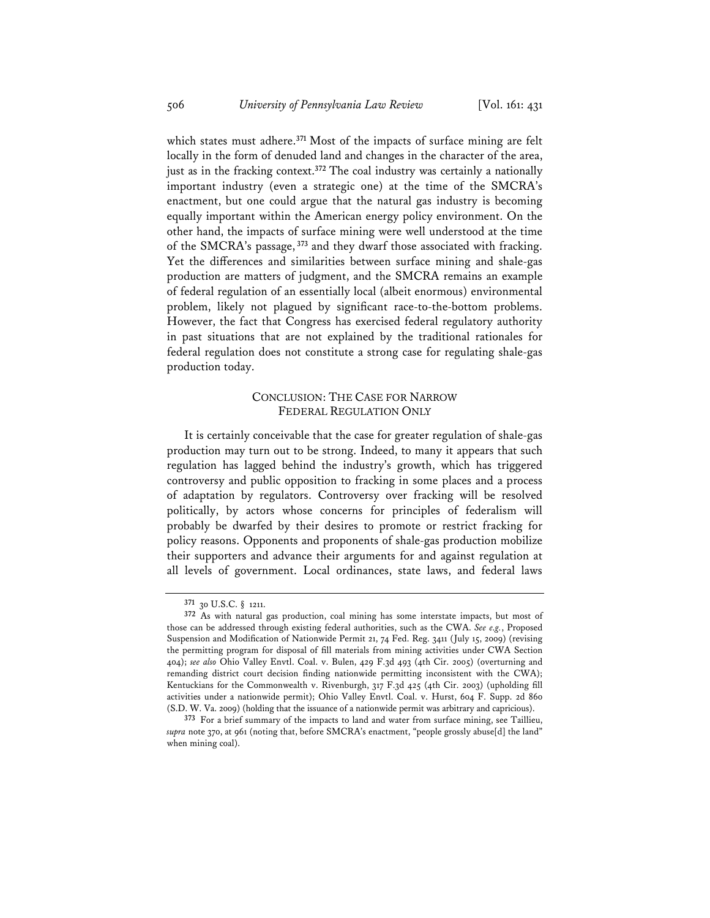which states must adhere.**<sup>371</sup>** Most of the impacts of surface mining are felt locally in the form of denuded land and changes in the character of the area, just as in the fracking context.**<sup>372</sup>** The coal industry was certainly a nationally important industry (even a strategic one) at the time of the SMCRA's enactment, but one could argue that the natural gas industry is becoming equally important within the American energy policy environment. On the other hand, the impacts of surface mining were well understood at the time of the SMCRA's passage,**<sup>373</sup>** and they dwarf those associated with fracking. Yet the differences and similarities between surface mining and shale-gas production are matters of judgment, and the SMCRA remains an example of federal regulation of an essentially local (albeit enormous) environmental problem, likely not plagued by significant race-to-the-bottom problems. However, the fact that Congress has exercised federal regulatory authority in past situations that are not explained by the traditional rationales for federal regulation does not constitute a strong case for regulating shale-gas production today.

## CONCLUSION: THE CASE FOR NARROW FEDERAL REGULATION ONLY

It is certainly conceivable that the case for greater regulation of shale-gas production may turn out to be strong. Indeed, to many it appears that such regulation has lagged behind the industry's growth, which has triggered controversy and public opposition to fracking in some places and a process of adaptation by regulators. Controversy over fracking will be resolved politically, by actors whose concerns for principles of federalism will probably be dwarfed by their desires to promote or restrict fracking for policy reasons. Opponents and proponents of shale-gas production mobilize their supporters and advance their arguments for and against regulation at all levels of government. Local ordinances, state laws, and federal laws

**<sup>371</sup>** 30 U.S.C. § 1211.

**<sup>372</sup>** As with natural gas production, coal mining has some interstate impacts, but most of those can be addressed through existing federal authorities, such as the CWA. *See e.g.*, Proposed Suspension and Modification of Nationwide Permit 21, 74 Fed. Reg. 3411 (July 15, 2009) (revising the permitting program for disposal of fill materials from mining activities under CWA Section 404); *see also* Ohio Valley Envtl. Coal. v. Bulen, 429 F.3d 493 (4th Cir. 2005) (overturning and remanding district court decision finding nationwide permitting inconsistent with the CWA); Kentuckians for the Commonwealth v. Rivenburgh, 317 F.3d 425 (4th Cir. 2003) (upholding fill activities under a nationwide permit); Ohio Valley Envtl. Coal. v. Hurst, 604 F. Supp. 2d 860 (S.D. W. Va. 2009) (holding that the issuance of a nationwide permit was arbitrary and capricious).

**<sup>373</sup>** For a brief summary of the impacts to land and water from surface mining, see Taillieu, *supra* note 370, at 961 (noting that, before SMCRA's enactment, "people grossly abuse[d] the land" when mining coal).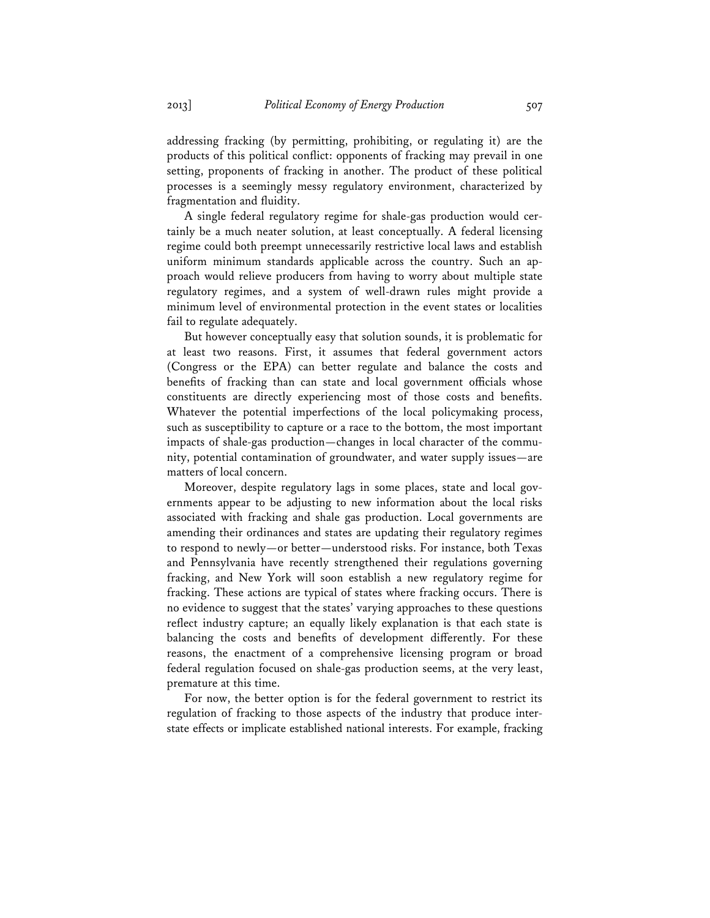addressing fracking (by permitting, prohibiting, or regulating it) are the products of this political conflict: opponents of fracking may prevail in one setting, proponents of fracking in another. The product of these political processes is a seemingly messy regulatory environment, characterized by fragmentation and fluidity.

A single federal regulatory regime for shale-gas production would certainly be a much neater solution, at least conceptually. A federal licensing regime could both preempt unnecessarily restrictive local laws and establish uniform minimum standards applicable across the country. Such an approach would relieve producers from having to worry about multiple state regulatory regimes, and a system of well-drawn rules might provide a minimum level of environmental protection in the event states or localities fail to regulate adequately.

But however conceptually easy that solution sounds, it is problematic for at least two reasons. First, it assumes that federal government actors (Congress or the EPA) can better regulate and balance the costs and benefits of fracking than can state and local government officials whose constituents are directly experiencing most of those costs and benefits. Whatever the potential imperfections of the local policymaking process, such as susceptibility to capture or a race to the bottom, the most important impacts of shale-gas production—changes in local character of the community, potential contamination of groundwater, and water supply issues—are matters of local concern.

Moreover, despite regulatory lags in some places, state and local governments appear to be adjusting to new information about the local risks associated with fracking and shale gas production. Local governments are amending their ordinances and states are updating their regulatory regimes to respond to newly—or better—understood risks. For instance, both Texas and Pennsylvania have recently strengthened their regulations governing fracking, and New York will soon establish a new regulatory regime for fracking. These actions are typical of states where fracking occurs. There is no evidence to suggest that the states' varying approaches to these questions reflect industry capture; an equally likely explanation is that each state is balancing the costs and benefits of development differently. For these reasons, the enactment of a comprehensive licensing program or broad federal regulation focused on shale-gas production seems, at the very least, premature at this time.

For now, the better option is for the federal government to restrict its regulation of fracking to those aspects of the industry that produce interstate effects or implicate established national interests. For example, fracking